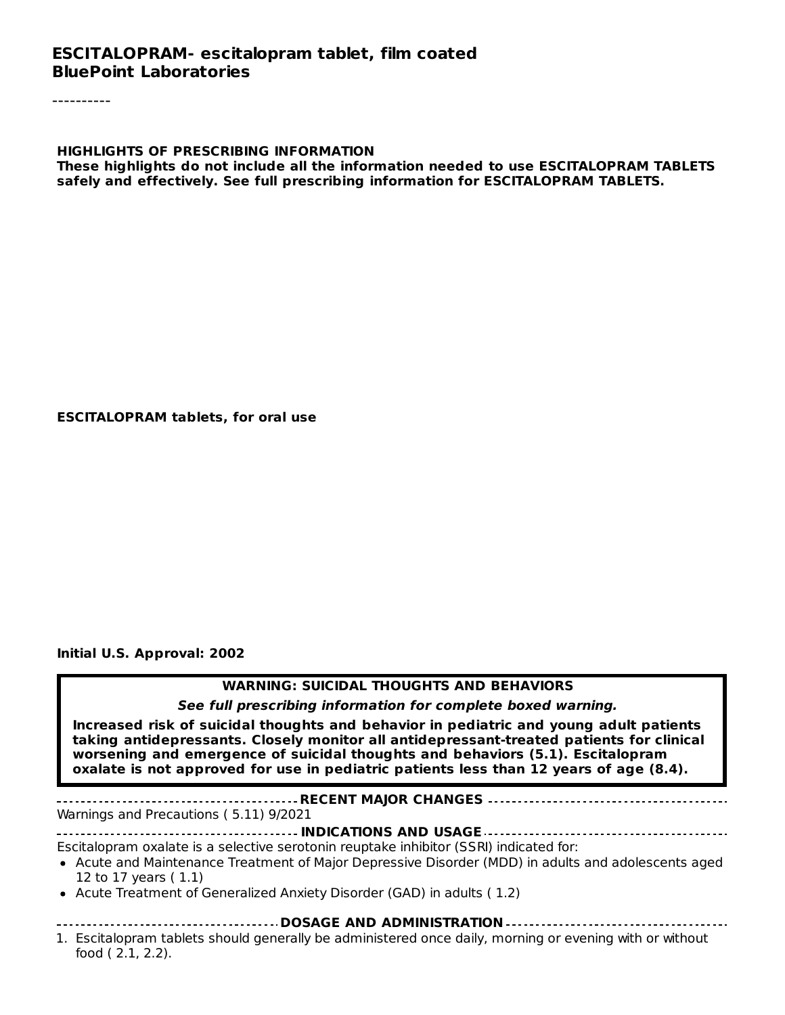#### **ESCITALOPRAM- escitalopram tablet, film coated BluePoint Laboratories**

**HIGHLIGHTS OF PRESCRIBING INFORMATION These highlights do not include all the information needed to use ESCITALOPRAM TABLETS safely and effectively. See full prescribing information for ESCITALOPRAM TABLETS.**

#### **ESCITALOPRAM tablets, for oral use**

**Initial U.S. Approval: 2002**

#### **WARNING: SUICIDAL THOUGHTS AND BEHAVIORS**

**See full prescribing information for complete boxed warning.**

**Increased risk of suicidal thoughts and behavior in pediatric and young adult patients taking antidepressants. Closely monitor all antidepressant-treated patients for clinical worsening and emergence of suicidal thoughts and behaviors (5.1). Escitalopram oxalate is not approved for use in pediatric patients less than 12 years of age (8.4).**

**RECENT MAJOR CHANGES** Warnings and Precautions ( 5.11) 9/2021

**INDICATIONS AND USAGE**

Escitalopram oxalate is a selective serotonin reuptake inhibitor (SSRI) indicated for:

- Acute and Maintenance Treatment of Major Depressive Disorder (MDD) in adults and adolescents aged 12 to 17 years ( 1.1)
- Acute Treatment of Generalized Anxiety Disorder (GAD) in adults ( 1.2)
- **DOSAGE AND ADMINISTRATION**
- 1. Escitalopram tablets should generally be administered once daily, morning or evening with or without food ( 2.1, 2.2).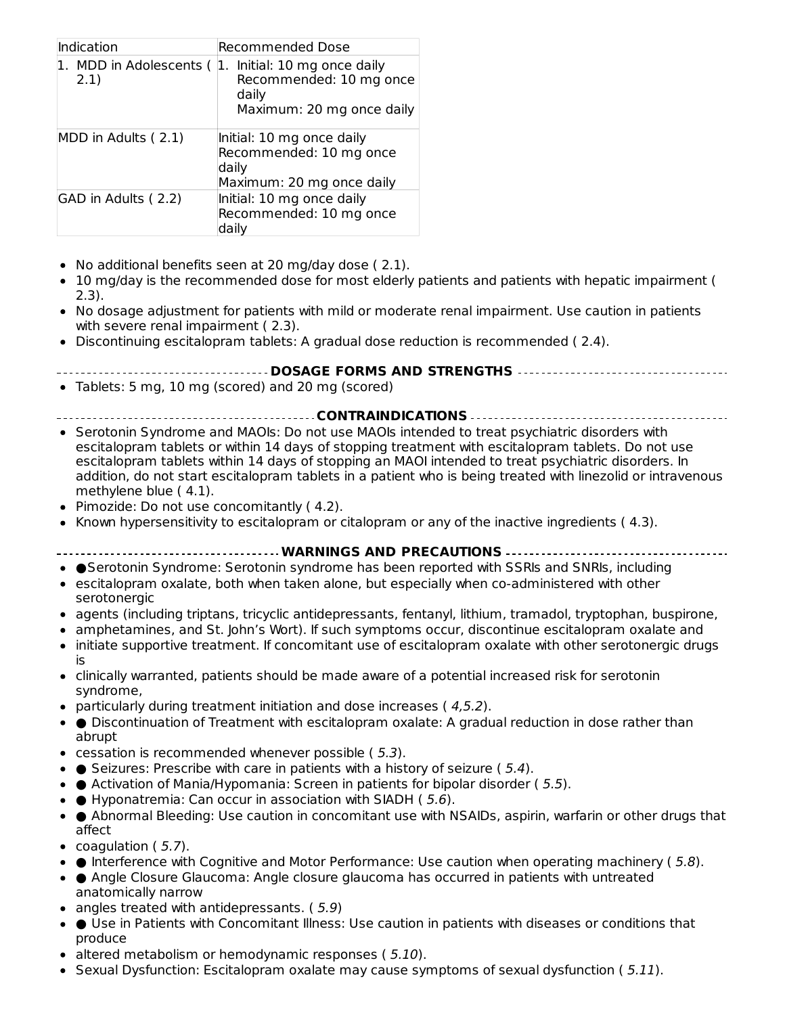| Indication                   | <b>Recommended Dose</b>                                                                    |
|------------------------------|--------------------------------------------------------------------------------------------|
| MDD in Adolescents (<br>2.1) | Initial: 10 mg once daily<br>Recommended: 10 mg once<br>daily<br>Maximum: 20 mg once daily |
| MDD in Adults (2.1)          | Initial: 10 mg once daily<br>Recommended: 10 mg once<br>daily<br>Maximum: 20 mg once daily |
| GAD in Adults (2.2)          | Initial: 10 mg once daily<br>Recommended: 10 mg once<br>dailv                              |

- No additional benefits seen at 20 mg/day dose ( 2.1).
- 10 mg/day is the recommended dose for most elderly patients and patients with hepatic impairment ( 2.3).
- No dosage adjustment for patients with mild or moderate renal impairment. Use caution in patients with severe renal impairment ( 2.3).
- Discontinuing escitalopram tablets: A gradual dose reduction is recommended ( 2.4).
	- **DOSAGE FORMS AND STRENGTHS**
- Tablets: 5 mg, 10 mg (scored) and 20 mg (scored)
- **CONTRAINDICATIONS**
- Serotonin Syndrome and MAOIs: Do not use MAOIs intended to treat psychiatric disorders with escitalopram tablets or within 14 days of stopping treatment with escitalopram tablets. Do not use escitalopram tablets within 14 days of stopping an MAOI intended to treat psychiatric disorders. In addition, do not start escitalopram tablets in a patient who is being treated with linezolid or intravenous methylene blue ( 4.1).
- Pimozide: Do not use concomitantly (4.2).
- Known hypersensitivity to escitalopram or citalopram or any of the inactive ingredients  $(4.3)$ .

#### **WARNINGS AND PRECAUTIONS**

- ●Serotonin Syndrome: Serotonin syndrome has been reported with SSRIs and SNRIs, including
- escitalopram oxalate, both when taken alone, but especially when co-administered with other serotonergic
- agents (including triptans, tricyclic antidepressants, fentanyl, lithium, tramadol, tryptophan, buspirone,
- amphetamines, and St. John's Wort). If such symptoms occur, discontinue escitalopram oxalate and  $\bullet$
- initiate supportive treatment. If concomitant use of escitalopram oxalate with other serotonergic drugs  $\bullet$ is
- clinically warranted, patients should be made aware of a potential increased risk for serotonin syndrome,
- particularly during treatment initiation and dose increases ( $4,5.2$ ).
- Discontinuation of Treatment with escitalopram oxalate: A gradual reduction in dose rather than abrupt
- $\bullet$  cessation is recommended whenever possible (5.3).
- $\bullet$  Seizures: Prescribe with care in patients with a history of seizure (5.4).
- $\bullet$  Activation of Mania/Hypomania: Screen in patients for bipolar disorder (5.5).
- $\bullet$   $\bullet$  Hyponatremia: Can occur in association with SIADH (5.6).
- Abnormal Bleeding: Use caution in concomitant use with NSAIDs, aspirin, warfarin or other drugs that affect
- coagulation  $(5.7)$ .
- $\bullet$  **e** Interference with Cognitive and Motor Performance: Use caution when operating machinery (5.8).
- Angle Closure Glaucoma: Angle closure glaucoma has occurred in patients with untreated
- anatomically narrow  $\bullet$  angles treated with antidepressants. (5.9)
- 
- Use in Patients with Concomitant Illness: Use caution in patients with diseases or conditions that produce
- altered metabolism or hemodynamic responses (5.10).
- Sexual Dysfunction: Escitalopram oxalate may cause symptoms of sexual dysfunction ( $5.11$ ).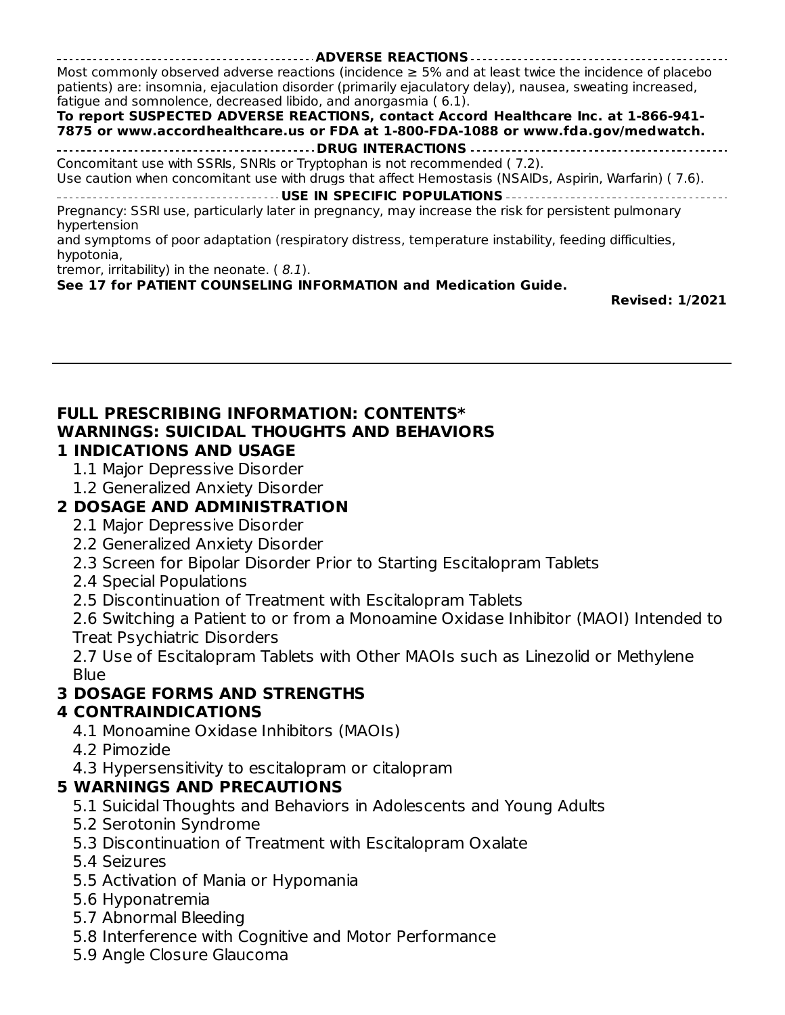**ADVERSE REACTIONS** Most commonly observed adverse reactions (incidence  $\geq$  5% and at least twice the incidence of placebo patients) are: insomnia, ejaculation disorder (primarily ejaculatory delay), nausea, sweating increased, fatigue and somnolence, decreased libido, and anorgasmia ( 6.1). **To report SUSPECTED ADVERSE REACTIONS, contact Accord Healthcare Inc. at 1-866-941- 7875 or www.accordhealthcare.us or FDA at 1-800-FDA-1088 or www.fda.gov/medwatch. DRUG INTERACTIONS** Concomitant use with SSRIs, SNRIs or Tryptophan is not recommended ( 7.2). Use caution when concomitant use with drugs that affect Hemostasis (NSAIDs, Aspirin, Warfarin) ( 7.6). **USE IN SPECIFIC POPULATIONS** Pregnancy: SSRI use, particularly later in pregnancy, may increase the risk for persistent pulmonary hypertension and symptoms of poor adaptation (respiratory distress, temperature instability, feeding difficulties, hypotonia,

tremor, irritability) in the neonate. ( 8.1).

#### **See 17 for PATIENT COUNSELING INFORMATION and Medication Guide.**

**Revised: 1/2021**

#### **FULL PRESCRIBING INFORMATION: CONTENTS\* WARNINGS: SUICIDAL THOUGHTS AND BEHAVIORS 1 INDICATIONS AND USAGE**

- 1.1 Major Depressive Disorder
- 1.2 Generalized Anxiety Disorder

### **2 DOSAGE AND ADMINISTRATION**

- 2.1 Major Depressive Disorder
- 2.2 Generalized Anxiety Disorder
- 2.3 Screen for Bipolar Disorder Prior to Starting Escitalopram Tablets
- 2.4 Special Populations
- 2.5 Discontinuation of Treatment with Escitalopram Tablets

2.6 Switching a Patient to or from a Monoamine Oxidase Inhibitor (MAOI) Intended to Treat Psychiatric Disorders

2.7 Use of Escitalopram Tablets with Other MAOIs such as Linezolid or Methylene Blue

### **3 DOSAGE FORMS AND STRENGTHS**

### **4 CONTRAINDICATIONS**

- 4.1 Monoamine Oxidase Inhibitors (MAOIs)
- 4.2 Pimozide
- 4.3 Hypersensitivity to escitalopram or citalopram

### **5 WARNINGS AND PRECAUTIONS**

- 5.1 Suicidal Thoughts and Behaviors in Adolescents and Young Adults
- 5.2 Serotonin Syndrome
- 5.3 Discontinuation of Treatment with Escitalopram Oxalate
- 5.4 Seizures
- 5.5 Activation of Mania or Hypomania
- 5.6 Hyponatremia
- 5.7 Abnormal Bleeding
- 5.8 Interference with Cognitive and Motor Performance
- 5.9 Angle Closure Glaucoma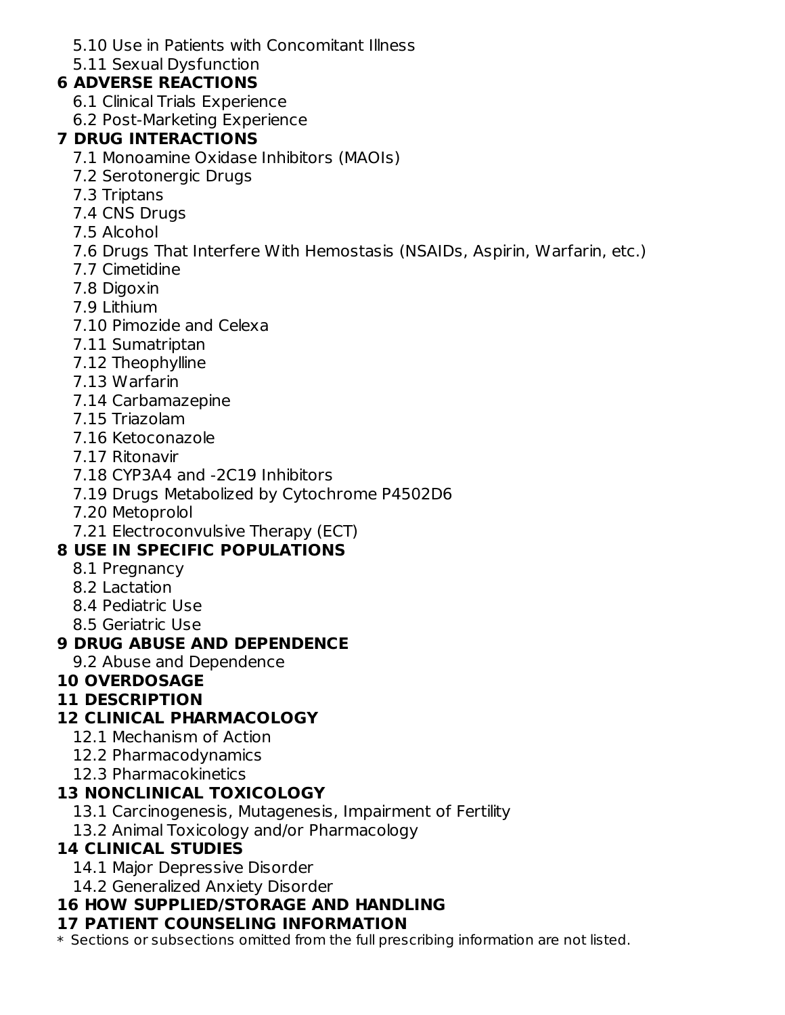5.10 Use in Patients with Concomitant Illness

5.11 Sexual Dysfunction

### **6 ADVERSE REACTIONS**

- 6.1 Clinical Trials Experience
- 6.2 Post-Marketing Experience

### **7 DRUG INTERACTIONS**

- 7.1 Monoamine Oxidase Inhibitors (MAOIs)
- 7.2 Serotonergic Drugs
- 7.3 Triptans
- 7.4 CNS Drugs
- 7.5 Alcohol
- 7.6 Drugs That Interfere With Hemostasis (NSAIDs, Aspirin, Warfarin, etc.)
- 7.7 Cimetidine
- 7.8 Digoxin
- 7.9 Lithium
- 7.10 Pimozide and Celexa
- 7.11 Sumatriptan
- 7.12 Theophylline
- 7.13 Warfarin
- 7.14 Carbamazepine
- 7.15 Triazolam
- 7.16 Ketoconazole
- 7.17 Ritonavir
- 7.18 CYP3A4 and -2C19 Inhibitors
- 7.19 Drugs Metabolized by Cytochrome P4502D6
- 7.20 Metoprolol
- 7.21 Electroconvulsive Therapy (ECT)

### **8 USE IN SPECIFIC POPULATIONS**

- 8.1 Pregnancy
- 8.2 Lactation
- 8.4 Pediatric Use
- 8.5 Geriatric Use

### **9 DRUG ABUSE AND DEPENDENCE**

9.2 Abuse and Dependence

### **10 OVERDOSAGE**

#### **11 DESCRIPTION**

#### **12 CLINICAL PHARMACOLOGY**

- 12.1 Mechanism of Action
- 12.2 Pharmacodynamics
- 12.3 Pharmacokinetics

#### **13 NONCLINICAL TOXICOLOGY**

- 13.1 Carcinogenesis, Mutagenesis, Impairment of Fertility
- 13.2 Animal Toxicology and/or Pharmacology

### **14 CLINICAL STUDIES**

- 14.1 Major Depressive Disorder
- 14.2 Generalized Anxiety Disorder

### **16 HOW SUPPLIED/STORAGE AND HANDLING**

#### **17 PATIENT COUNSELING INFORMATION**

\* Sections or subsections omitted from the full prescribing information are not listed.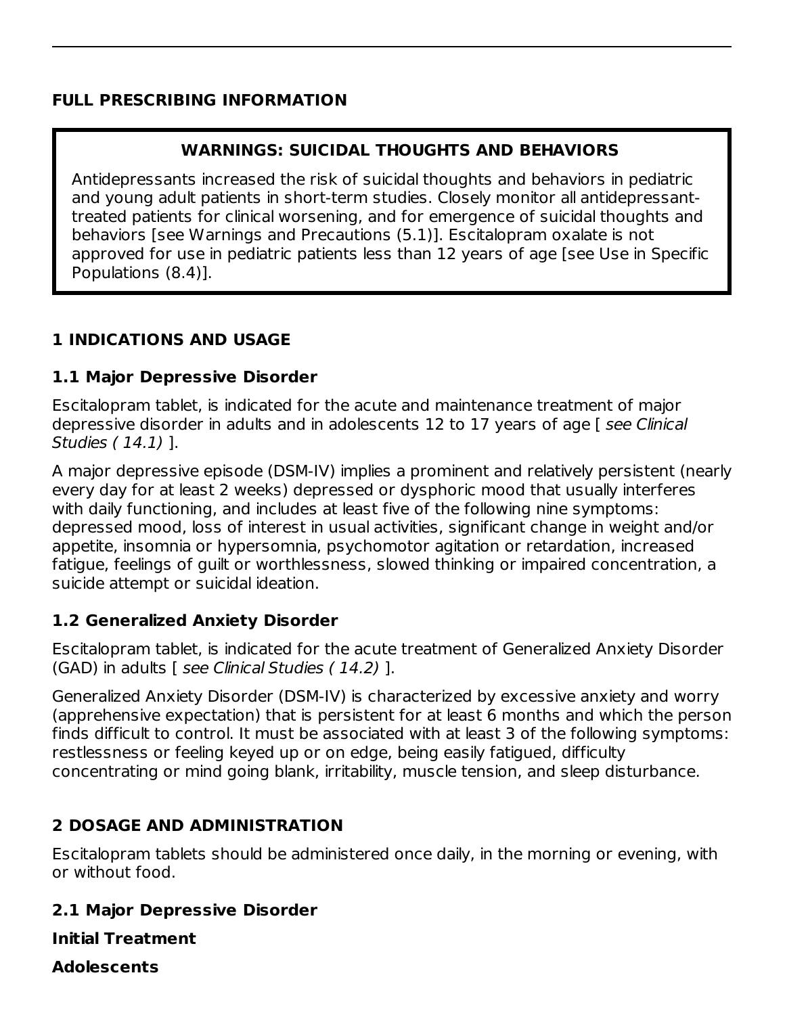#### **FULL PRESCRIBING INFORMATION**

#### **WARNINGS: SUICIDAL THOUGHTS AND BEHAVIORS**

Antidepressants increased the risk of suicidal thoughts and behaviors in pediatric and young adult patients in short-term studies. Closely monitor all antidepressanttreated patients for clinical worsening, and for emergence of suicidal thoughts and behaviors [see Warnings and Precautions (5.1)]. Escitalopram oxalate is not approved for use in pediatric patients less than 12 years of age [see Use in Specific Populations (8.4)].

#### **1 INDICATIONS AND USAGE**

#### **1.1 Major Depressive Disorder**

Escitalopram tablet, is indicated for the acute and maintenance treatment of major depressive disorder in adults and in adolescents 12 to 17 years of age [ see Clinical Studies ( 14.1) ].

A major depressive episode (DSM-IV) implies a prominent and relatively persistent (nearly every day for at least 2 weeks) depressed or dysphoric mood that usually interferes with daily functioning, and includes at least five of the following nine symptoms: depressed mood, loss of interest in usual activities, significant change in weight and/or appetite, insomnia or hypersomnia, psychomotor agitation or retardation, increased fatigue, feelings of guilt or worthlessness, slowed thinking or impaired concentration, a suicide attempt or suicidal ideation.

#### **1.2 Generalized Anxiety Disorder**

Escitalopram tablet, is indicated for the acute treatment of Generalized Anxiety Disorder (GAD) in adults [ see Clinical Studies ( 14.2) ].

Generalized Anxiety Disorder (DSM-IV) is characterized by excessive anxiety and worry (apprehensive expectation) that is persistent for at least 6 months and which the person finds difficult to control. It must be associated with at least 3 of the following symptoms: restlessness or feeling keyed up or on edge, being easily fatigued, difficulty concentrating or mind going blank, irritability, muscle tension, and sleep disturbance.

#### **2 DOSAGE AND ADMINISTRATION**

Escitalopram tablets should be administered once daily, in the morning or evening, with or without food.

#### **2.1 Major Depressive Disorder**

**Initial Treatment**

**Adolescents**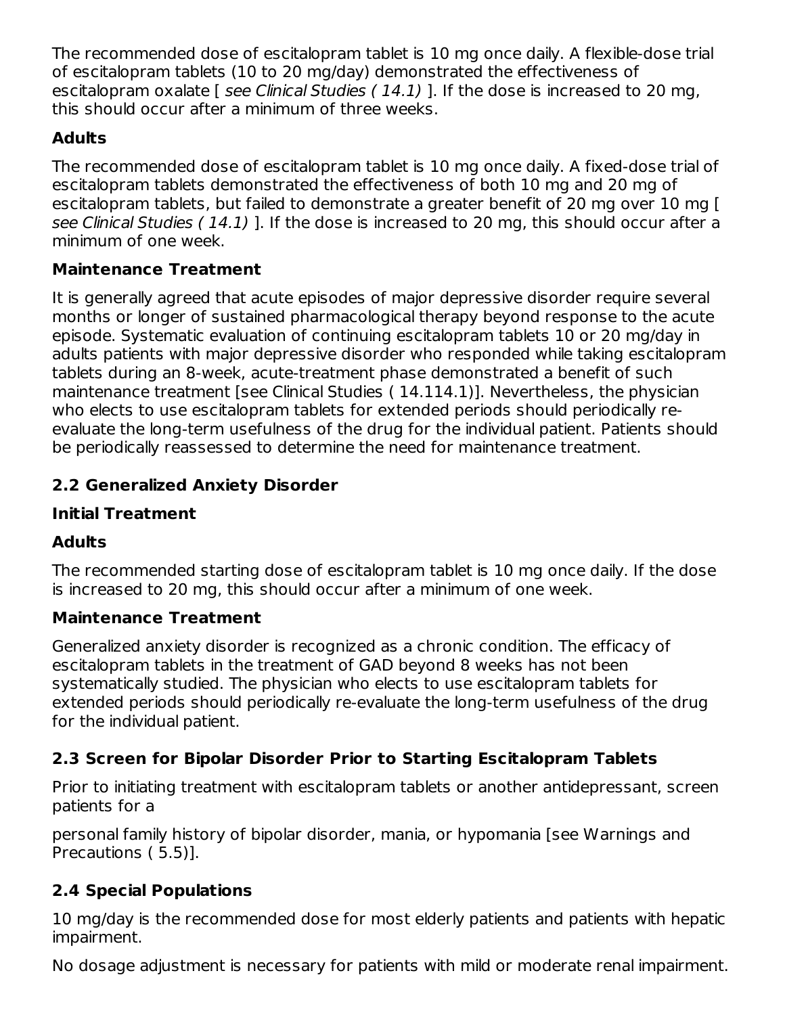The recommended dose of escitalopram tablet is 10 mg once daily. A flexible-dose trial of escitalopram tablets (10 to 20 mg/day) demonstrated the effectiveness of escitalopram oxalate  $\lceil$  see Clinical Studies (14.1) ]. If the dose is increased to 20 mg, this should occur after a minimum of three weeks.

### **Adults**

The recommended dose of escitalopram tablet is 10 mg once daily. A fixed-dose trial of escitalopram tablets demonstrated the effectiveness of both 10 mg and 20 mg of escitalopram tablets, but failed to demonstrate a greater benefit of 20 mg over 10 mg [ see Clinical Studies ( 14.1) ]. If the dose is increased to 20 mg, this should occur after a minimum of one week.

### **Maintenance Treatment**

It is generally agreed that acute episodes of major depressive disorder require several months or longer of sustained pharmacological therapy beyond response to the acute episode. Systematic evaluation of continuing escitalopram tablets 10 or 20 mg/day in adults patients with major depressive disorder who responded while taking escitalopram tablets during an 8-week, acute-treatment phase demonstrated a benefit of such maintenance treatment [see Clinical Studies ( 14.114.1)]. Nevertheless, the physician who elects to use escitalopram tablets for extended periods should periodically reevaluate the long-term usefulness of the drug for the individual patient. Patients should be periodically reassessed to determine the need for maintenance treatment.

### **2.2 Generalized Anxiety Disorder**

### **Initial Treatment**

### **Adults**

The recommended starting dose of escitalopram tablet is 10 mg once daily. If the dose is increased to 20 mg, this should occur after a minimum of one week.

### **Maintenance Treatment**

Generalized anxiety disorder is recognized as a chronic condition. The efficacy of escitalopram tablets in the treatment of GAD beyond 8 weeks has not been systematically studied. The physician who elects to use escitalopram tablets for extended periods should periodically re-evaluate the long-term usefulness of the drug for the individual patient.

### **2.3 Screen for Bipolar Disorder Prior to Starting Escitalopram Tablets**

Prior to initiating treatment with escitalopram tablets or another antidepressant, screen patients for a

personal family history of bipolar disorder, mania, or hypomania [see Warnings and Precautions ( 5.5)].

### **2.4 Special Populations**

10 mg/day is the recommended dose for most elderly patients and patients with hepatic impairment.

No dosage adjustment is necessary for patients with mild or moderate renal impairment.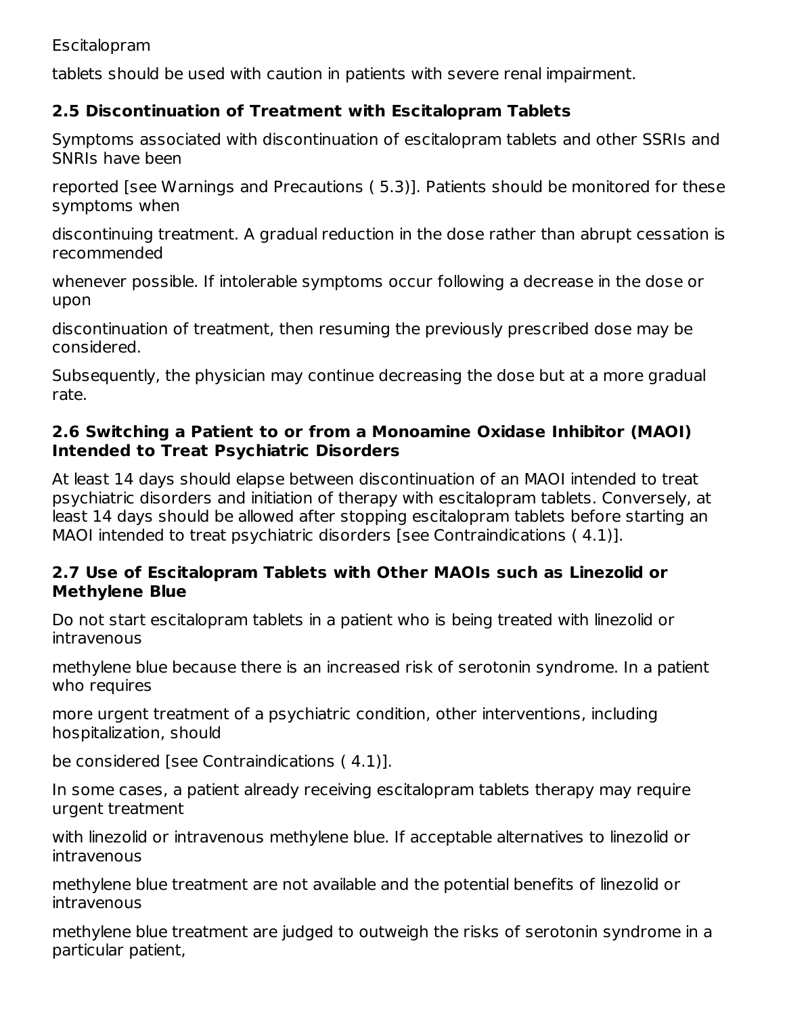#### Escitalopram

tablets should be used with caution in patients with severe renal impairment.

#### **2.5 Discontinuation of Treatment with Escitalopram Tablets**

Symptoms associated with discontinuation of escitalopram tablets and other SSRIs and SNRIs have been

reported [see Warnings and Precautions ( 5.3)]. Patients should be monitored for these symptoms when

discontinuing treatment. A gradual reduction in the dose rather than abrupt cessation is recommended

whenever possible. If intolerable symptoms occur following a decrease in the dose or upon

discontinuation of treatment, then resuming the previously prescribed dose may be considered.

Subsequently, the physician may continue decreasing the dose but at a more gradual rate.

#### **2.6 Switching a Patient to or from a Monoamine Oxidase Inhibitor (MAOI) Intended to Treat Psychiatric Disorders**

At least 14 days should elapse between discontinuation of an MAOI intended to treat psychiatric disorders and initiation of therapy with escitalopram tablets. Conversely, at least 14 days should be allowed after stopping escitalopram tablets before starting an MAOI intended to treat psychiatric disorders [see Contraindications ( 4.1)].

#### **2.7 Use of Escitalopram Tablets with Other MAOIs such as Linezolid or Methylene Blue**

Do not start escitalopram tablets in a patient who is being treated with linezolid or intravenous

methylene blue because there is an increased risk of serotonin syndrome. In a patient who requires

more urgent treatment of a psychiatric condition, other interventions, including hospitalization, should

be considered [see Contraindications ( 4.1)].

In some cases, a patient already receiving escitalopram tablets therapy may require urgent treatment

with linezolid or intravenous methylene blue. If acceptable alternatives to linezolid or intravenous

methylene blue treatment are not available and the potential benefits of linezolid or intravenous

methylene blue treatment are judged to outweigh the risks of serotonin syndrome in a particular patient,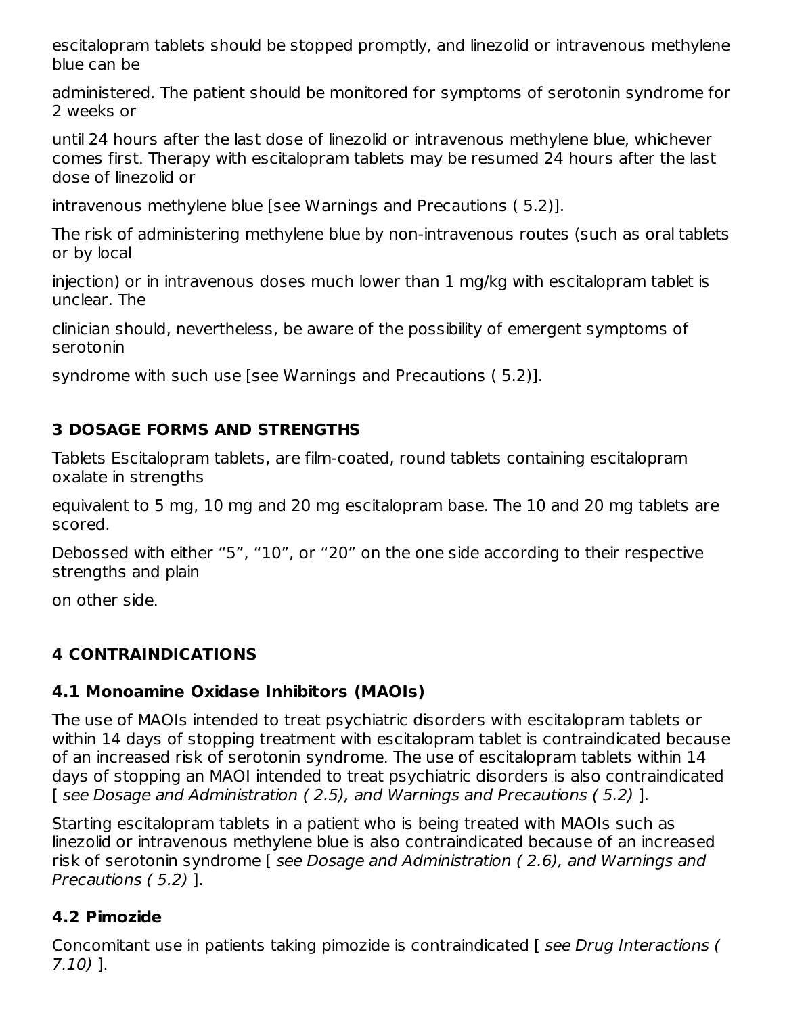escitalopram tablets should be stopped promptly, and linezolid or intravenous methylene blue can be

administered. The patient should be monitored for symptoms of serotonin syndrome for 2 weeks or

until 24 hours after the last dose of linezolid or intravenous methylene blue, whichever comes first. Therapy with escitalopram tablets may be resumed 24 hours after the last dose of linezolid or

intravenous methylene blue [see Warnings and Precautions ( 5.2)].

The risk of administering methylene blue by non-intravenous routes (such as oral tablets or by local

injection) or in intravenous doses much lower than 1 mg/kg with escitalopram tablet is unclear. The

clinician should, nevertheless, be aware of the possibility of emergent symptoms of serotonin

syndrome with such use [see Warnings and Precautions ( 5.2)].

### **3 DOSAGE FORMS AND STRENGTHS**

Tablets Escitalopram tablets, are film-coated, round tablets containing escitalopram oxalate in strengths

equivalent to 5 mg, 10 mg and 20 mg escitalopram base. The 10 and 20 mg tablets are scored.

Debossed with either "5", "10", or "20" on the one side according to their respective strengths and plain

on other side.

### **4 CONTRAINDICATIONS**

### **4.1 Monoamine Oxidase Inhibitors (MAOIs)**

The use of MAOIs intended to treat psychiatric disorders with escitalopram tablets or within 14 days of stopping treatment with escitalopram tablet is contraindicated because of an increased risk of serotonin syndrome. The use of escitalopram tablets within 14 days of stopping an MAOI intended to treat psychiatric disorders is also contraindicated [ see Dosage and Administration ( 2.5), and Warnings and Precautions ( 5.2) ].

Starting escitalopram tablets in a patient who is being treated with MAOIs such as linezolid or intravenous methylene blue is also contraindicated because of an increased risk of serotonin syndrome [ see Dosage and Administration ( 2.6), and Warnings and Precautions ( 5.2) ].

### **4.2 Pimozide**

Concomitant use in patients taking pimozide is contraindicated [ see Drug Interactions ( 7.10) ].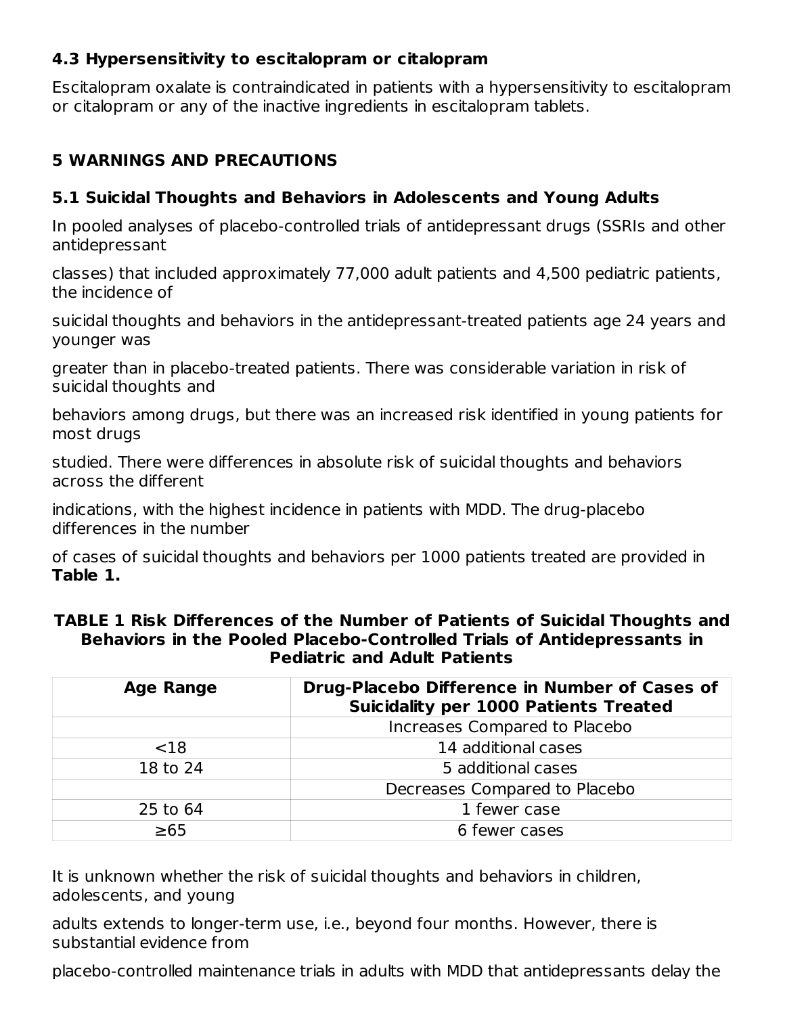#### **4.3 Hypersensitivity to escitalopram or citalopram**

Escitalopram oxalate is contraindicated in patients with a hypersensitivity to escitalopram or citalopram or any of the inactive ingredients in escitalopram tablets.

### **5 WARNINGS AND PRECAUTIONS**

### **5.1 Suicidal Thoughts and Behaviors in Adolescents and Young Adults**

In pooled analyses of placebo-controlled trials of antidepressant drugs (SSRIs and other antidepressant

classes) that included approximately 77,000 adult patients and 4,500 pediatric patients, the incidence of

suicidal thoughts and behaviors in the antidepressant-treated patients age 24 years and younger was

greater than in placebo-treated patients. There was considerable variation in risk of suicidal thoughts and

behaviors among drugs, but there was an increased risk identified in young patients for most drugs

studied. There were differences in absolute risk of suicidal thoughts and behaviors across the different

indications, with the highest incidence in patients with MDD. The drug-placebo differences in the number

of cases of suicidal thoughts and behaviors per 1000 patients treated are provided in **Table 1.**

|           | Behaviors in the Pooled Placebo-Controlled Trials of Antidepressants in<br><b>Pediatric and Adult Patients</b> |  |
|-----------|----------------------------------------------------------------------------------------------------------------|--|
| Age Range | <b>Drug-Placebo Difference in Number of Cases of</b>                                                           |  |

**TABLE 1 Risk Differences of the Number of Patients of Suicidal Thoughts and**

| <b>Age Range</b> | <b>Drug-Placebo Difference in Number of Cases of</b><br><b>Suicidality per 1000 Patients Treated</b> |
|------------------|------------------------------------------------------------------------------------------------------|
|                  | Increases Compared to Placebo                                                                        |
| < 18             | 14 additional cases                                                                                  |
| 18 to 24         | 5 additional cases                                                                                   |
|                  | Decreases Compared to Placebo                                                                        |
| 25 to 64         | 1 fewer case                                                                                         |
| $\geq 65$        | 6 fewer cases                                                                                        |

It is unknown whether the risk of suicidal thoughts and behaviors in children, adolescents, and young

adults extends to longer-term use, i.e., beyond four months. However, there is substantial evidence from

placebo-controlled maintenance trials in adults with MDD that antidepressants delay the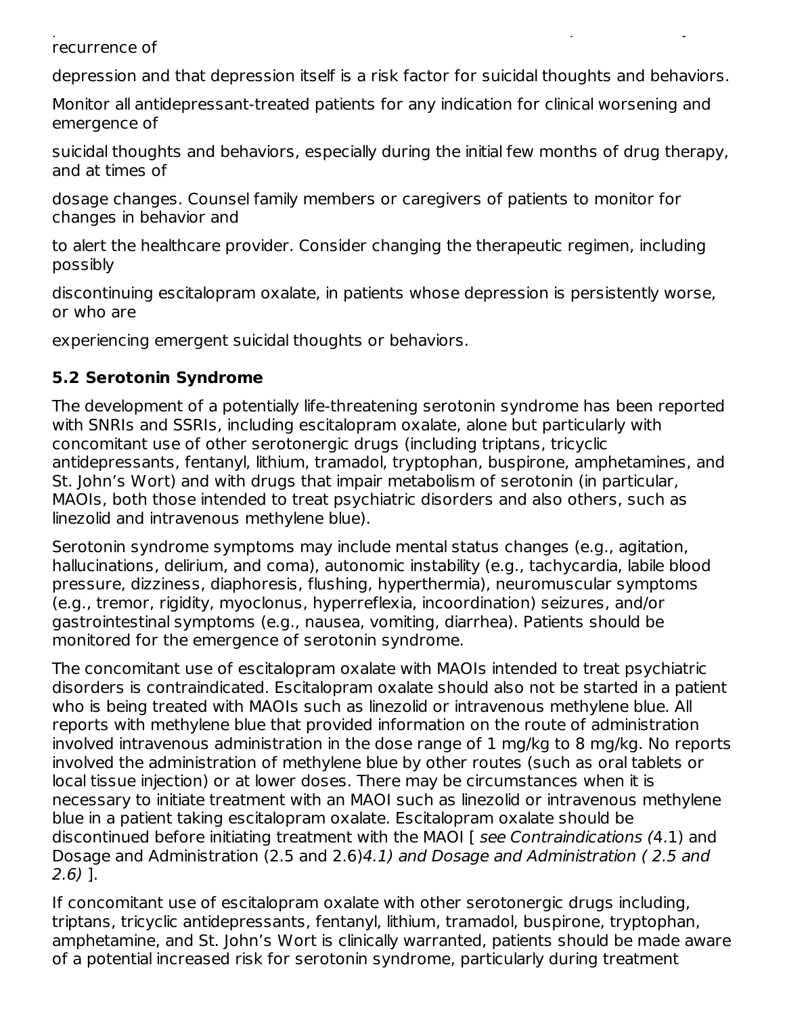placebo-controlled maintenance trials in adults with MDD that antidepressants delay the recurrence of

depression and that depression itself is a risk factor for suicidal thoughts and behaviors.

Monitor all antidepressant-treated patients for any indication for clinical worsening and emergence of

suicidal thoughts and behaviors, especially during the initial few months of drug therapy, and at times of

dosage changes. Counsel family members or caregivers of patients to monitor for changes in behavior and

to alert the healthcare provider. Consider changing the therapeutic regimen, including possibly

discontinuing escitalopram oxalate, in patients whose depression is persistently worse, or who are

experiencing emergent suicidal thoughts or behaviors.

### **5.2 Serotonin Syndrome**

The development of a potentially life-threatening serotonin syndrome has been reported with SNRIs and SSRIs, including escitalopram oxalate, alone but particularly with concomitant use of other serotonergic drugs (including triptans, tricyclic antidepressants, fentanyl, lithium, tramadol, tryptophan, buspirone, amphetamines, and St. John's Wort) and with drugs that impair metabolism of serotonin (in particular, MAOIs, both those intended to treat psychiatric disorders and also others, such as linezolid and intravenous methylene blue).

Serotonin syndrome symptoms may include mental status changes (e.g., agitation, hallucinations, delirium, and coma), autonomic instability (e.g., tachycardia, labile blood pressure, dizziness, diaphoresis, flushing, hyperthermia), neuromuscular symptoms (e.g., tremor, rigidity, myoclonus, hyperreflexia, incoordination) seizures, and/or gastrointestinal symptoms (e.g., nausea, vomiting, diarrhea). Patients should be monitored for the emergence of serotonin syndrome.

The concomitant use of escitalopram oxalate with MAOIs intended to treat psychiatric disorders is contraindicated. Escitalopram oxalate should also not be started in a patient who is being treated with MAOIs such as linezolid or intravenous methylene blue. All reports with methylene blue that provided information on the route of administration involved intravenous administration in the dose range of 1 mg/kg to 8 mg/kg. No reports involved the administration of methylene blue by other routes (such as oral tablets or local tissue injection) or at lower doses. There may be circumstances when it is necessary to initiate treatment with an MAOI such as linezolid or intravenous methylene blue in a patient taking escitalopram oxalate. Escitalopram oxalate should be discontinued before initiating treatment with the MAOI [ see Contraindications (4.1) and Dosage and Administration (2.5 and 2.6)4.1) and Dosage and Administration ( 2.5 and 2.6) ].

If concomitant use of escitalopram oxalate with other serotonergic drugs including, triptans, tricyclic antidepressants, fentanyl, lithium, tramadol, buspirone, tryptophan, amphetamine, and St. John's Wort is clinically warranted, patients should be made aware of a potential increased risk for serotonin syndrome, particularly during treatment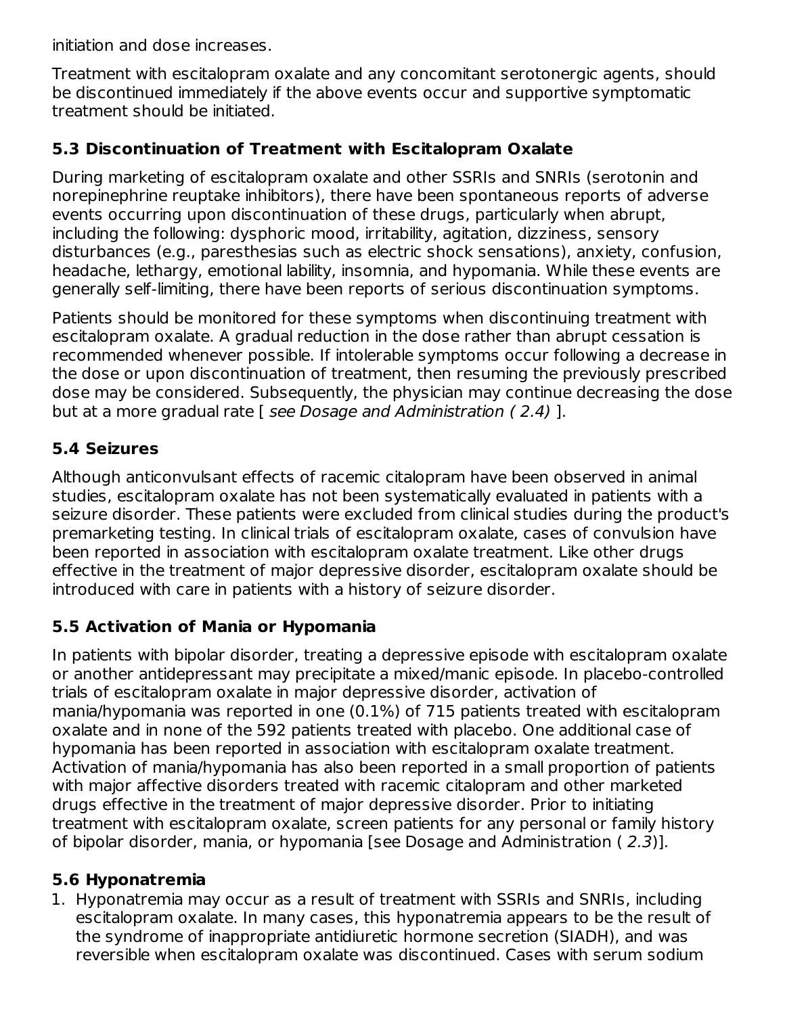initiation and dose increases.

Treatment with escitalopram oxalate and any concomitant serotonergic agents, should be discontinued immediately if the above events occur and supportive symptomatic treatment should be initiated.

### **5.3 Discontinuation of Treatment with Escitalopram Oxalate**

During marketing of escitalopram oxalate and other SSRIs and SNRIs (serotonin and norepinephrine reuptake inhibitors), there have been spontaneous reports of adverse events occurring upon discontinuation of these drugs, particularly when abrupt, including the following: dysphoric mood, irritability, agitation, dizziness, sensory disturbances (e.g., paresthesias such as electric shock sensations), anxiety, confusion, headache, lethargy, emotional lability, insomnia, and hypomania. While these events are generally self-limiting, there have been reports of serious discontinuation symptoms.

Patients should be monitored for these symptoms when discontinuing treatment with escitalopram oxalate. A gradual reduction in the dose rather than abrupt cessation is recommended whenever possible. If intolerable symptoms occur following a decrease in the dose or upon discontinuation of treatment, then resuming the previously prescribed dose may be considered. Subsequently, the physician may continue decreasing the dose but at a more gradual rate [ see Dosage and Administration ( 2.4) ].

### **5.4 Seizures**

Although anticonvulsant effects of racemic citalopram have been observed in animal studies, escitalopram oxalate has not been systematically evaluated in patients with a seizure disorder. These patients were excluded from clinical studies during the product's premarketing testing. In clinical trials of escitalopram oxalate, cases of convulsion have been reported in association with escitalopram oxalate treatment. Like other drugs effective in the treatment of major depressive disorder, escitalopram oxalate should be introduced with care in patients with a history of seizure disorder.

#### **5.5 Activation of Mania or Hypomania**

In patients with bipolar disorder, treating a depressive episode with escitalopram oxalate or another antidepressant may precipitate a mixed/manic episode. In placebo-controlled trials of escitalopram oxalate in major depressive disorder, activation of mania/hypomania was reported in one (0.1%) of 715 patients treated with escitalopram oxalate and in none of the 592 patients treated with placebo. One additional case of hypomania has been reported in association with escitalopram oxalate treatment. Activation of mania/hypomania has also been reported in a small proportion of patients with major affective disorders treated with racemic citalopram and other marketed drugs effective in the treatment of major depressive disorder. Prior to initiating treatment with escitalopram oxalate, screen patients for any personal or family history of bipolar disorder, mania, or hypomania [see Dosage and Administration ( 2.3)].

#### **5.6 Hyponatremia**

1. Hyponatremia may occur as a result of treatment with SSRIs and SNRIs, including escitalopram oxalate. In many cases, this hyponatremia appears to be the result of the syndrome of inappropriate antidiuretic hormone secretion (SIADH), and was reversible when escitalopram oxalate was discontinued. Cases with serum sodium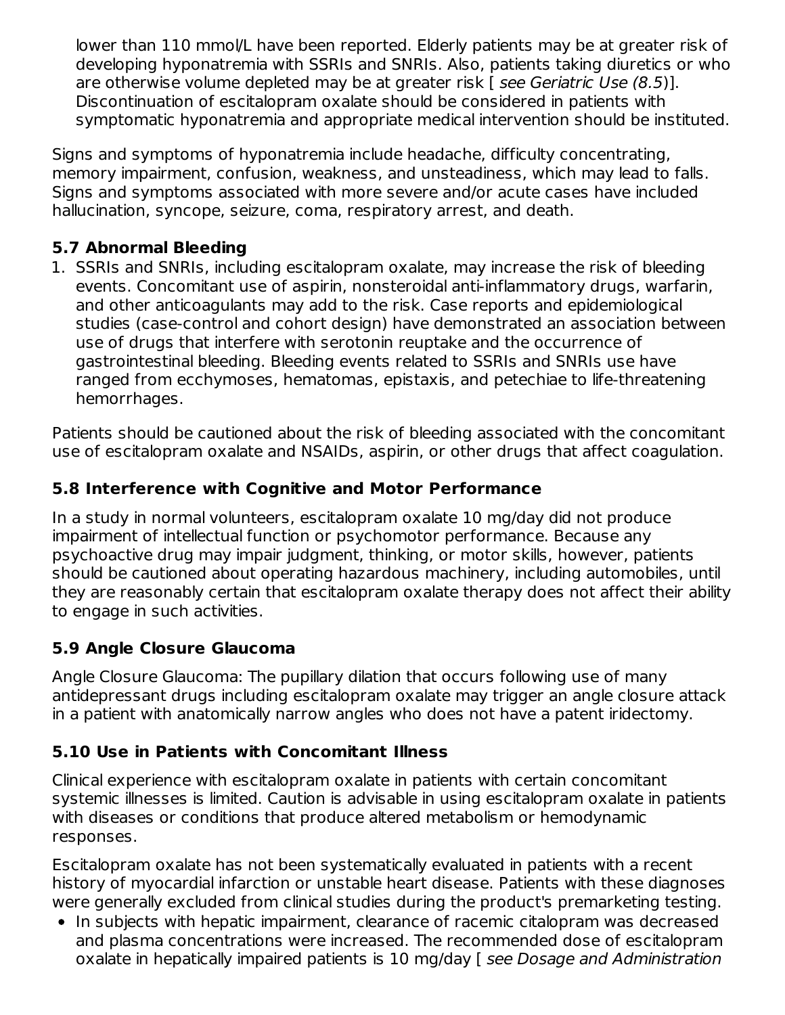lower than 110 mmol/L have been reported. Elderly patients may be at greater risk of developing hyponatremia with SSRIs and SNRIs. Also, patients taking diuretics or who are otherwise volume depleted may be at greater risk [ see Geriatric Use (8.5)]. Discontinuation of escitalopram oxalate should be considered in patients with symptomatic hyponatremia and appropriate medical intervention should be instituted.

Signs and symptoms of hyponatremia include headache, difficulty concentrating, memory impairment, confusion, weakness, and unsteadiness, which may lead to falls. Signs and symptoms associated with more severe and/or acute cases have included hallucination, syncope, seizure, coma, respiratory arrest, and death.

### **5.7 Abnormal Bleeding**

1. SSRIs and SNRIs, including escitalopram oxalate, may increase the risk of bleeding events. Concomitant use of aspirin, nonsteroidal anti-inflammatory drugs, warfarin, and other anticoagulants may add to the risk. Case reports and epidemiological studies (case-control and cohort design) have demonstrated an association between use of drugs that interfere with serotonin reuptake and the occurrence of gastrointestinal bleeding. Bleeding events related to SSRIs and SNRIs use have ranged from ecchymoses, hematomas, epistaxis, and petechiae to life-threatening hemorrhages.

Patients should be cautioned about the risk of bleeding associated with the concomitant use of escitalopram oxalate and NSAIDs, aspirin, or other drugs that affect coagulation.

### **5.8 Interference with Cognitive and Motor Performance**

In a study in normal volunteers, escitalopram oxalate 10 mg/day did not produce impairment of intellectual function or psychomotor performance. Because any psychoactive drug may impair judgment, thinking, or motor skills, however, patients should be cautioned about operating hazardous machinery, including automobiles, until they are reasonably certain that escitalopram oxalate therapy does not affect their ability to engage in such activities.

### **5.9 Angle Closure Glaucoma**

Angle Closure Glaucoma: The pupillary dilation that occurs following use of many antidepressant drugs including escitalopram oxalate may trigger an angle closure attack in a patient with anatomically narrow angles who does not have a patent iridectomy.

### **5.10 Use in Patients with Concomitant Illness**

Clinical experience with escitalopram oxalate in patients with certain concomitant systemic illnesses is limited. Caution is advisable in using escitalopram oxalate in patients with diseases or conditions that produce altered metabolism or hemodynamic responses.

Escitalopram oxalate has not been systematically evaluated in patients with a recent history of myocardial infarction or unstable heart disease. Patients with these diagnoses were generally excluded from clinical studies during the product's premarketing testing.

• In subjects with hepatic impairment, clearance of racemic citalopram was decreased and plasma concentrations were increased. The recommended dose of escitalopram oxalate in hepatically impaired patients is 10 mg/day [ see Dosage and Administration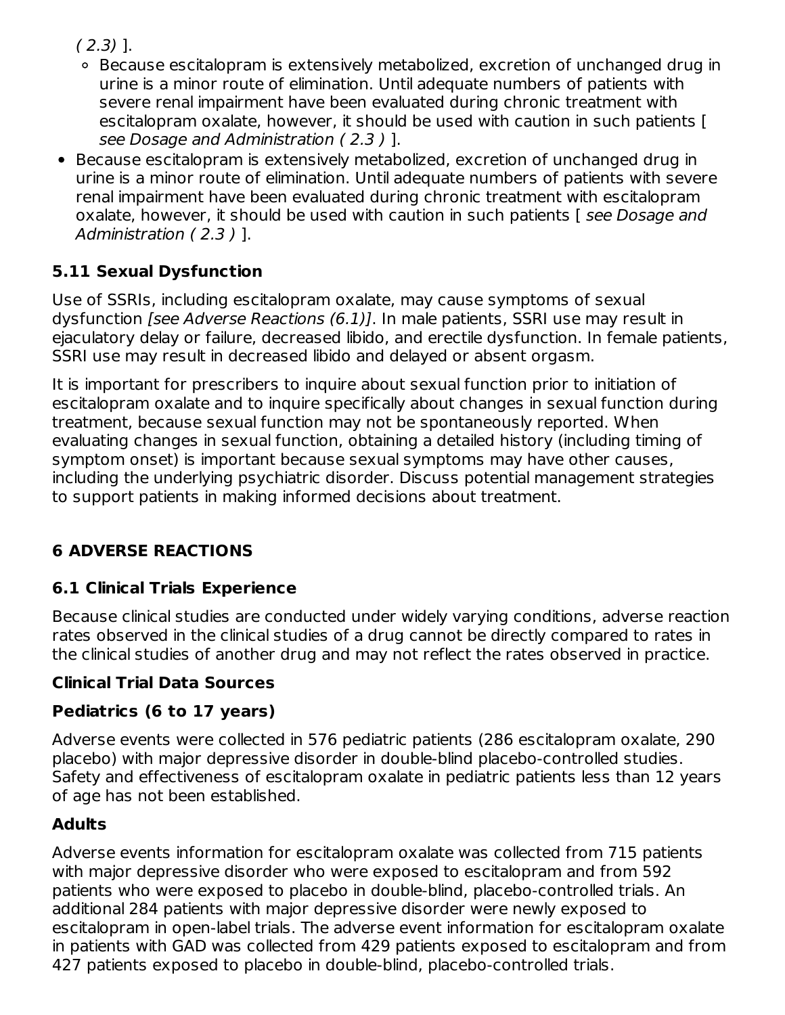$(2.3)$  ].

- Because escitalopram is extensively metabolized, excretion of unchanged drug in urine is a minor route of elimination. Until adequate numbers of patients with severe renal impairment have been evaluated during chronic treatment with escitalopram oxalate, however, it should be used with caution in such patients [ see Dosage and Administration ( 2.3 ) ].
- Because escitalopram is extensively metabolized, excretion of unchanged drug in urine is a minor route of elimination. Until adequate numbers of patients with severe renal impairment have been evaluated during chronic treatment with escitalopram oxalate, however, it should be used with caution in such patients [see Dosage and Administration ( 2.3 ) ].

### **5.11 Sexual Dysfunction**

Use of SSRIs, including escitalopram oxalate, may cause symptoms of sexual dysfunction [see Adverse Reactions (6.1)]. In male patients, SSRI use may result in ejaculatory delay or failure, decreased libido, and erectile dysfunction. In female patients, SSRI use may result in decreased libido and delayed or absent orgasm.

It is important for prescribers to inquire about sexual function prior to initiation of escitalopram oxalate and to inquire specifically about changes in sexual function during treatment, because sexual function may not be spontaneously reported. When evaluating changes in sexual function, obtaining a detailed history (including timing of symptom onset) is important because sexual symptoms may have other causes, including the underlying psychiatric disorder. Discuss potential management strategies to support patients in making informed decisions about treatment.

### **6 ADVERSE REACTIONS**

### **6.1 Clinical Trials Experience**

Because clinical studies are conducted under widely varying conditions, adverse reaction rates observed in the clinical studies of a drug cannot be directly compared to rates in the clinical studies of another drug and may not reflect the rates observed in practice.

### **Clinical Trial Data Sources**

### **Pediatrics (6 to 17 years)**

Adverse events were collected in 576 pediatric patients (286 escitalopram oxalate, 290 placebo) with major depressive disorder in double-blind placebo-controlled studies. Safety and effectiveness of escitalopram oxalate in pediatric patients less than 12 years of age has not been established.

### **Adults**

Adverse events information for escitalopram oxalate was collected from 715 patients with major depressive disorder who were exposed to escitalopram and from 592 patients who were exposed to placebo in double-blind, placebo-controlled trials. An additional 284 patients with major depressive disorder were newly exposed to escitalopram in open-label trials. The adverse event information for escitalopram oxalate in patients with GAD was collected from 429 patients exposed to escitalopram and from 427 patients exposed to placebo in double-blind, placebo-controlled trials.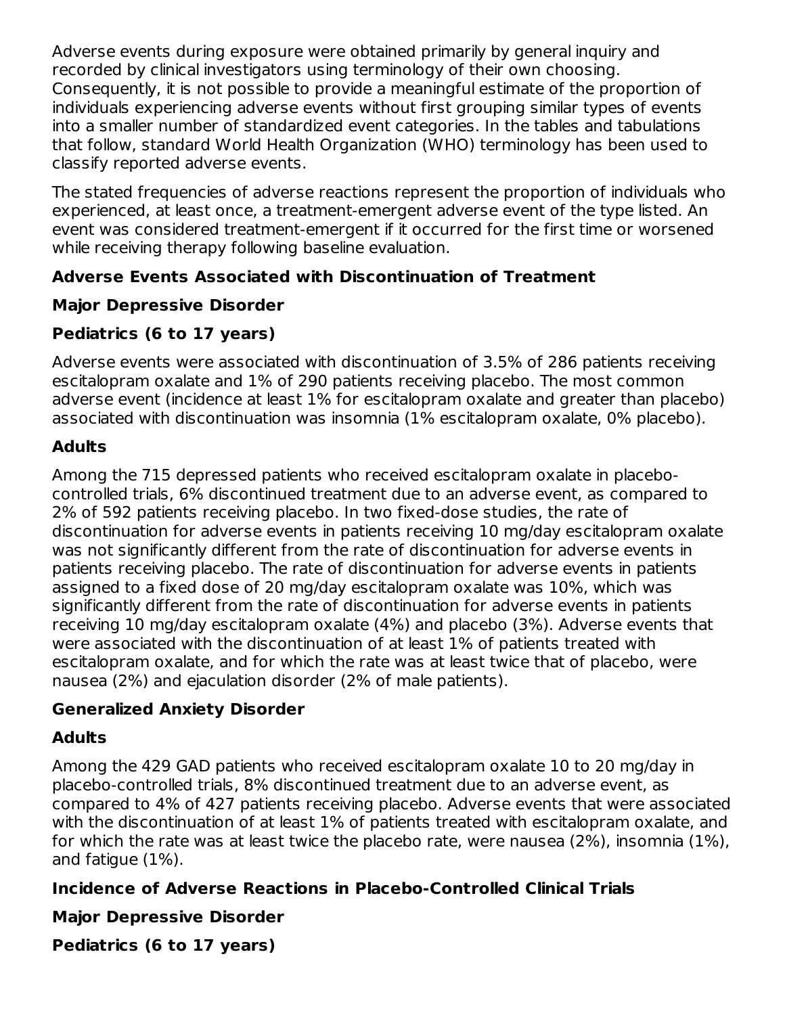Adverse events during exposure were obtained primarily by general inquiry and recorded by clinical investigators using terminology of their own choosing. Consequently, it is not possible to provide a meaningful estimate of the proportion of individuals experiencing adverse events without first grouping similar types of events into a smaller number of standardized event categories. In the tables and tabulations that follow, standard World Health Organization (WHO) terminology has been used to classify reported adverse events.

The stated frequencies of adverse reactions represent the proportion of individuals who experienced, at least once, a treatment-emergent adverse event of the type listed. An event was considered treatment-emergent if it occurred for the first time or worsened while receiving therapy following baseline evaluation.

### **Adverse Events Associated with Discontinuation of Treatment**

### **Major Depressive Disorder**

### **Pediatrics (6 to 17 years)**

Adverse events were associated with discontinuation of 3.5% of 286 patients receiving escitalopram oxalate and 1% of 290 patients receiving placebo. The most common adverse event (incidence at least 1% for escitalopram oxalate and greater than placebo) associated with discontinuation was insomnia (1% escitalopram oxalate, 0% placebo).

### **Adults**

Among the 715 depressed patients who received escitalopram oxalate in placebocontrolled trials, 6% discontinued treatment due to an adverse event, as compared to 2% of 592 patients receiving placebo. In two fixed-dose studies, the rate of discontinuation for adverse events in patients receiving 10 mg/day escitalopram oxalate was not significantly different from the rate of discontinuation for adverse events in patients receiving placebo. The rate of discontinuation for adverse events in patients assigned to a fixed dose of 20 mg/day escitalopram oxalate was 10%, which was significantly different from the rate of discontinuation for adverse events in patients receiving 10 mg/day escitalopram oxalate (4%) and placebo (3%). Adverse events that were associated with the discontinuation of at least 1% of patients treated with escitalopram oxalate, and for which the rate was at least twice that of placebo, were nausea (2%) and ejaculation disorder (2% of male patients).

#### **Generalized Anxiety Disorder**

### **Adults**

Among the 429 GAD patients who received escitalopram oxalate 10 to 20 mg/day in placebo-controlled trials, 8% discontinued treatment due to an adverse event, as compared to 4% of 427 patients receiving placebo. Adverse events that were associated with the discontinuation of at least 1% of patients treated with escitalopram oxalate, and for which the rate was at least twice the placebo rate, were nausea (2%), insomnia (1%), and fatigue (1%).

### **Incidence of Adverse Reactions in Placebo-Controlled Clinical Trials**

**Major Depressive Disorder**

**Pediatrics (6 to 17 years)**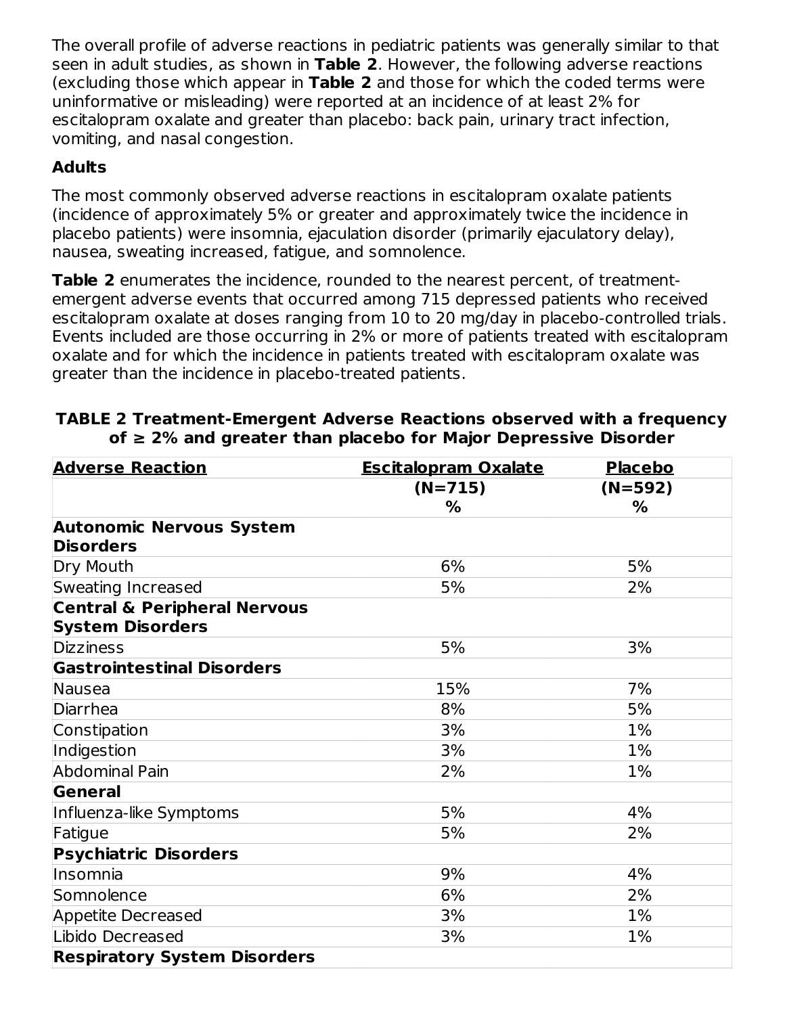The overall profile of adverse reactions in pediatric patients was generally similar to that seen in adult studies, as shown in **Table 2**. However, the following adverse reactions (excluding those which appear in **Table 2** and those for which the coded terms were uninformative or misleading) were reported at an incidence of at least 2% for escitalopram oxalate and greater than placebo: back pain, urinary tract infection, vomiting, and nasal congestion.

### **Adults**

The most commonly observed adverse reactions in escitalopram oxalate patients (incidence of approximately 5% or greater and approximately twice the incidence in placebo patients) were insomnia, ejaculation disorder (primarily ejaculatory delay), nausea, sweating increased, fatigue, and somnolence.

**Table 2** enumerates the incidence, rounded to the nearest percent, of treatmentemergent adverse events that occurred among 715 depressed patients who received escitalopram oxalate at doses ranging from 10 to 20 mg/day in placebo-controlled trials. Events included are those occurring in 2% or more of patients treated with escitalopram oxalate and for which the incidence in patients treated with escitalopram oxalate was greater than the incidence in placebo-treated patients.

| <b>Adverse Reaction</b>                                            | <b>Escitalopram Oxalate</b> | <b>Placebo</b> |
|--------------------------------------------------------------------|-----------------------------|----------------|
|                                                                    | $(N=715)$                   | (N=592)        |
|                                                                    | %                           | %              |
| <b>Autonomic Nervous System</b>                                    |                             |                |
| <b>Disorders</b>                                                   |                             |                |
| Dry Mouth                                                          | 6%                          | 5%             |
| Sweating Increased                                                 | 5%                          | 2%             |
| <b>Central &amp; Peripheral Nervous</b><br><b>System Disorders</b> |                             |                |
| <b>Dizziness</b>                                                   | 5%                          | 3%             |
| <b>Gastrointestinal Disorders</b>                                  |                             |                |
| <b>Nausea</b>                                                      | 15%                         | 7%             |
| Diarrhea                                                           | 8%                          | 5%             |
| Constipation                                                       | 3%                          | 1%             |
| Indigestion                                                        | 3%                          | 1%             |
| <b>Abdominal Pain</b>                                              | 2%                          | 1%             |
| <b>General</b>                                                     |                             |                |
| Influenza-like Symptoms                                            | 5%                          | 4%             |
| Fatigue                                                            | 5%                          | 2%             |
| <b>Psychiatric Disorders</b>                                       |                             |                |
| Insomnia                                                           | 9%                          | 4%             |
| Somnolence                                                         | 6%                          | 2%             |
| <b>Appetite Decreased</b>                                          | 3%                          | $1\%$          |
| Libido Decreased                                                   | 3%                          | 1%             |
| <b>Respiratory System Disorders</b>                                |                             |                |

#### **TABLE 2 Treatment-Emergent Adverse Reactions observed with a frequency of ≥ 2% and greater than placebo for Major Depressive Disorder**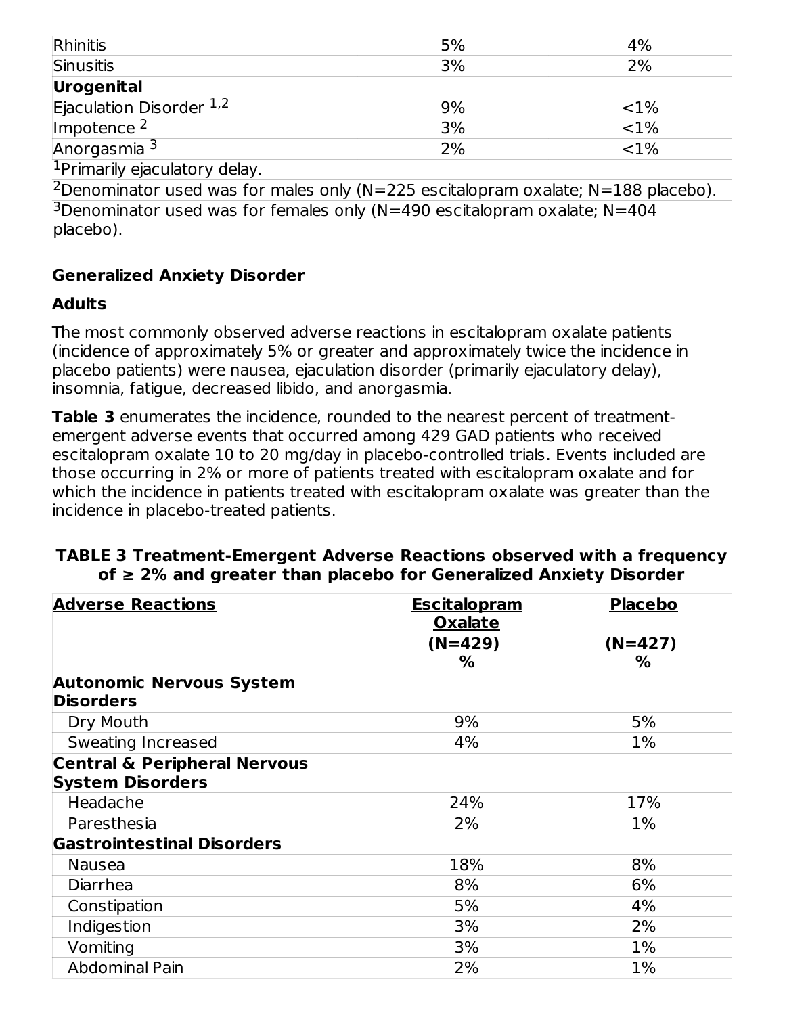| Rhinitis                                                                                                                 | 5% | 4%       |
|--------------------------------------------------------------------------------------------------------------------------|----|----------|
| Sinusitis                                                                                                                | 3% | 2%       |
| Urogenital                                                                                                               |    |          |
| Ejaculation Disorder $1,2$                                                                                               | 9% | ${<}1\%$ |
| Impotence $2$                                                                                                            | 3% | ${<}1\%$ |
| Anorgasmia $\overline{3}$                                                                                                | 2% | ${<}1\%$ |
| <b>Transport of the state of the state of the state of the state of the state of the state of the state of the state</b> |    |          |

<sup>1</sup>Primarily ejaculatory delay.

<sup>2</sup> Denominator used was for males only (N=225 escitalopram oxalate; N=188 placebo). <sup>3</sup>Denominator used was for females only (N=490 escitalopram oxalate; N=404 placebo).

#### **Generalized Anxiety Disorder**

#### **Adults**

The most commonly observed adverse reactions in escitalopram oxalate patients (incidence of approximately 5% or greater and approximately twice the incidence in placebo patients) were nausea, ejaculation disorder (primarily ejaculatory delay), insomnia, fatigue, decreased libido, and anorgasmia.

**Table 3** enumerates the incidence, rounded to the nearest percent of treatmentemergent adverse events that occurred among 429 GAD patients who received escitalopram oxalate 10 to 20 mg/day in placebo-controlled trials. Events included are those occurring in 2% or more of patients treated with escitalopram oxalate and for which the incidence in patients treated with escitalopram oxalate was greater than the incidence in placebo-treated patients.

#### **TABLE 3 Treatment-Emergent Adverse Reactions observed with a frequency of ≥ 2% and greater than placebo for Generalized Anxiety Disorder**

| <b>Adverse Reactions</b>                | <b>Escitalopram</b>         | <b>Placebo</b> |
|-----------------------------------------|-----------------------------|----------------|
|                                         | <b>Oxalate</b><br>$(N=429)$ | $(N=427)$      |
| <b>Autonomic Nervous System</b>         | %                           | %              |
| <b>Disorders</b>                        |                             |                |
| Dry Mouth                               | 9%                          | 5%             |
| Sweating Increased                      | 4%                          | $1\%$          |
| <b>Central &amp; Peripheral Nervous</b> |                             |                |
| <b>System Disorders</b>                 |                             |                |
| Headache                                | 24%                         | 17%            |
| Paresthesia                             | 2%                          | $1\%$          |
| <b>Gastrointestinal Disorders</b>       |                             |                |
| Nausea                                  | 18%                         | 8%             |
| Diarrhea                                | 8%                          | 6%             |
| Constipation                            | 5%                          | 4%             |
| Indigestion                             | 3%                          | 2%             |
| Vomiting                                | 3%                          | $1\%$          |
| <b>Abdominal Pain</b>                   | 2%                          | $1\%$          |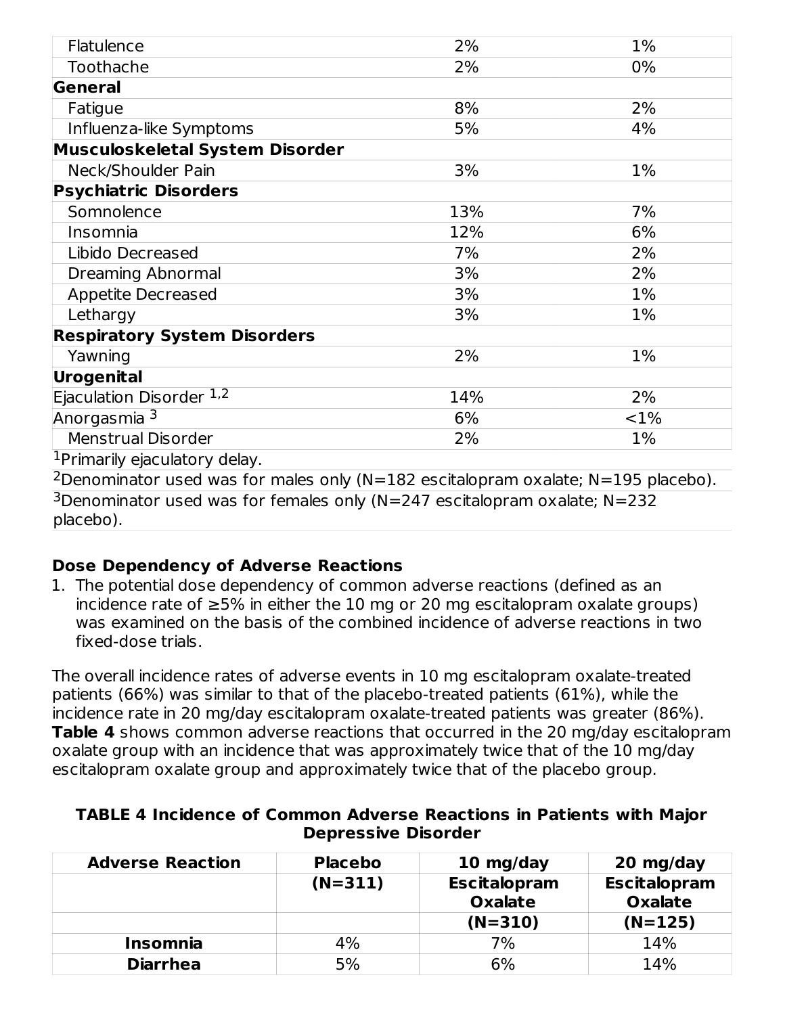| Flatulence                                                                                    | 2%  | 1%    |
|-----------------------------------------------------------------------------------------------|-----|-------|
| Toothache                                                                                     | 2%  | $0\%$ |
| General                                                                                       |     |       |
| Fatigue                                                                                       | 8%  | 2%    |
| Influenza-like Symptoms                                                                       | 5%  | 4%    |
| Musculoskeletal System Disorder                                                               |     |       |
| Neck/Shoulder Pain                                                                            | 3%  | 1%    |
| <b>Psychiatric Disorders</b>                                                                  |     |       |
| Somnolence                                                                                    | 13% | 7%    |
| Insomnia                                                                                      | 12% | 6%    |
| Libido Decreased                                                                              | 7%  | 2%    |
| Dreaming Abnormal                                                                             | 3%  | 2%    |
| <b>Appetite Decreased</b>                                                                     | 3%  | $1\%$ |
| Lethargy                                                                                      | 3%  | 1%    |
| <b>Respiratory System Disorders</b>                                                           |     |       |
| Yawning                                                                                       | 2%  | 1%    |
| Urogenital                                                                                    |     |       |
| Ejaculation Disorder 1,2                                                                      | 14% | 2%    |
| Anorgasmia <sup>3</sup>                                                                       | 6%  | <1%   |
| <b>Menstrual Disorder</b>                                                                     | 2%  | $1\%$ |
| <sup>1</sup> Primarily ejaculatory delay.                                                     |     |       |
| <sup>2</sup> Denominator used was for males only (N=182 escitalopram oxalate; N=195 placebo). |     |       |
| <sup>3</sup> Denominator used was for females only (N=247 escitalopram oxalate; N=232         |     |       |
| placebo).                                                                                     |     |       |

#### **Dose Dependency of Adverse Reactions**

1. The potential dose dependency of common adverse reactions (defined as an incidence rate of ≥5% in either the 10 mg or 20 mg escitalopram oxalate groups) was examined on the basis of the combined incidence of adverse reactions in two fixed-dose trials.

The overall incidence rates of adverse events in 10 mg escitalopram oxalate-treated patients (66%) was similar to that of the placebo-treated patients (61%), while the incidence rate in 20 mg/day escitalopram oxalate-treated patients was greater (86%). **Table 4** shows common adverse reactions that occurred in the 20 mg/day escitalopram oxalate group with an incidence that was approximately twice that of the 10 mg/day escitalopram oxalate group and approximately twice that of the placebo group.

| <b>TABLE 4 Incidence of Common Adverse Reactions in Patients with Major</b> |  |                            |  |  |
|-----------------------------------------------------------------------------|--|----------------------------|--|--|
|                                                                             |  | <b>Depressive Disorder</b> |  |  |

| <b>Adverse Reaction</b> | <b>Placebo</b> | 10 mg/day                             | 20 mg/day                             |
|-------------------------|----------------|---------------------------------------|---------------------------------------|
|                         | $(N=311)$      | <b>Escitalopram</b><br><b>Oxalate</b> | <b>Escitalopram</b><br><b>Oxalate</b> |
|                         |                | $(N=310)$                             | $(N=125)$                             |
| <b>Insomnia</b>         | 4%             | 7%                                    | 14%                                   |
| <b>Diarrhea</b>         | 5%             | 6%                                    | 14%                                   |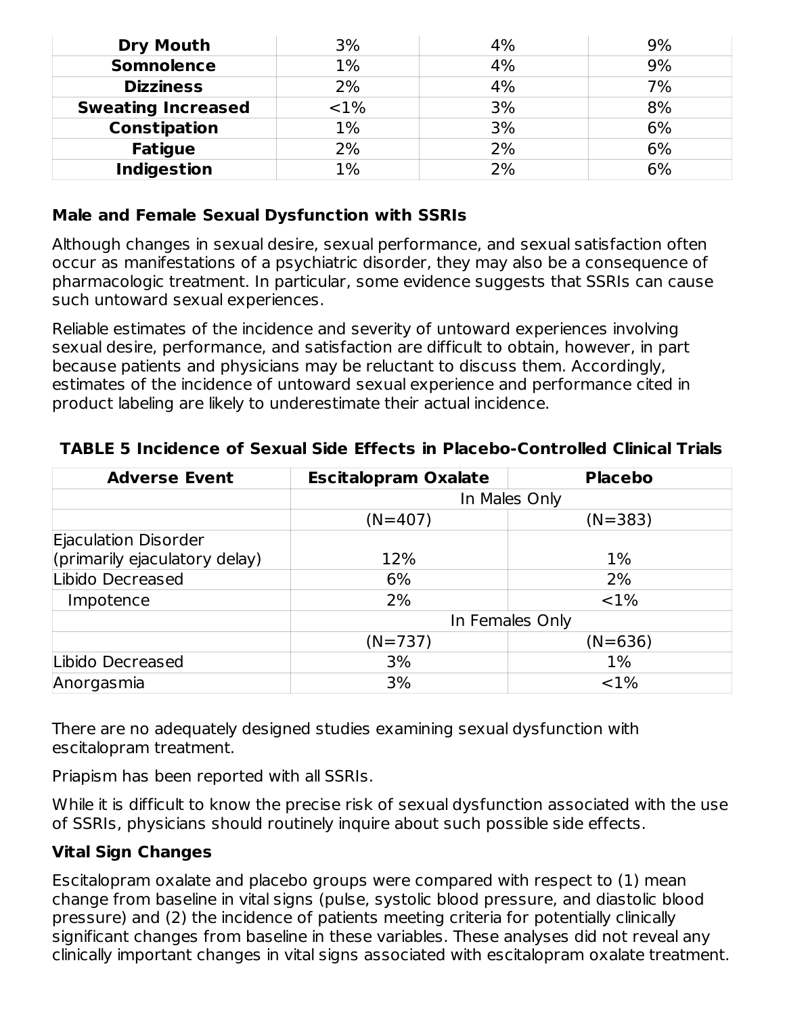| <b>Dry Mouth</b>          | 3%    | 4% | 9% |
|---------------------------|-------|----|----|
| <b>Somnolence</b>         | 1%    | 4% | 9% |
| <b>Dizziness</b>          | 2%    | 4% | 7% |
| <b>Sweating Increased</b> | <1%   | 3% | 8% |
| <b>Constipation</b>       | 1%    | 3% | 6% |
| <b>Fatigue</b>            | 2%    | 2% | 6% |
| <b>Indigestion</b>        | $1\%$ | 2% | 6% |

#### **Male and Female Sexual Dysfunction with SSRIs**

Although changes in sexual desire, sexual performance, and sexual satisfaction often occur as manifestations of a psychiatric disorder, they may also be a consequence of pharmacologic treatment. In particular, some evidence suggests that SSRIs can cause such untoward sexual experiences.

Reliable estimates of the incidence and severity of untoward experiences involving sexual desire, performance, and satisfaction are difficult to obtain, however, in part because patients and physicians may be reluctant to discuss them. Accordingly, estimates of the incidence of untoward sexual experience and performance cited in product labeling are likely to underestimate their actual incidence.

| <b>Adverse Event</b>          | <b>Escitalopram Oxalate</b> | <b>Placebo</b> |  |
|-------------------------------|-----------------------------|----------------|--|
|                               | In Males Only               |                |  |
|                               | $(N=407)$                   | $(N=383)$      |  |
| Ejaculation Disorder          |                             |                |  |
| (primarily ejaculatory delay) | 12%                         | $1\%$          |  |
| Libido Decreased              | 6%                          | 2%             |  |
| Impotence                     | 2%                          | <1%            |  |
|                               | In Females Only             |                |  |
|                               | $(N=737)$                   | $(N=636)$      |  |
| Libido Decreased              | 3%                          | $1\%$          |  |
| Anorgasmia                    | 3%                          | ${<}1\%$       |  |

#### **TABLE 5 Incidence of Sexual Side Effects in Placebo-Controlled Clinical Trials**

There are no adequately designed studies examining sexual dysfunction with escitalopram treatment.

Priapism has been reported with all SSRIs.

While it is difficult to know the precise risk of sexual dysfunction associated with the use of SSRIs, physicians should routinely inquire about such possible side effects.

#### **Vital Sign Changes**

Escitalopram oxalate and placebo groups were compared with respect to (1) mean change from baseline in vital signs (pulse, systolic blood pressure, and diastolic blood pressure) and (2) the incidence of patients meeting criteria for potentially clinically significant changes from baseline in these variables. These analyses did not reveal any clinically important changes in vital signs associated with escitalopram oxalate treatment.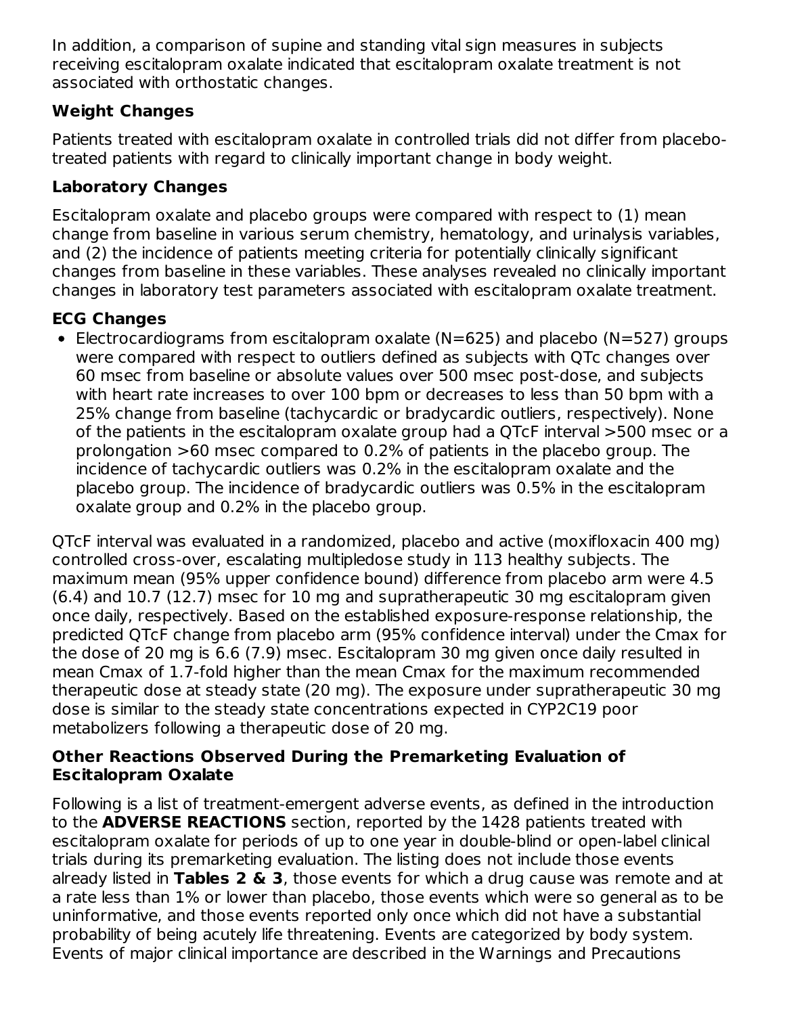In addition, a comparison of supine and standing vital sign measures in subjects receiving escitalopram oxalate indicated that escitalopram oxalate treatment is not associated with orthostatic changes.

### **Weight Changes**

Patients treated with escitalopram oxalate in controlled trials did not differ from placebotreated patients with regard to clinically important change in body weight.

### **Laboratory Changes**

Escitalopram oxalate and placebo groups were compared with respect to (1) mean change from baseline in various serum chemistry, hematology, and urinalysis variables, and (2) the incidence of patients meeting criteria for potentially clinically significant changes from baseline in these variables. These analyses revealed no clinically important changes in laboratory test parameters associated with escitalopram oxalate treatment.

#### **ECG Changes**

Electrocardiograms from escitalopram oxalate (N=625) and placebo (N=527) groups were compared with respect to outliers defined as subjects with QTc changes over 60 msec from baseline or absolute values over 500 msec post-dose, and subjects with heart rate increases to over 100 bpm or decreases to less than 50 bpm with a 25% change from baseline (tachycardic or bradycardic outliers, respectively). None of the patients in the escitalopram oxalate group had a QTcF interval >500 msec or a prolongation >60 msec compared to 0.2% of patients in the placebo group. The incidence of tachycardic outliers was 0.2% in the escitalopram oxalate and the placebo group. The incidence of bradycardic outliers was 0.5% in the escitalopram oxalate group and 0.2% in the placebo group.

QTcF interval was evaluated in a randomized, placebo and active (moxifloxacin 400 mg) controlled cross-over, escalating multipledose study in 113 healthy subjects. The maximum mean (95% upper confidence bound) difference from placebo arm were 4.5 (6.4) and 10.7 (12.7) msec for 10 mg and supratherapeutic 30 mg escitalopram given once daily, respectively. Based on the established exposure-response relationship, the predicted QTcF change from placebo arm (95% confidence interval) under the Cmax for the dose of 20 mg is 6.6 (7.9) msec. Escitalopram 30 mg given once daily resulted in mean Cmax of 1.7-fold higher than the mean Cmax for the maximum recommended therapeutic dose at steady state (20 mg). The exposure under supratherapeutic 30 mg dose is similar to the steady state concentrations expected in CYP2C19 poor metabolizers following a therapeutic dose of 20 mg.

#### **Other Reactions Observed During the Premarketing Evaluation of Escitalopram Oxalate**

Following is a list of treatment-emergent adverse events, as defined in the introduction to the **ADVERSE REACTIONS** section, reported by the 1428 patients treated with escitalopram oxalate for periods of up to one year in double-blind or open-label clinical trials during its premarketing evaluation. The listing does not include those events already listed in **Tables 2 & 3**, those events for which a drug cause was remote and at a rate less than 1% or lower than placebo, those events which were so general as to be uninformative, and those events reported only once which did not have a substantial probability of being acutely life threatening. Events are categorized by body system. Events of major clinical importance are described in the Warnings and Precautions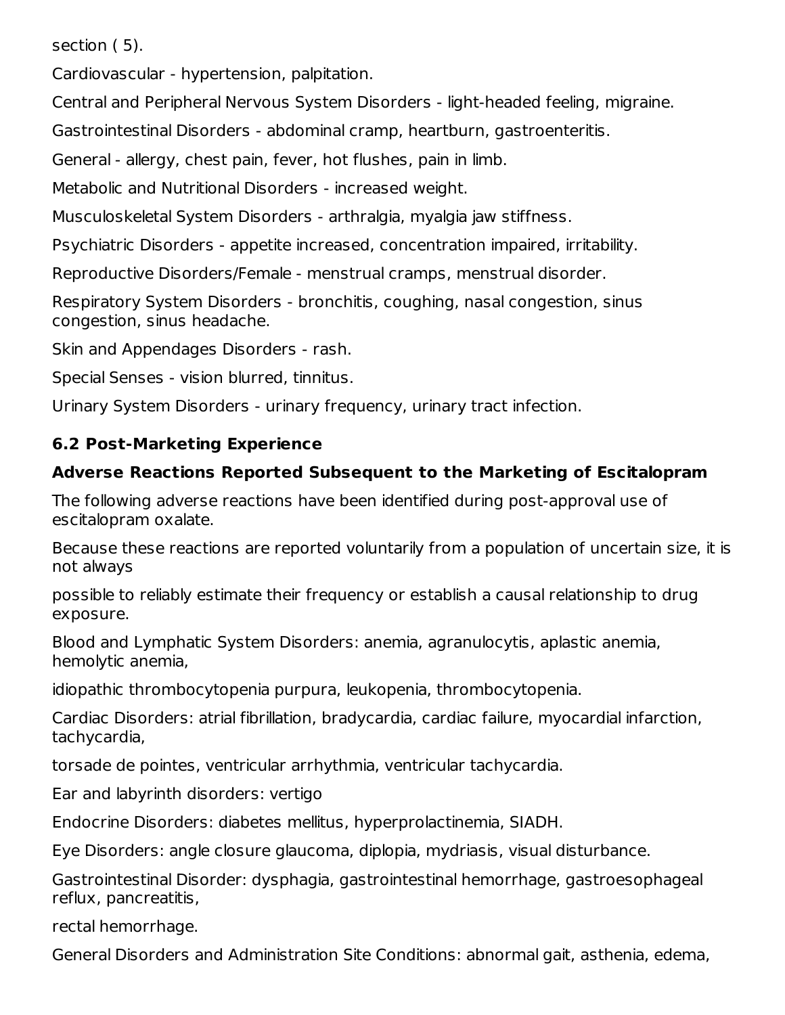section ( 5).

Cardiovascular - hypertension, palpitation.

Central and Peripheral Nervous System Disorders - light-headed feeling, migraine.

Gastrointestinal Disorders - abdominal cramp, heartburn, gastroenteritis.

General - allergy, chest pain, fever, hot flushes, pain in limb.

Metabolic and Nutritional Disorders - increased weight.

Musculoskeletal System Disorders - arthralgia, myalgia jaw stiffness.

Psychiatric Disorders - appetite increased, concentration impaired, irritability.

Reproductive Disorders/Female - menstrual cramps, menstrual disorder.

Respiratory System Disorders - bronchitis, coughing, nasal congestion, sinus congestion, sinus headache.

Skin and Appendages Disorders - rash.

Special Senses - vision blurred, tinnitus.

Urinary System Disorders - urinary frequency, urinary tract infection.

### **6.2 Post-Marketing Experience**

### **Adverse Reactions Reported Subsequent to the Marketing of Escitalopram**

The following adverse reactions have been identified during post-approval use of escitalopram oxalate.

Because these reactions are reported voluntarily from a population of uncertain size, it is not always

possible to reliably estimate their frequency or establish a causal relationship to drug exposure.

Blood and Lymphatic System Disorders: anemia, agranulocytis, aplastic anemia, hemolytic anemia,

idiopathic thrombocytopenia purpura, leukopenia, thrombocytopenia.

Cardiac Disorders: atrial fibrillation, bradycardia, cardiac failure, myocardial infarction, tachycardia,

torsade de pointes, ventricular arrhythmia, ventricular tachycardia.

Ear and labyrinth disorders: vertigo

Endocrine Disorders: diabetes mellitus, hyperprolactinemia, SIADH.

Eye Disorders: angle closure glaucoma, diplopia, mydriasis, visual disturbance.

Gastrointestinal Disorder: dysphagia, gastrointestinal hemorrhage, gastroesophageal reflux, pancreatitis,

rectal hemorrhage.

General Disorders and Administration Site Conditions: abnormal gait, asthenia, edema,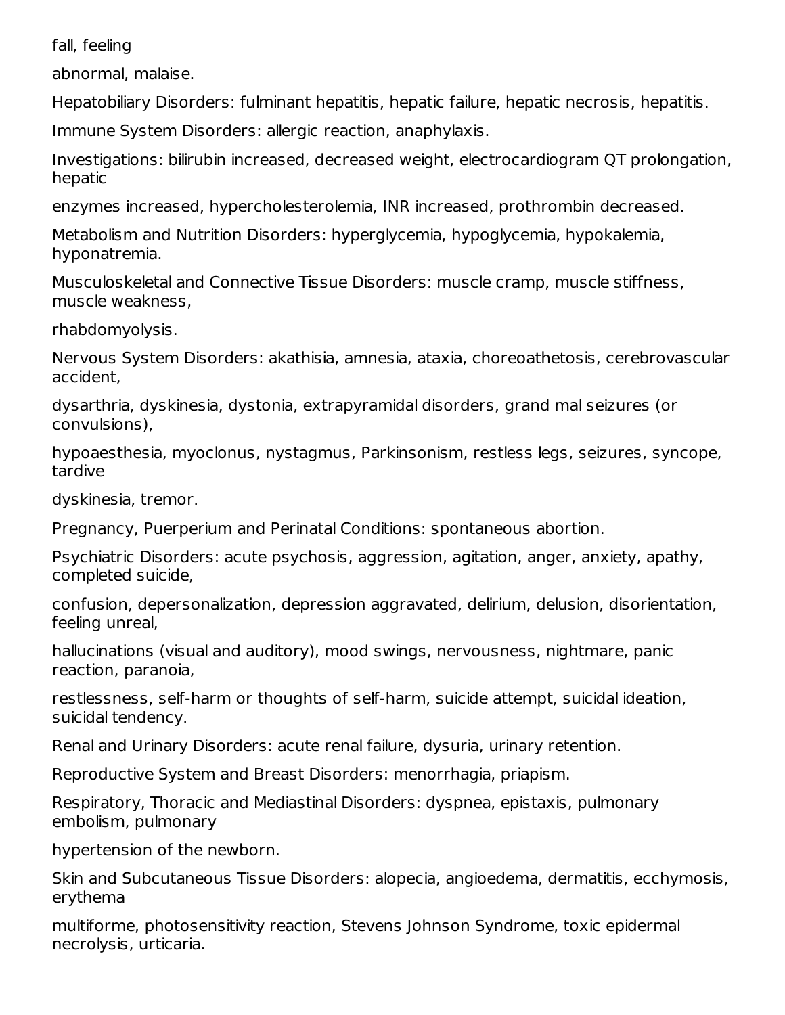fall, feeling

abnormal, malaise.

Hepatobiliary Disorders: fulminant hepatitis, hepatic failure, hepatic necrosis, hepatitis.

Immune System Disorders: allergic reaction, anaphylaxis.

Investigations: bilirubin increased, decreased weight, electrocardiogram QT prolongation, hepatic

enzymes increased, hypercholesterolemia, INR increased, prothrombin decreased.

Metabolism and Nutrition Disorders: hyperglycemia, hypoglycemia, hypokalemia, hyponatremia.

Musculoskeletal and Connective Tissue Disorders: muscle cramp, muscle stiffness, muscle weakness,

rhabdomyolysis.

Nervous System Disorders: akathisia, amnesia, ataxia, choreoathetosis, cerebrovascular accident,

dysarthria, dyskinesia, dystonia, extrapyramidal disorders, grand mal seizures (or convulsions),

hypoaesthesia, myoclonus, nystagmus, Parkinsonism, restless legs, seizures, syncope, tardive

dyskinesia, tremor.

Pregnancy, Puerperium and Perinatal Conditions: spontaneous abortion.

Psychiatric Disorders: acute psychosis, aggression, agitation, anger, anxiety, apathy, completed suicide,

confusion, depersonalization, depression aggravated, delirium, delusion, disorientation, feeling unreal,

hallucinations (visual and auditory), mood swings, nervousness, nightmare, panic reaction, paranoia,

restlessness, self-harm or thoughts of self-harm, suicide attempt, suicidal ideation, suicidal tendency.

Renal and Urinary Disorders: acute renal failure, dysuria, urinary retention.

Reproductive System and Breast Disorders: menorrhagia, priapism.

Respiratory, Thoracic and Mediastinal Disorders: dyspnea, epistaxis, pulmonary embolism, pulmonary

hypertension of the newborn.

Skin and Subcutaneous Tissue Disorders: alopecia, angioedema, dermatitis, ecchymosis, erythema

multiforme, photosensitivity reaction, Stevens Johnson Syndrome, toxic epidermal necrolysis, urticaria.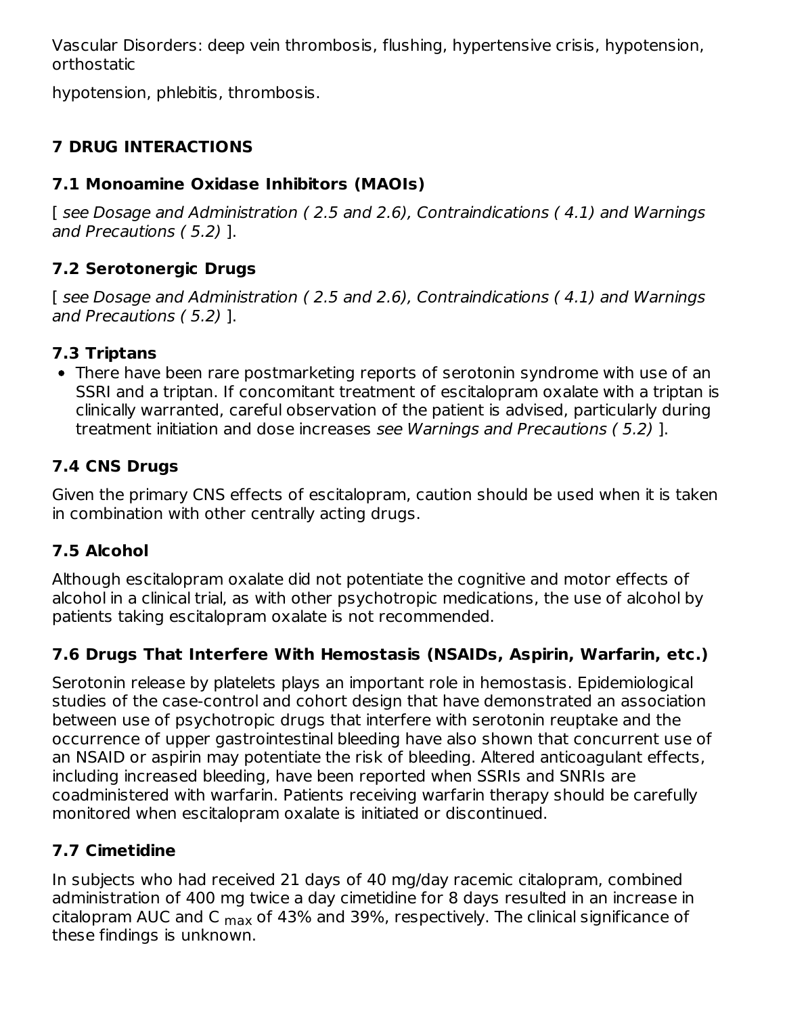Vascular Disorders: deep vein thrombosis, flushing, hypertensive crisis, hypotension, orthostatic

hypotension, phlebitis, thrombosis.

### **7 DRUG INTERACTIONS**

### **7.1 Monoamine Oxidase Inhibitors (MAOIs)**

[ see Dosage and Administration (2.5 and 2.6), Contraindications (4.1) and Warnings and Precautions ( 5.2) ].

### **7.2 Serotonergic Drugs**

[ see Dosage and Administration (2.5 and 2.6), Contraindications (4.1) and Warnings and Precautions ( 5.2) ].

### **7.3 Triptans**

There have been rare postmarketing reports of serotonin syndrome with use of an SSRI and a triptan. If concomitant treatment of escitalopram oxalate with a triptan is clinically warranted, careful observation of the patient is advised, particularly during treatment initiation and dose increases see Warnings and Precautions ( 5.2) ].

### **7.4 CNS Drugs**

Given the primary CNS effects of escitalopram, caution should be used when it is taken in combination with other centrally acting drugs.

### **7.5 Alcohol**

Although escitalopram oxalate did not potentiate the cognitive and motor effects of alcohol in a clinical trial, as with other psychotropic medications, the use of alcohol by patients taking escitalopram oxalate is not recommended.

### **7.6 Drugs That Interfere With Hemostasis (NSAIDs, Aspirin, Warfarin, etc.)**

Serotonin release by platelets plays an important role in hemostasis. Epidemiological studies of the case-control and cohort design that have demonstrated an association between use of psychotropic drugs that interfere with serotonin reuptake and the occurrence of upper gastrointestinal bleeding have also shown that concurrent use of an NSAID or aspirin may potentiate the risk of bleeding. Altered anticoagulant effects, including increased bleeding, have been reported when SSRIs and SNRIs are coadministered with warfarin. Patients receiving warfarin therapy should be carefully monitored when escitalopram oxalate is initiated or discontinued.

### **7.7 Cimetidine**

In subjects who had received 21 days of 40 mg/day racemic citalopram, combined administration of 400 mg twice a day cimetidine for 8 days resulted in an increase in citalopram AUC and C <sub>max</sub> of 43% and 39%, respectively. The clinical significance of these findings is unknown.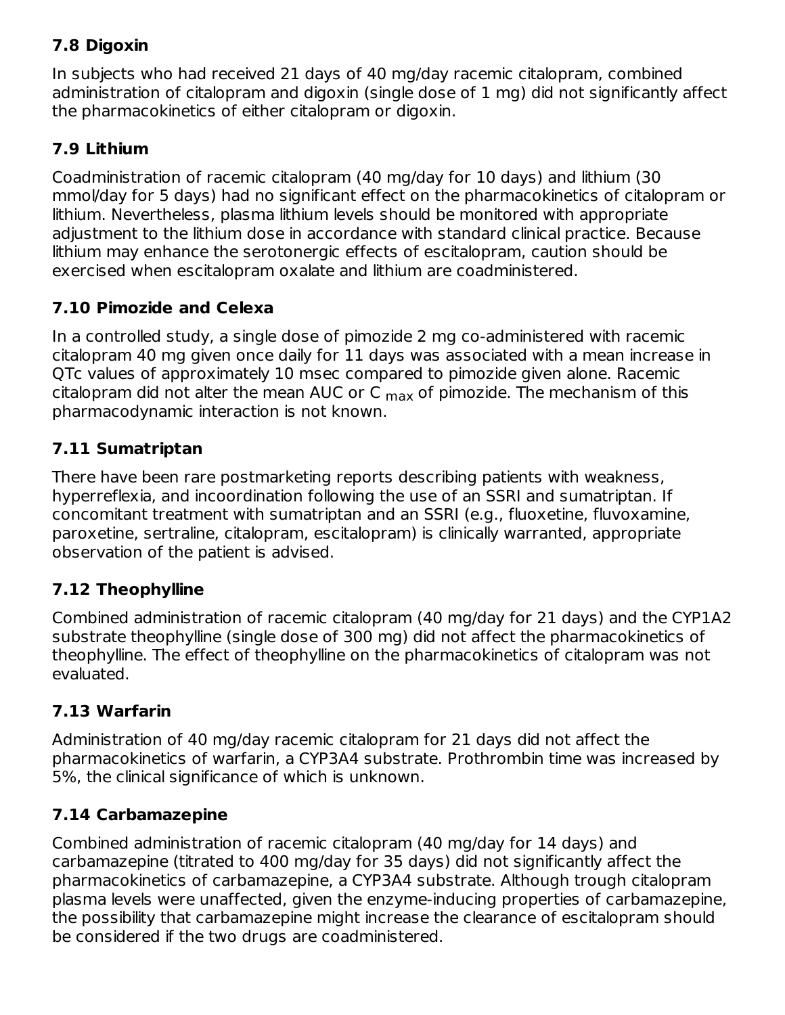### **7.8 Digoxin**

In subjects who had received 21 days of 40 mg/day racemic citalopram, combined administration of citalopram and digoxin (single dose of 1 mg) did not significantly affect the pharmacokinetics of either citalopram or digoxin.

### **7.9 Lithium**

Coadministration of racemic citalopram (40 mg/day for 10 days) and lithium (30 mmol/day for 5 days) had no significant effect on the pharmacokinetics of citalopram or lithium. Nevertheless, plasma lithium levels should be monitored with appropriate adjustment to the lithium dose in accordance with standard clinical practice. Because lithium may enhance the serotonergic effects of escitalopram, caution should be exercised when escitalopram oxalate and lithium are coadministered.

### **7.10 Pimozide and Celexa**

In a controlled study, a single dose of pimozide 2 mg co-administered with racemic citalopram 40 mg given once daily for 11 days was associated with a mean increase in QTc values of approximately 10 msec compared to pimozide given alone. Racemic citalopram did not alter the mean AUC or C  $_{\sf max}$  of pimozide. The mechanism of this pharmacodynamic interaction is not known.

### **7.11 Sumatriptan**

There have been rare postmarketing reports describing patients with weakness, hyperreflexia, and incoordination following the use of an SSRI and sumatriptan. If concomitant treatment with sumatriptan and an SSRI (e.g., fluoxetine, fluvoxamine, paroxetine, sertraline, citalopram, escitalopram) is clinically warranted, appropriate observation of the patient is advised.

#### **7.12 Theophylline**

Combined administration of racemic citalopram (40 mg/day for 21 days) and the CYP1A2 substrate theophylline (single dose of 300 mg) did not affect the pharmacokinetics of theophylline. The effect of theophylline on the pharmacokinetics of citalopram was not evaluated.

#### **7.13 Warfarin**

Administration of 40 mg/day racemic citalopram for 21 days did not affect the pharmacokinetics of warfarin, a CYP3A4 substrate. Prothrombin time was increased by 5%, the clinical significance of which is unknown.

#### **7.14 Carbamazepine**

Combined administration of racemic citalopram (40 mg/day for 14 days) and carbamazepine (titrated to 400 mg/day for 35 days) did not significantly affect the pharmacokinetics of carbamazepine, a CYP3A4 substrate. Although trough citalopram plasma levels were unaffected, given the enzyme-inducing properties of carbamazepine, the possibility that carbamazepine might increase the clearance of escitalopram should be considered if the two drugs are coadministered.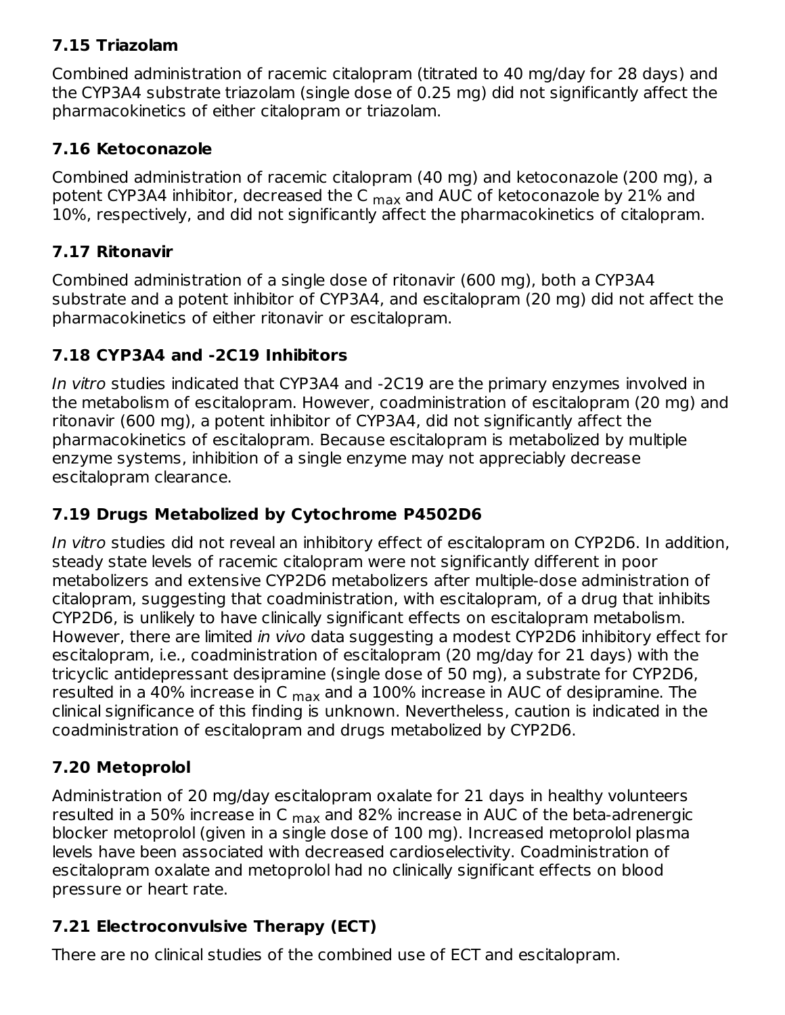### **7.15 Triazolam**

Combined administration of racemic citalopram (titrated to 40 mg/day for 28 days) and the CYP3A4 substrate triazolam (single dose of 0.25 mg) did not significantly affect the pharmacokinetics of either citalopram or triazolam.

### **7.16 Ketoconazole**

Combined administration of racemic citalopram (40 mg) and ketoconazole (200 mg), a potent CYP3A4 inhibitor, decreased the C <sub>max</sub> and AUC of ketoconazole by 21% and 10%, respectively, and did not significantly affect the pharmacokinetics of citalopram.

### **7.17 Ritonavir**

Combined administration of a single dose of ritonavir (600 mg), both a CYP3A4 substrate and a potent inhibitor of CYP3A4, and escitalopram (20 mg) did not affect the pharmacokinetics of either ritonavir or escitalopram.

### **7.18 CYP3A4 and -2C19 Inhibitors**

In vitro studies indicated that CYP3A4 and -2C19 are the primary enzymes involved in the metabolism of escitalopram. However, coadministration of escitalopram (20 mg) and ritonavir (600 mg), a potent inhibitor of CYP3A4, did not significantly affect the pharmacokinetics of escitalopram. Because escitalopram is metabolized by multiple enzyme systems, inhibition of a single enzyme may not appreciably decrease escitalopram clearance.

### **7.19 Drugs Metabolized by Cytochrome P4502D6**

In vitro studies did not reveal an inhibitory effect of escitalopram on CYP2D6. In addition, steady state levels of racemic citalopram were not significantly different in poor metabolizers and extensive CYP2D6 metabolizers after multiple-dose administration of citalopram, suggesting that coadministration, with escitalopram, of a drug that inhibits CYP2D6, is unlikely to have clinically significant effects on escitalopram metabolism. However, there are limited in vivo data suggesting a modest CYP2D6 inhibitory effect for escitalopram, i.e., coadministration of escitalopram (20 mg/day for 21 days) with the tricyclic antidepressant desipramine (single dose of 50 mg), a substrate for CYP2D6, resulted in a 40% increase in C  $_{\sf max}$  and a 100% increase in AUC of desipramine. The clinical significance of this finding is unknown. Nevertheless, caution is indicated in the coadministration of escitalopram and drugs metabolized by CYP2D6.

### **7.20 Metoprolol**

Administration of 20 mg/day escitalopram oxalate for 21 days in healthy volunteers resulted in a 50% increase in C <sub>max</sub> and 82% increase in AUC of the beta-adrenergic blocker metoprolol (given in a single dose of 100 mg). Increased metoprolol plasma levels have been associated with decreased cardioselectivity. Coadministration of escitalopram oxalate and metoprolol had no clinically significant effects on blood pressure or heart rate.

### **7.21 Electroconvulsive Therapy (ECT)**

There are no clinical studies of the combined use of ECT and escitalopram.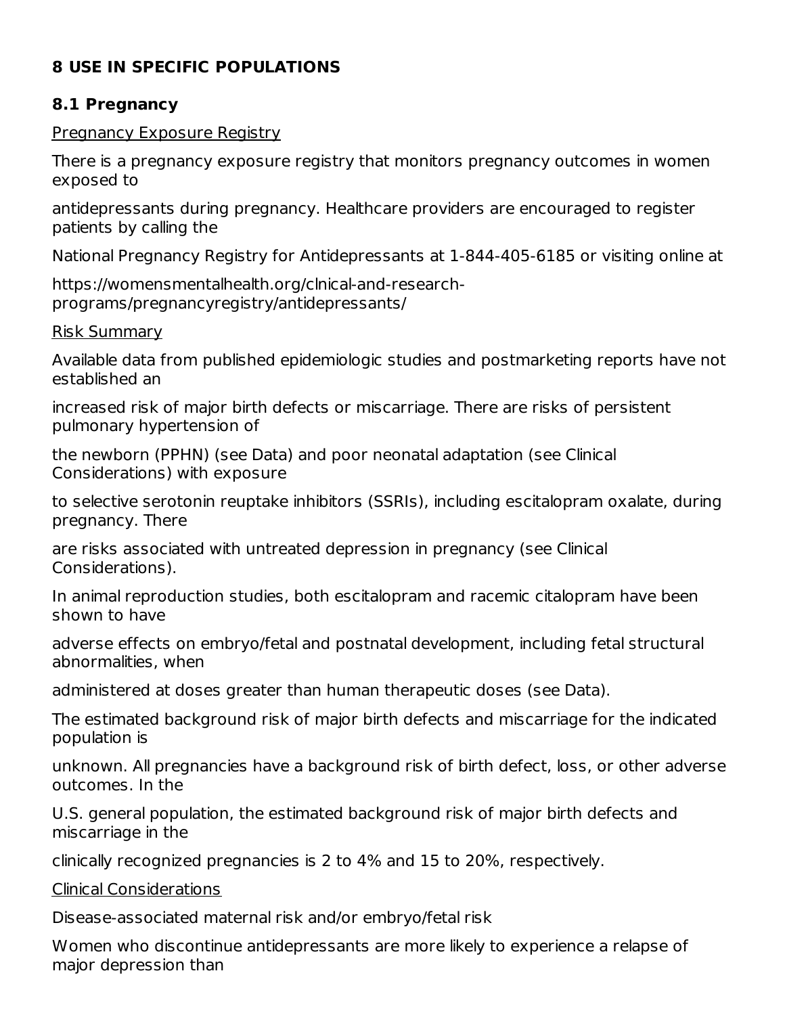### **8 USE IN SPECIFIC POPULATIONS**

#### **8.1 Pregnancy**

#### Pregnancy Exposure Registry

There is a pregnancy exposure registry that monitors pregnancy outcomes in women exposed to

antidepressants during pregnancy. Healthcare providers are encouraged to register patients by calling the

National Pregnancy Registry for Antidepressants at 1-844-405-6185 or visiting online at

https://womensmentalhealth.org/clnical-and-researchprograms/pregnancyregistry/antidepressants/

#### Risk Summary

Available data from published epidemiologic studies and postmarketing reports have not established an

increased risk of major birth defects or miscarriage. There are risks of persistent pulmonary hypertension of

the newborn (PPHN) (see Data) and poor neonatal adaptation (see Clinical Considerations) with exposure

to selective serotonin reuptake inhibitors (SSRIs), including escitalopram oxalate, during pregnancy. There

are risks associated with untreated depression in pregnancy (see Clinical Considerations).

In animal reproduction studies, both escitalopram and racemic citalopram have been shown to have

adverse effects on embryo/fetal and postnatal development, including fetal structural abnormalities, when

administered at doses greater than human therapeutic doses (see Data).

The estimated background risk of major birth defects and miscarriage for the indicated population is

unknown. All pregnancies have a background risk of birth defect, loss, or other adverse outcomes. In the

U.S. general population, the estimated background risk of major birth defects and miscarriage in the

clinically recognized pregnancies is 2 to 4% and 15 to 20%, respectively.

Clinical Considerations

Disease-associated maternal risk and/or embryo/fetal risk

Women who discontinue antidepressants are more likely to experience a relapse of major depression than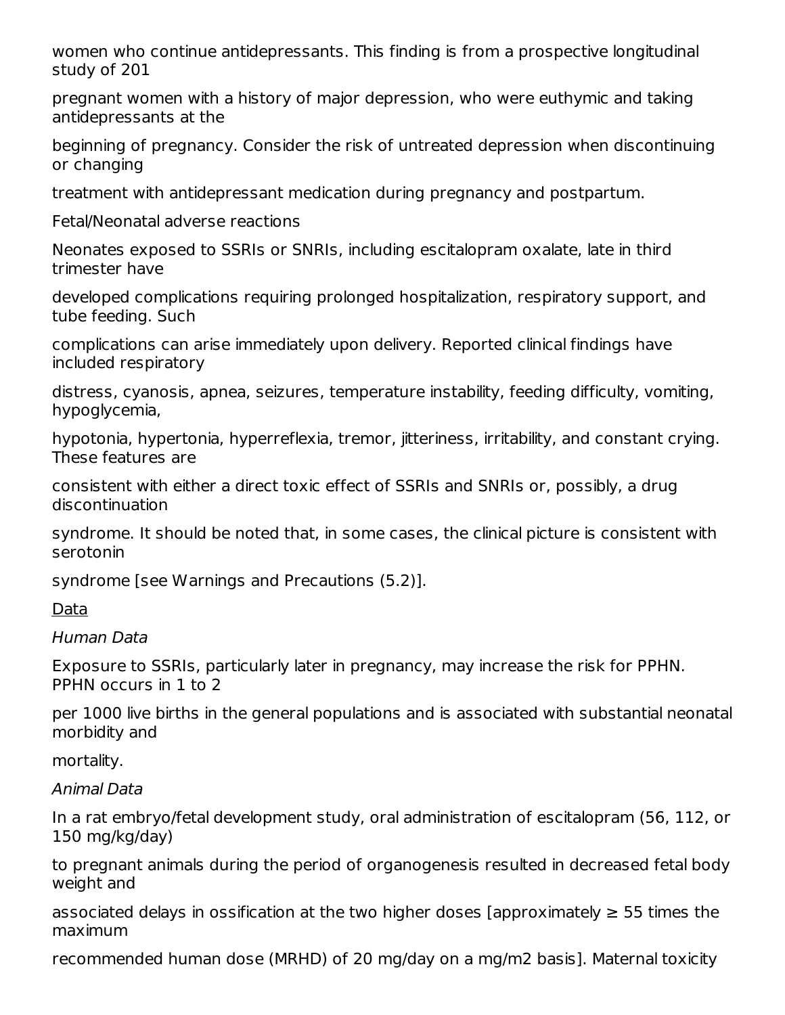women who continue antidepressants. This finding is from a prospective longitudinal study of 201

pregnant women with a history of major depression, who were euthymic and taking antidepressants at the

beginning of pregnancy. Consider the risk of untreated depression when discontinuing or changing

treatment with antidepressant medication during pregnancy and postpartum.

Fetal/Neonatal adverse reactions

Neonates exposed to SSRIs or SNRIs, including escitalopram oxalate, late in third trimester have

developed complications requiring prolonged hospitalization, respiratory support, and tube feeding. Such

complications can arise immediately upon delivery. Reported clinical findings have included respiratory

distress, cyanosis, apnea, seizures, temperature instability, feeding difficulty, vomiting, hypoglycemia,

hypotonia, hypertonia, hyperreflexia, tremor, jitteriness, irritability, and constant crying. These features are

consistent with either a direct toxic effect of SSRIs and SNRIs or, possibly, a drug discontinuation

syndrome. It should be noted that, in some cases, the clinical picture is consistent with serotonin

syndrome [see Warnings and Precautions (5.2)].

Data

Human Data

Exposure to SSRIs, particularly later in pregnancy, may increase the risk for PPHN. PPHN occurs in 1 to 2

per 1000 live births in the general populations and is associated with substantial neonatal morbidity and

mortality.

Animal Data

In a rat embryo/fetal development study, oral administration of escitalopram (56, 112, or 150 mg/kg/day)

to pregnant animals during the period of organogenesis resulted in decreased fetal body weight and

associated delays in ossification at the two higher doses [approximately  $\geq$  55 times the maximum

recommended human dose (MRHD) of 20 mg/day on a mg/m2 basis]. Maternal toxicity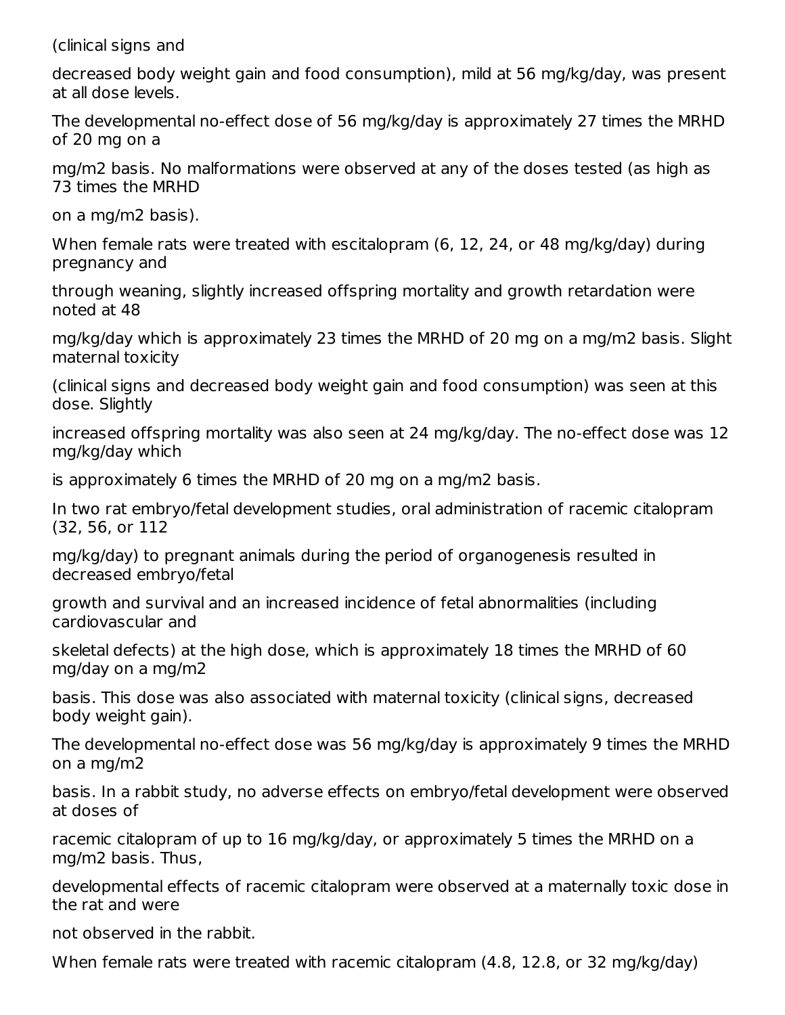(clinical signs and

decreased body weight gain and food consumption), mild at 56 mg/kg/day, was present at all dose levels.

The developmental no-effect dose of 56 mg/kg/day is approximately 27 times the MRHD of 20 mg on a

mg/m2 basis. No malformations were observed at any of the doses tested (as high as 73 times the MRHD

on a mg/m2 basis).

When female rats were treated with escitalopram (6, 12, 24, or 48 mg/kg/day) during pregnancy and

through weaning, slightly increased offspring mortality and growth retardation were noted at 48

mg/kg/day which is approximately 23 times the MRHD of 20 mg on a mg/m2 basis. Slight maternal toxicity

(clinical signs and decreased body weight gain and food consumption) was seen at this dose. Slightly

increased offspring mortality was also seen at 24 mg/kg/day. The no-effect dose was 12 mg/kg/day which

is approximately 6 times the MRHD of 20 mg on a mg/m2 basis.

In two rat embryo/fetal development studies, oral administration of racemic citalopram (32, 56, or 112

mg/kg/day) to pregnant animals during the period of organogenesis resulted in decreased embryo/fetal

growth and survival and an increased incidence of fetal abnormalities (including cardiovascular and

skeletal defects) at the high dose, which is approximately 18 times the MRHD of 60 mg/day on a mg/m2

basis. This dose was also associated with maternal toxicity (clinical signs, decreased body weight gain).

The developmental no-effect dose was 56 mg/kg/day is approximately 9 times the MRHD on a mg/m2

basis. In a rabbit study, no adverse effects on embryo/fetal development were observed at doses of

racemic citalopram of up to 16 mg/kg/day, or approximately 5 times the MRHD on a mg/m2 basis. Thus,

developmental effects of racemic citalopram were observed at a maternally toxic dose in the rat and were

not observed in the rabbit.

When female rats were treated with racemic citalopram (4.8, 12.8, or 32 mg/kg/day)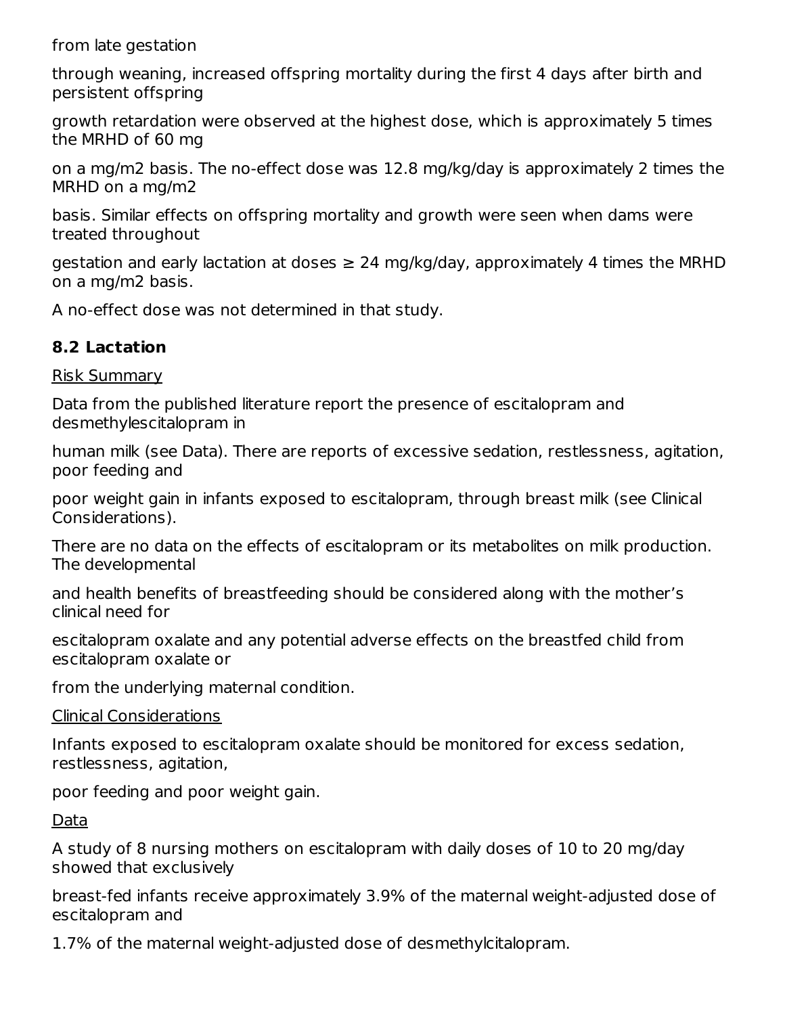from late gestation

through weaning, increased offspring mortality during the first 4 days after birth and persistent offspring

growth retardation were observed at the highest dose, which is approximately 5 times the MRHD of 60 mg

on a mg/m2 basis. The no-effect dose was 12.8 mg/kg/day is approximately 2 times the MRHD on a mg/m2

basis. Similar effects on offspring mortality and growth were seen when dams were treated throughout

gestation and early lactation at doses  $\geq 24$  mg/kg/day, approximately 4 times the MRHD on a mg/m2 basis.

A no-effect dose was not determined in that study.

#### **8.2 Lactation**

#### Risk Summary

Data from the published literature report the presence of escitalopram and desmethylescitalopram in

human milk (see Data). There are reports of excessive sedation, restlessness, agitation, poor feeding and

poor weight gain in infants exposed to escitalopram, through breast milk (see Clinical Considerations).

There are no data on the effects of escitalopram or its metabolites on milk production. The developmental

and health benefits of breastfeeding should be considered along with the mother's clinical need for

escitalopram oxalate and any potential adverse effects on the breastfed child from escitalopram oxalate or

from the underlying maternal condition.

#### Clinical Considerations

Infants exposed to escitalopram oxalate should be monitored for excess sedation, restlessness, agitation,

poor feeding and poor weight gain.

Data

A study of 8 nursing mothers on escitalopram with daily doses of 10 to 20 mg/day showed that exclusively

breast-fed infants receive approximately 3.9% of the maternal weight-adjusted dose of escitalopram and

1.7% of the maternal weight-adjusted dose of desmethylcitalopram.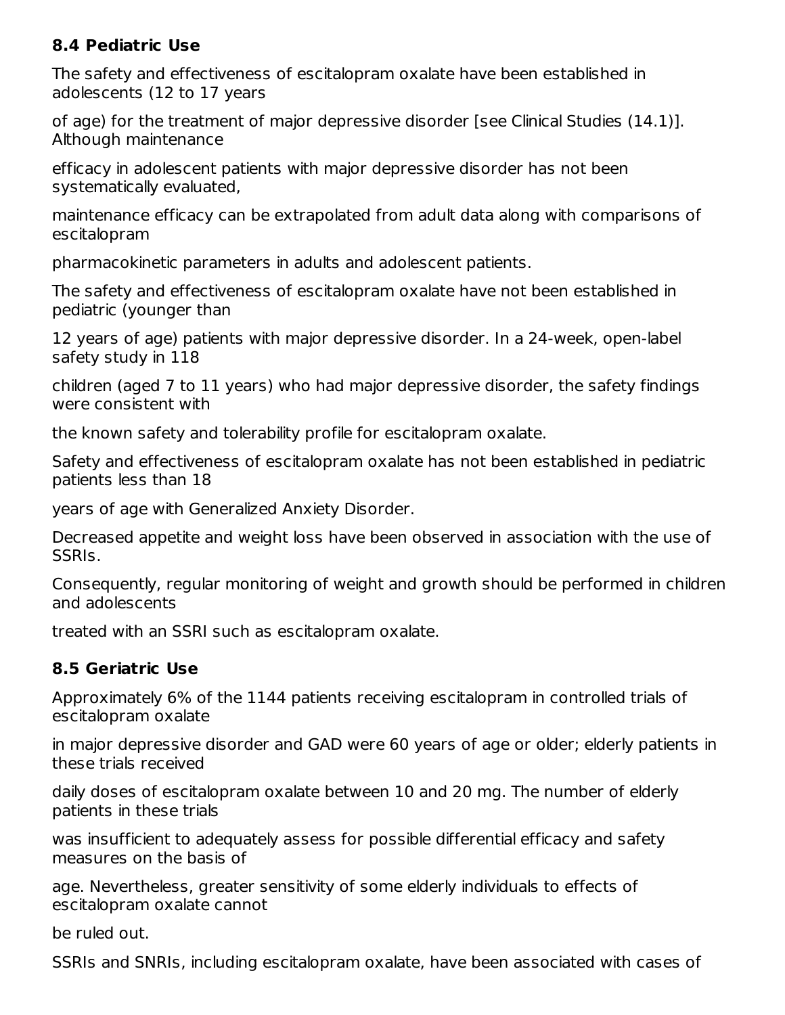#### **8.4 Pediatric Use**

The safety and effectiveness of escitalopram oxalate have been established in adolescents (12 to 17 years

of age) for the treatment of major depressive disorder [see Clinical Studies (14.1)]. Although maintenance

efficacy in adolescent patients with major depressive disorder has not been systematically evaluated,

maintenance efficacy can be extrapolated from adult data along with comparisons of escitalopram

pharmacokinetic parameters in adults and adolescent patients.

The safety and effectiveness of escitalopram oxalate have not been established in pediatric (younger than

12 years of age) patients with major depressive disorder. In a 24-week, open-label safety study in 118

children (aged 7 to 11 years) who had major depressive disorder, the safety findings were consistent with

the known safety and tolerability profile for escitalopram oxalate.

Safety and effectiveness of escitalopram oxalate has not been established in pediatric patients less than 18

years of age with Generalized Anxiety Disorder.

Decreased appetite and weight loss have been observed in association with the use of SSRIs.

Consequently, regular monitoring of weight and growth should be performed in children and adolescents

treated with an SSRI such as escitalopram oxalate.

#### **8.5 Geriatric Use**

Approximately 6% of the 1144 patients receiving escitalopram in controlled trials of escitalopram oxalate

in major depressive disorder and GAD were 60 years of age or older; elderly patients in these trials received

daily doses of escitalopram oxalate between 10 and 20 mg. The number of elderly patients in these trials

was insufficient to adequately assess for possible differential efficacy and safety measures on the basis of

age. Nevertheless, greater sensitivity of some elderly individuals to effects of escitalopram oxalate cannot

be ruled out.

SSRIs and SNRIs, including escitalopram oxalate, have been associated with cases of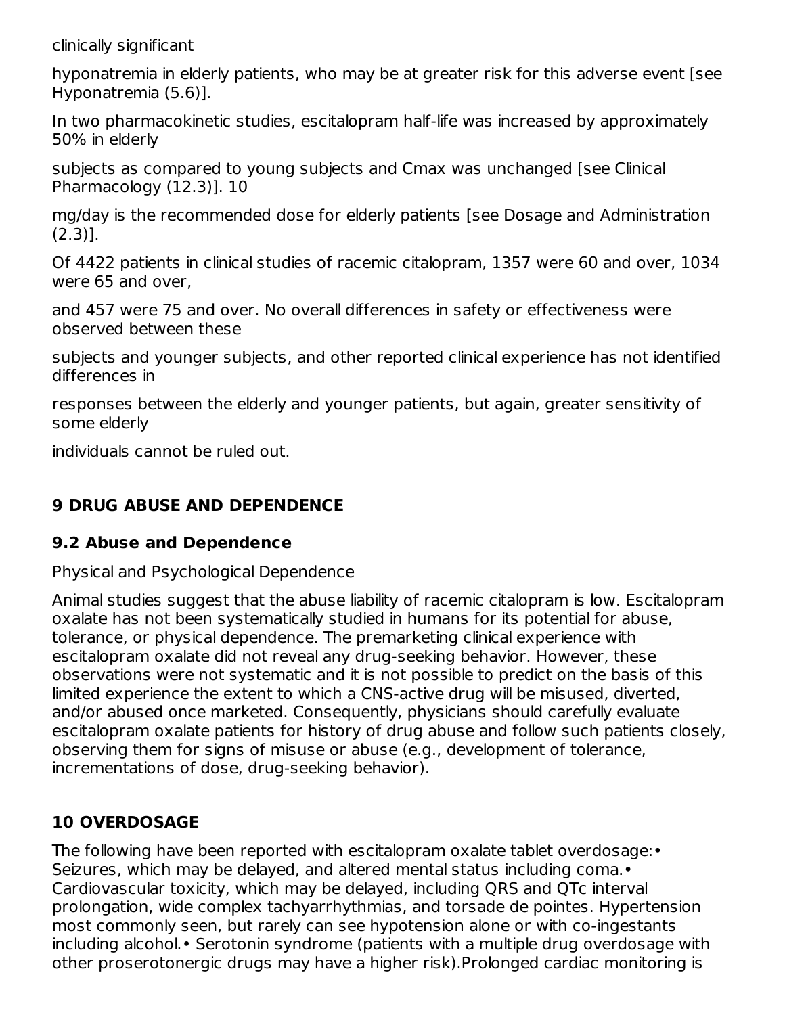clinically significant

hyponatremia in elderly patients, who may be at greater risk for this adverse event [see Hyponatremia (5.6)].

In two pharmacokinetic studies, escitalopram half-life was increased by approximately 50% in elderly

subjects as compared to young subjects and Cmax was unchanged [see Clinical Pharmacology (12.3)]. 10

mg/day is the recommended dose for elderly patients [see Dosage and Administration (2.3)].

Of 4422 patients in clinical studies of racemic citalopram, 1357 were 60 and over, 1034 were 65 and over,

and 457 were 75 and over. No overall differences in safety or effectiveness were observed between these

subjects and younger subjects, and other reported clinical experience has not identified differences in

responses between the elderly and younger patients, but again, greater sensitivity of some elderly

individuals cannot be ruled out.

### **9 DRUG ABUSE AND DEPENDENCE**

#### **9.2 Abuse and Dependence**

Physical and Psychological Dependence

Animal studies suggest that the abuse liability of racemic citalopram is low. Escitalopram oxalate has not been systematically studied in humans for its potential for abuse, tolerance, or physical dependence. The premarketing clinical experience with escitalopram oxalate did not reveal any drug-seeking behavior. However, these observations were not systematic and it is not possible to predict on the basis of this limited experience the extent to which a CNS-active drug will be misused, diverted, and/or abused once marketed. Consequently, physicians should carefully evaluate escitalopram oxalate patients for history of drug abuse and follow such patients closely, observing them for signs of misuse or abuse (e.g., development of tolerance, incrementations of dose, drug-seeking behavior).

### **10 OVERDOSAGE**

The following have been reported with escitalopram oxalate tablet overdosage:• Seizures, which may be delayed, and altered mental status including coma.• Cardiovascular toxicity, which may be delayed, including QRS and QTc interval prolongation, wide complex tachyarrhythmias, and torsade de pointes. Hypertension most commonly seen, but rarely can see hypotension alone or with co-ingestants including alcohol.• Serotonin syndrome (patients with a multiple drug overdosage with other proserotonergic drugs may have a higher risk).Prolonged cardiac monitoring is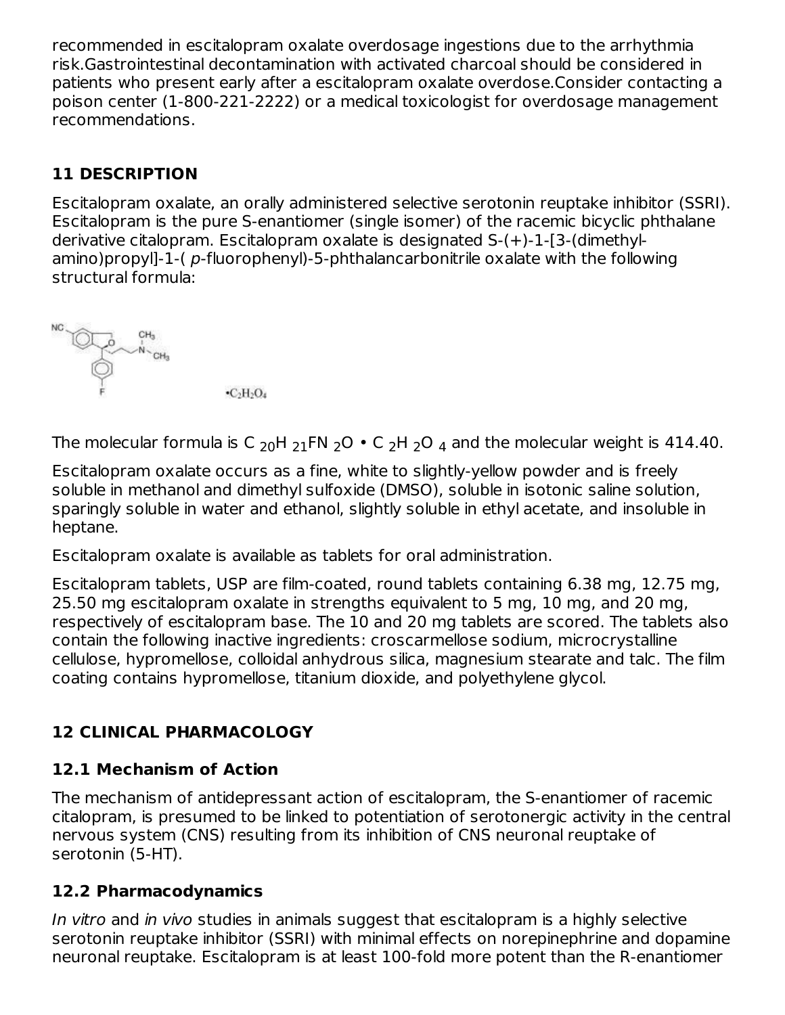recommended in escitalopram oxalate overdosage ingestions due to the arrhythmia risk.Gastrointestinal decontamination with activated charcoal should be considered in patients who present early after a escitalopram oxalate overdose.Consider contacting a poison center (1-800-221-2222) or a medical toxicologist for overdosage management recommendations.

### **11 DESCRIPTION**

Escitalopram oxalate, an orally administered selective serotonin reuptake inhibitor (SSRI). Escitalopram is the pure S-enantiomer (single isomer) of the racemic bicyclic phthalane derivative citalopram. Escitalopram oxalate is designated S-(+)-1-[3-(dimethylamino)propyl]-1-( p-fluorophenyl)-5-phthalancarbonitrile oxalate with the following structural formula:



The molecular formula is C  $_{20}$ H  $_{21}$ FN  $_{2}$ O  $\bullet$  C  $_{2}$ H  $_{2}$ O  $_{4}$  and the molecular weight is 414.40.

Escitalopram oxalate occurs as a fine, white to slightly-yellow powder and is freely soluble in methanol and dimethyl sulfoxide (DMSO), soluble in isotonic saline solution, sparingly soluble in water and ethanol, slightly soluble in ethyl acetate, and insoluble in heptane.

Escitalopram oxalate is available as tablets for oral administration.

Escitalopram tablets, USP are film-coated, round tablets containing 6.38 mg, 12.75 mg, 25.50 mg escitalopram oxalate in strengths equivalent to 5 mg, 10 mg, and 20 mg, respectively of escitalopram base. The 10 and 20 mg tablets are scored. The tablets also contain the following inactive ingredients: croscarmellose sodium, microcrystalline cellulose, hypromellose, colloidal anhydrous silica, magnesium stearate and talc. The film coating contains hypromellose, titanium dioxide, and polyethylene glycol.

### **12 CLINICAL PHARMACOLOGY**

### **12.1 Mechanism of Action**

The mechanism of antidepressant action of escitalopram, the S-enantiomer of racemic citalopram, is presumed to be linked to potentiation of serotonergic activity in the central nervous system (CNS) resulting from its inhibition of CNS neuronal reuptake of serotonin (5-HT).

### **12.2 Pharmacodynamics**

In vitro and in vivo studies in animals suggest that escitalopram is a highly selective serotonin reuptake inhibitor (SSRI) with minimal effects on norepinephrine and dopamine neuronal reuptake. Escitalopram is at least 100-fold more potent than the R-enantiomer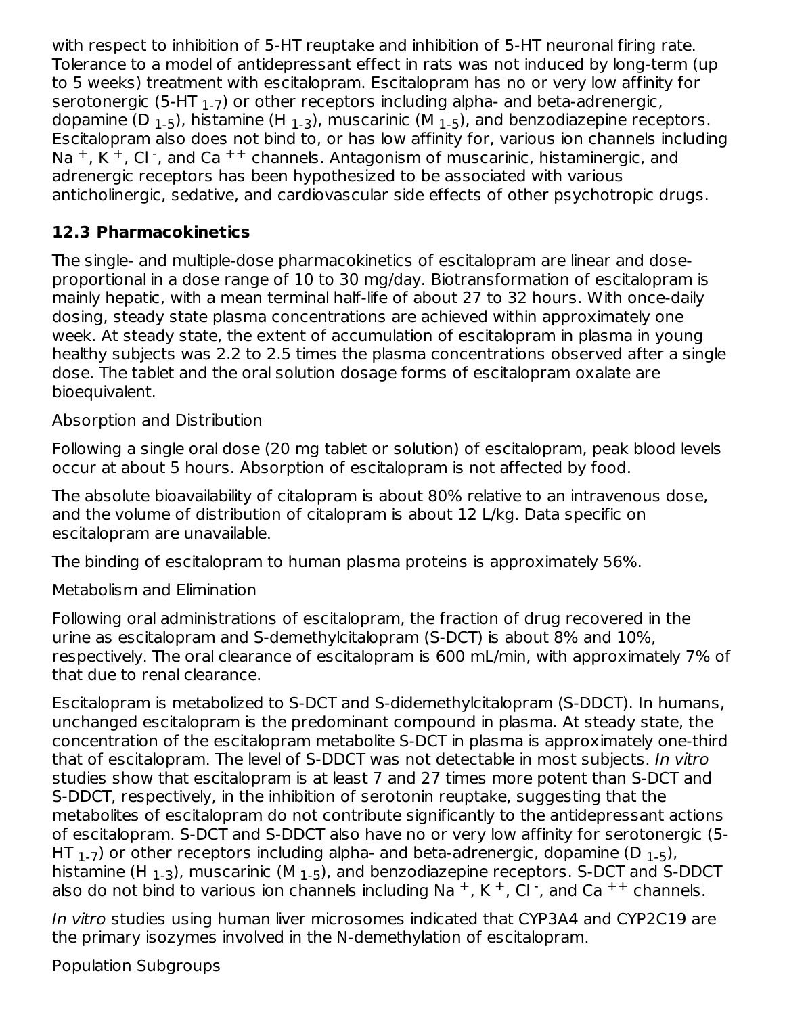with respect to inhibition of 5-HT reuptake and inhibition of 5-HT neuronal firing rate. Tolerance to a model of antidepressant effect in rats was not induced by long-term (up to 5 weeks) treatment with escitalopram. Escitalopram has no or very low affinity for serotonergic (5-HT  $_{\rm 1-7})$  or other receptors including alpha- and beta-adrenergic, dopamine (D  $_{\rm 1-5}$ ), histamine (H  $_{\rm 1-3}$ ), muscarinic (M  $_{\rm 1-5}$ ), and benzodiazepine receptors. Escitalopram also does not bind to, or has low affinity for, various ion channels including Na<sup>+</sup>, K<sup>+</sup>, Cl<sup>-</sup>, and Ca<sup>++</sup> channels. Antagonism of muscarinic, histaminergic, and adrenergic receptors has been hypothesized to be associated with various anticholinergic, sedative, and cardiovascular side effects of other psychotropic drugs.

### **12.3 Pharmacokinetics**

The single- and multiple-dose pharmacokinetics of escitalopram are linear and doseproportional in a dose range of 10 to 30 mg/day. Biotransformation of escitalopram is mainly hepatic, with a mean terminal half-life of about 27 to 32 hours. With once-daily dosing, steady state plasma concentrations are achieved within approximately one week. At steady state, the extent of accumulation of escitalopram in plasma in young healthy subjects was 2.2 to 2.5 times the plasma concentrations observed after a single dose. The tablet and the oral solution dosage forms of escitalopram oxalate are bioequivalent.

#### Absorption and Distribution

Following a single oral dose (20 mg tablet or solution) of escitalopram, peak blood levels occur at about 5 hours. Absorption of escitalopram is not affected by food.

The absolute bioavailability of citalopram is about 80% relative to an intravenous dose, and the volume of distribution of citalopram is about 12 L/kg. Data specific on escitalopram are unavailable.

The binding of escitalopram to human plasma proteins is approximately 56%.

Metabolism and Elimination

Following oral administrations of escitalopram, the fraction of drug recovered in the urine as escitalopram and S-demethylcitalopram (S-DCT) is about 8% and 10%, respectively. The oral clearance of escitalopram is 600 mL/min, with approximately 7% of that due to renal clearance.

Escitalopram is metabolized to S-DCT and S-didemethylcitalopram (S-DDCT). In humans, unchanged escitalopram is the predominant compound in plasma. At steady state, the concentration of the escitalopram metabolite S-DCT in plasma is approximately one-third that of escitalopram. The level of S-DDCT was not detectable in most subjects. In vitro studies show that escitalopram is at least 7 and 27 times more potent than S-DCT and S-DDCT, respectively, in the inhibition of serotonin reuptake, suggesting that the metabolites of escitalopram do not contribute significantly to the antidepressant actions of escitalopram. S-DCT and S-DDCT also have no or very low affinity for serotonergic (5- HT  $_{\rm 1-7}$ ) or other receptors including alpha- and beta-adrenergic, dopamine (D  $_{\rm 1-5}$ ), histamine (H  $_{\rm 1-3}$ ), muscarinic (M  $_{\rm 1-5}$ ), and benzodiazepine receptors. S-DCT and S-DDCT also do not bind to various ion channels including Na  $^+$ , K  $^+$ , Cl  $\cdot$ , and Ca  $^{++}$  channels.

In vitro studies using human liver microsomes indicated that CYP3A4 and CYP2C19 are the primary isozymes involved in the N-demethylation of escitalopram.

Population Subgroups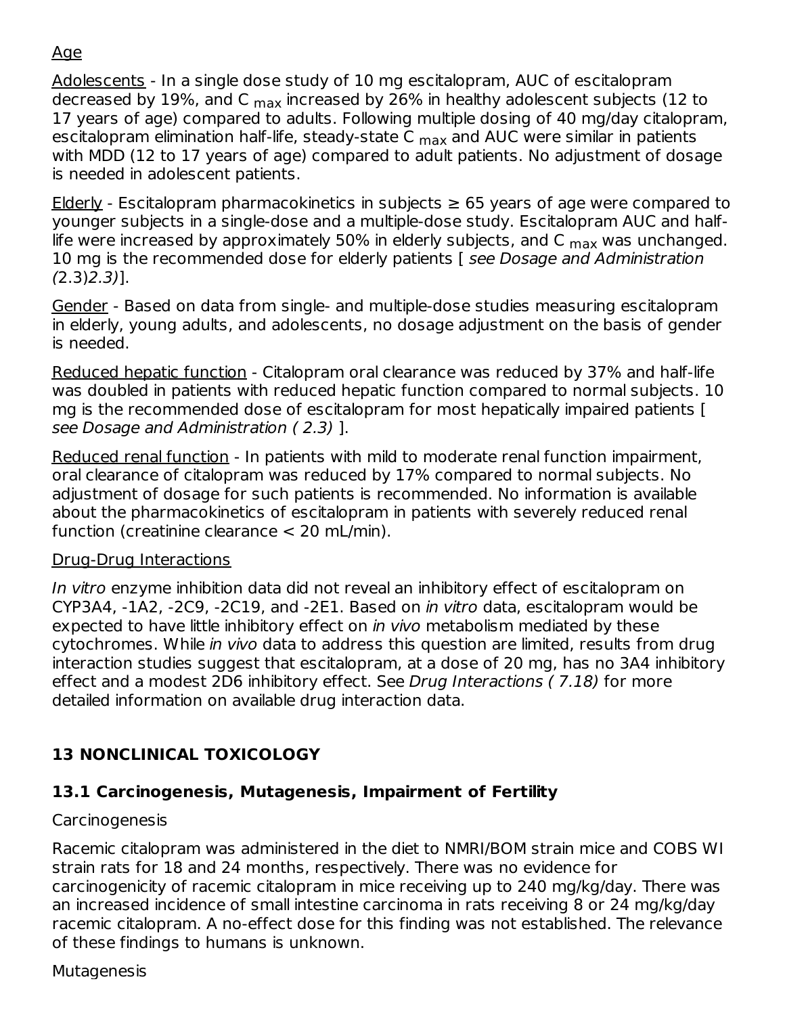### Age

Adolescents - In a single dose study of 10 mg escitalopram, AUC of escitalopram decreased by 19%, and C  $_{\sf max}$  increased by 26% in healthy adolescent subjects (12 to 17 years of age) compared to adults. Following multiple dosing of 40 mg/day citalopram, escitalopram elimination half-life, steady-state C <sub>max</sub> and AUC were similar in patients with MDD (12 to 17 years of age) compared to adult patients. No adjustment of dosage is needed in adolescent patients.

Elderly - Escitalopram pharmacokinetics in subjects  $\geq$  65 years of age were compared to younger subjects in a single-dose and a multiple-dose study. Escitalopram AUC and halflife were increased by approximately 50% in elderly subjects, and C  $_{\sf max}$  was unchanged. 10 mg is the recommended dose for elderly patients [ see Dosage and Administration  $(2.3)2.3)$ ].

Gender - Based on data from single- and multiple-dose studies measuring escitalopram in elderly, young adults, and adolescents, no dosage adjustment on the basis of gender is needed.

Reduced hepatic function - Citalopram oral clearance was reduced by 37% and half-life was doubled in patients with reduced hepatic function compared to normal subjects. 10 mg is the recommended dose of escitalopram for most hepatically impaired patients [ see Dosage and Administration ( 2.3) ].

Reduced renal function - In patients with mild to moderate renal function impairment, oral clearance of citalopram was reduced by 17% compared to normal subjects. No adjustment of dosage for such patients is recommended. No information is available about the pharmacokinetics of escitalopram in patients with severely reduced renal function (creatinine clearance < 20 mL/min).

#### Drug-Drug Interactions

In vitro enzyme inhibition data did not reveal an inhibitory effect of escitalopram on CYP3A4, -1A2, -2C9, -2C19, and -2E1. Based on in vitro data, escitalopram would be expected to have little inhibitory effect on in vivo metabolism mediated by these cytochromes. While in vivo data to address this question are limited, results from drug interaction studies suggest that escitalopram, at a dose of 20 mg, has no 3A4 inhibitory effect and a modest 2D6 inhibitory effect. See Drug Interactions ( 7.18) for more detailed information on available drug interaction data.

### **13 NONCLINICAL TOXICOLOGY**

### **13.1 Carcinogenesis, Mutagenesis, Impairment of Fertility**

#### **Carcinogenesis**

Racemic citalopram was administered in the diet to NMRI/BOM strain mice and COBS WI strain rats for 18 and 24 months, respectively. There was no evidence for carcinogenicity of racemic citalopram in mice receiving up to 240 mg/kg/day. There was an increased incidence of small intestine carcinoma in rats receiving 8 or 24 mg/kg/day racemic citalopram. A no-effect dose for this finding was not established. The relevance of these findings to humans is unknown.

#### **Mutagenesis**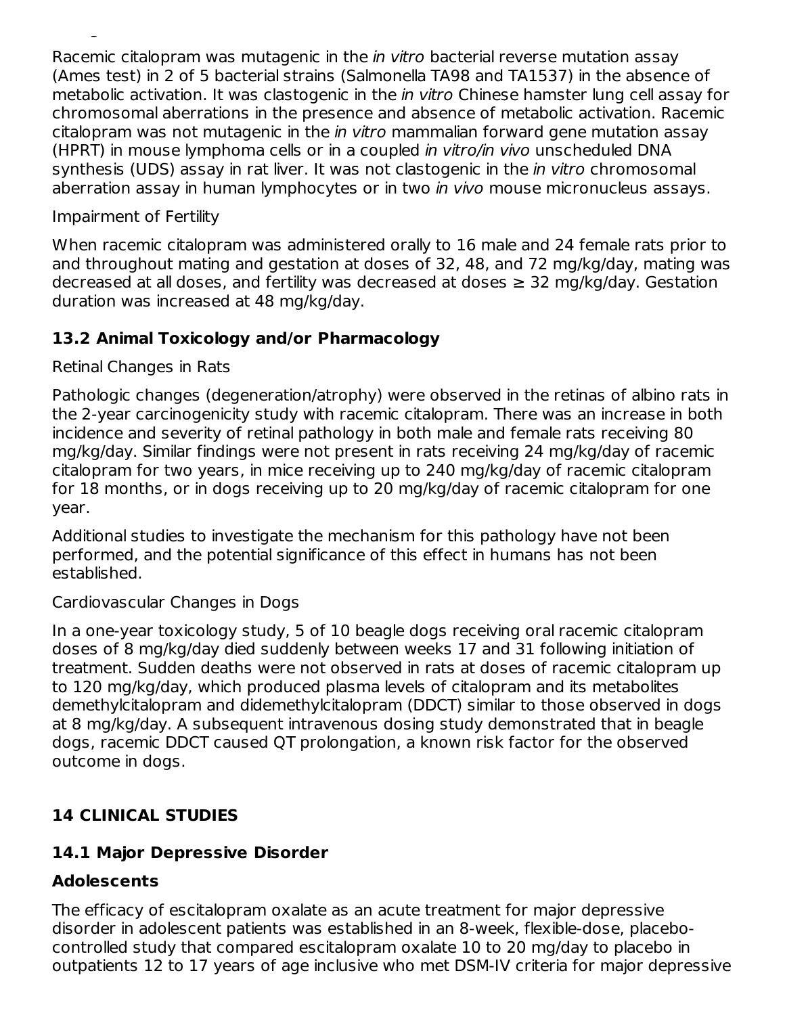Racemic citalopram was mutagenic in the in vitro bacterial reverse mutation assay (Ames test) in 2 of 5 bacterial strains (Salmonella TA98 and TA1537) in the absence of metabolic activation. It was clastogenic in the *in vitro* Chinese hamster lung cell assay for chromosomal aberrations in the presence and absence of metabolic activation. Racemic citalopram was not mutagenic in the in vitro mammalian forward gene mutation assay (HPRT) in mouse lymphoma cells or in a coupled in vitro/in vivo unscheduled DNA synthesis (UDS) assay in rat liver. It was not clastogenic in the *in vitro* chromosomal aberration assay in human lymphocytes or in two *in vivo* mouse micronucleus assays.

#### Impairment of Fertility

Mutagenesis

When racemic citalopram was administered orally to 16 male and 24 female rats prior to and throughout mating and gestation at doses of 32, 48, and 72 mg/kg/day, mating was decreased at all doses, and fertility was decreased at doses  $\geq$  32 mg/kg/day. Gestation duration was increased at 48 mg/kg/day.

#### **13.2 Animal Toxicology and/or Pharmacology**

#### Retinal Changes in Rats

Pathologic changes (degeneration/atrophy) were observed in the retinas of albino rats in the 2-year carcinogenicity study with racemic citalopram. There was an increase in both incidence and severity of retinal pathology in both male and female rats receiving 80 mg/kg/day. Similar findings were not present in rats receiving 24 mg/kg/day of racemic citalopram for two years, in mice receiving up to 240 mg/kg/day of racemic citalopram for 18 months, or in dogs receiving up to 20 mg/kg/day of racemic citalopram for one year.

Additional studies to investigate the mechanism for this pathology have not been performed, and the potential significance of this effect in humans has not been established.

#### Cardiovascular Changes in Dogs

In a one-year toxicology study, 5 of 10 beagle dogs receiving oral racemic citalopram doses of 8 mg/kg/day died suddenly between weeks 17 and 31 following initiation of treatment. Sudden deaths were not observed in rats at doses of racemic citalopram up to 120 mg/kg/day, which produced plasma levels of citalopram and its metabolites demethylcitalopram and didemethylcitalopram (DDCT) similar to those observed in dogs at 8 mg/kg/day. A subsequent intravenous dosing study demonstrated that in beagle dogs, racemic DDCT caused QT prolongation, a known risk factor for the observed outcome in dogs.

### **14 CLINICAL STUDIES**

#### **14.1 Major Depressive Disorder**

#### **Adolescents**

The efficacy of escitalopram oxalate as an acute treatment for major depressive disorder in adolescent patients was established in an 8-week, flexible-dose, placebocontrolled study that compared escitalopram oxalate 10 to 20 mg/day to placebo in outpatients 12 to 17 years of age inclusive who met DSM-IV criteria for major depressive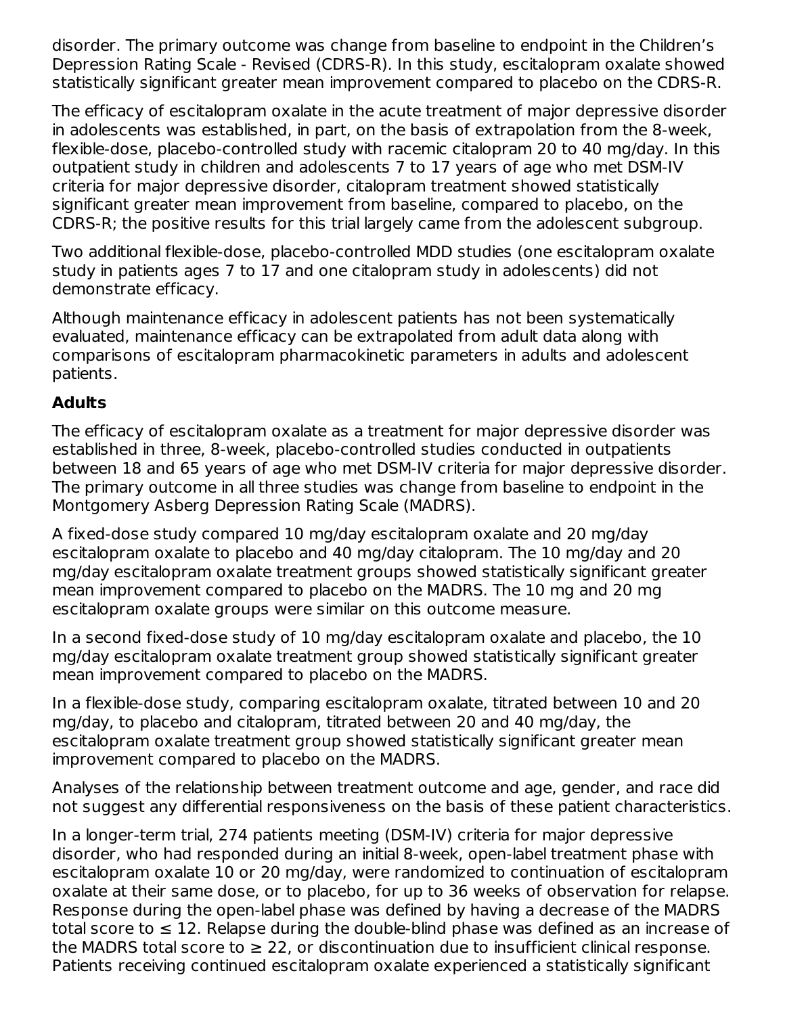disorder. The primary outcome was change from baseline to endpoint in the Children's Depression Rating Scale - Revised (CDRS-R). In this study, escitalopram oxalate showed statistically significant greater mean improvement compared to placebo on the CDRS-R.

The efficacy of escitalopram oxalate in the acute treatment of major depressive disorder in adolescents was established, in part, on the basis of extrapolation from the 8-week, flexible-dose, placebo-controlled study with racemic citalopram 20 to 40 mg/day. In this outpatient study in children and adolescents 7 to 17 years of age who met DSM-IV criteria for major depressive disorder, citalopram treatment showed statistically significant greater mean improvement from baseline, compared to placebo, on the CDRS-R; the positive results for this trial largely came from the adolescent subgroup.

Two additional flexible-dose, placebo-controlled MDD studies (one escitalopram oxalate study in patients ages 7 to 17 and one citalopram study in adolescents) did not demonstrate efficacy.

Although maintenance efficacy in adolescent patients has not been systematically evaluated, maintenance efficacy can be extrapolated from adult data along with comparisons of escitalopram pharmacokinetic parameters in adults and adolescent patients.

#### **Adults**

The efficacy of escitalopram oxalate as a treatment for major depressive disorder was established in three, 8-week, placebo-controlled studies conducted in outpatients between 18 and 65 years of age who met DSM-IV criteria for major depressive disorder. The primary outcome in all three studies was change from baseline to endpoint in the Montgomery Asberg Depression Rating Scale (MADRS).

A fixed-dose study compared 10 mg/day escitalopram oxalate and 20 mg/day escitalopram oxalate to placebo and 40 mg/day citalopram. The 10 mg/day and 20 mg/day escitalopram oxalate treatment groups showed statistically significant greater mean improvement compared to placebo on the MADRS. The 10 mg and 20 mg escitalopram oxalate groups were similar on this outcome measure.

In a second fixed-dose study of 10 mg/day escitalopram oxalate and placebo, the 10 mg/day escitalopram oxalate treatment group showed statistically significant greater mean improvement compared to placebo on the MADRS.

In a flexible-dose study, comparing escitalopram oxalate, titrated between 10 and 20 mg/day, to placebo and citalopram, titrated between 20 and 40 mg/day, the escitalopram oxalate treatment group showed statistically significant greater mean improvement compared to placebo on the MADRS.

Analyses of the relationship between treatment outcome and age, gender, and race did not suggest any differential responsiveness on the basis of these patient characteristics.

In a longer-term trial, 274 patients meeting (DSM-IV) criteria for major depressive disorder, who had responded during an initial 8-week, open-label treatment phase with escitalopram oxalate 10 or 20 mg/day, were randomized to continuation of escitalopram oxalate at their same dose, or to placebo, for up to 36 weeks of observation for relapse. Response during the open-label phase was defined by having a decrease of the MADRS total score to  $\leq 12$ . Relapse during the double-blind phase was defined as an increase of the MADRS total score to  $\geq 22$ , or discontinuation due to insufficient clinical response. Patients receiving continued escitalopram oxalate experienced a statistically significant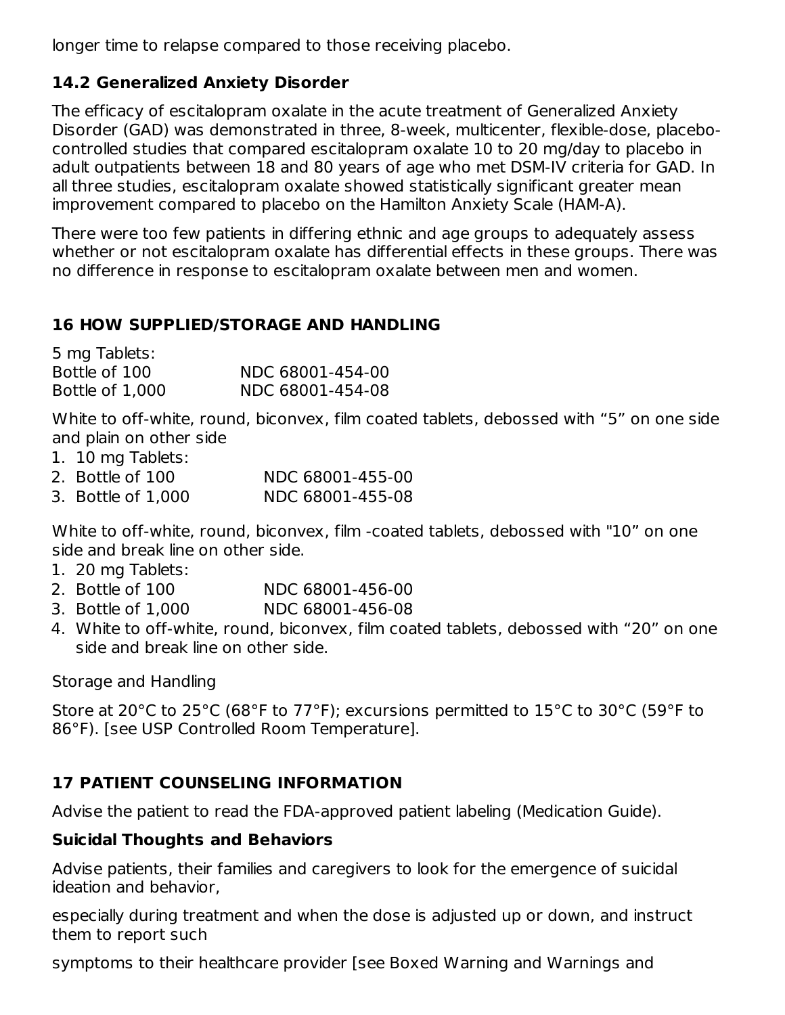longer time to relapse compared to those receiving placebo.

### **14.2 Generalized Anxiety Disorder**

The efficacy of escitalopram oxalate in the acute treatment of Generalized Anxiety Disorder (GAD) was demonstrated in three, 8-week, multicenter, flexible-dose, placebocontrolled studies that compared escitalopram oxalate 10 to 20 mg/day to placebo in adult outpatients between 18 and 80 years of age who met DSM-IV criteria for GAD. In all three studies, escitalopram oxalate showed statistically significant greater mean improvement compared to placebo on the Hamilton Anxiety Scale (HAM-A).

There were too few patients in differing ethnic and age groups to adequately assess whether or not escitalopram oxalate has differential effects in these groups. There was no difference in response to escitalopram oxalate between men and women.

#### **16 HOW SUPPLIED/STORAGE AND HANDLING**

| 5 mg Tablets:   |                  |
|-----------------|------------------|
| Bottle of 100   | NDC 68001-454-00 |
| Bottle of 1,000 | NDC 68001-454-08 |

White to off-white, round, biconvex, film coated tablets, debossed with "5" on one side and plain on other side

1. 10 mg Tablets:

| 2. Bottle of 100   | NDC 68001-455-00 |
|--------------------|------------------|
| 3. Bottle of 1.000 | NDC 68001-455-08 |

White to off-white, round, biconvex, film -coated tablets, debossed with "10" on one side and break line on other side.

- 1. 20 mg Tablets:
- 2. Bottle of 100 NDC 68001-456-00
- 3. Bottle of 1,000 NDC 68001-456-08
- 4. White to off-white, round, biconvex, film coated tablets, debossed with "20" on one side and break line on other side.

Storage and Handling

Store at 20°C to 25°C (68°F to 77°F); excursions permitted to 15°C to 30°C (59°F to 86°F). [see USP Controlled Room Temperature].

#### **17 PATIENT COUNSELING INFORMATION**

Advise the patient to read the FDA-approved patient labeling (Medication Guide).

#### **Suicidal Thoughts and Behaviors**

Advise patients, their families and caregivers to look for the emergence of suicidal ideation and behavior,

especially during treatment and when the dose is adjusted up or down, and instruct them to report such

symptoms to their healthcare provider [see Boxed Warning and Warnings and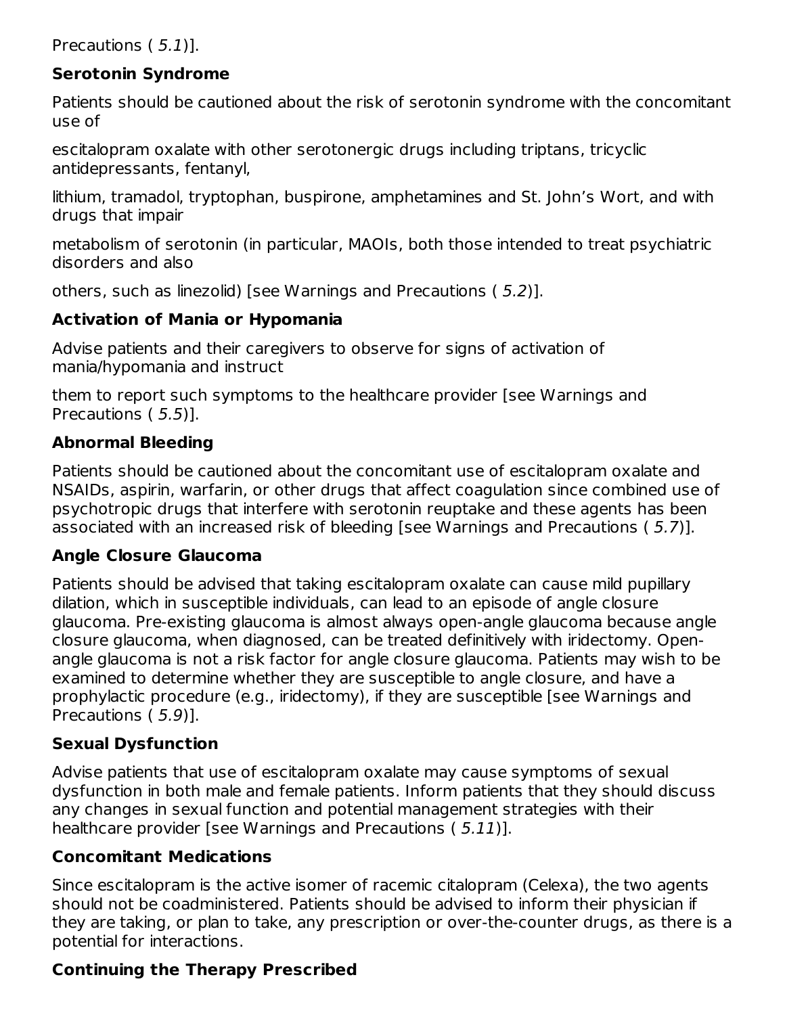Precautions ( 5.1)].

#### **Serotonin Syndrome**

Patients should be cautioned about the risk of serotonin syndrome with the concomitant use of

escitalopram oxalate with other serotonergic drugs including triptans, tricyclic antidepressants, fentanyl,

lithium, tramadol, tryptophan, buspirone, amphetamines and St. John's Wort, and with drugs that impair

metabolism of serotonin (in particular, MAOIs, both those intended to treat psychiatric disorders and also

others, such as linezolid) [see Warnings and Precautions ( 5.2)].

#### **Activation of Mania or Hypomania**

Advise patients and their caregivers to observe for signs of activation of mania/hypomania and instruct

them to report such symptoms to the healthcare provider [see Warnings and Precautions ( 5.5)].

### **Abnormal Bleeding**

Patients should be cautioned about the concomitant use of escitalopram oxalate and NSAIDs, aspirin, warfarin, or other drugs that affect coagulation since combined use of psychotropic drugs that interfere with serotonin reuptake and these agents has been associated with an increased risk of bleeding [see Warnings and Precautions ( 5.7)].

#### **Angle Closure Glaucoma**

Patients should be advised that taking escitalopram oxalate can cause mild pupillary dilation, which in susceptible individuals, can lead to an episode of angle closure glaucoma. Pre-existing glaucoma is almost always open-angle glaucoma because angle closure glaucoma, when diagnosed, can be treated definitively with iridectomy. Openangle glaucoma is not a risk factor for angle closure glaucoma. Patients may wish to be examined to determine whether they are susceptible to angle closure, and have a prophylactic procedure (e.g., iridectomy), if they are susceptible [see Warnings and Precautions ( 5.9)].

#### **Sexual Dysfunction**

Advise patients that use of escitalopram oxalate may cause symptoms of sexual dysfunction in both male and female patients. Inform patients that they should discuss any changes in sexual function and potential management strategies with their healthcare provider [see Warnings and Precautions ( 5.11)].

#### **Concomitant Medications**

Since escitalopram is the active isomer of racemic citalopram (Celexa), the two agents should not be coadministered. Patients should be advised to inform their physician if they are taking, or plan to take, any prescription or over-the-counter drugs, as there is a potential for interactions.

#### **Continuing the Therapy Prescribed**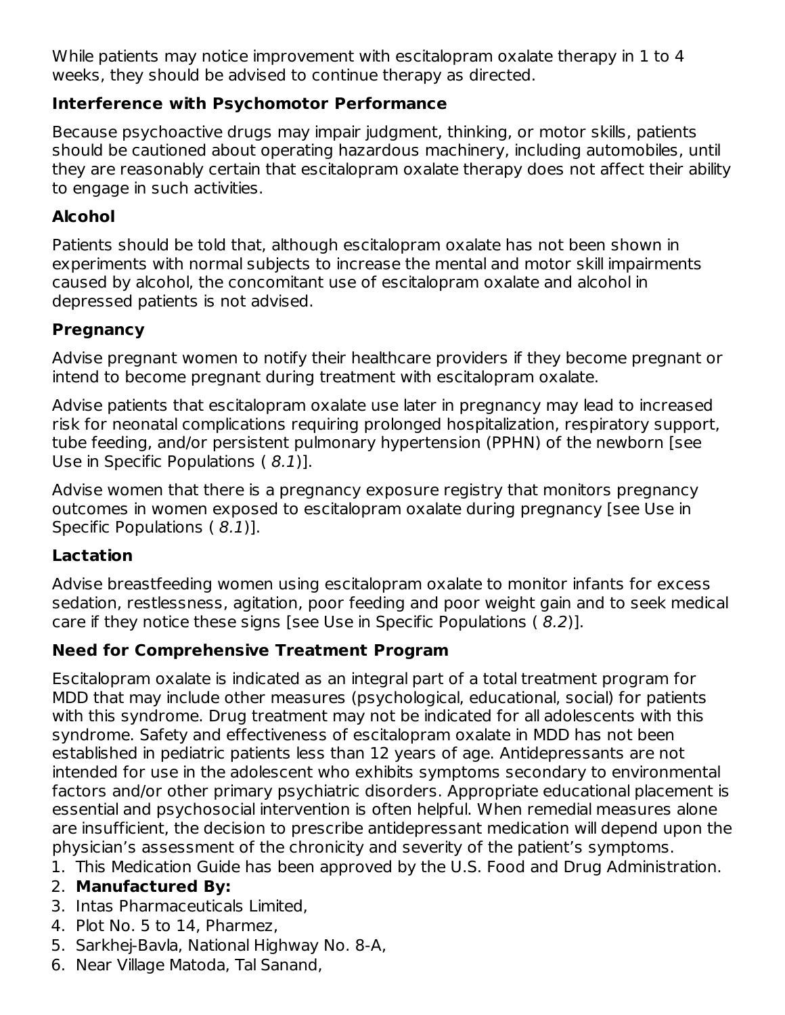While patients may notice improvement with escitalopram oxalate therapy in 1 to 4 weeks, they should be advised to continue therapy as directed.

#### **Interference with Psychomotor Performance**

Because psychoactive drugs may impair judgment, thinking, or motor skills, patients should be cautioned about operating hazardous machinery, including automobiles, until they are reasonably certain that escitalopram oxalate therapy does not affect their ability to engage in such activities.

### **Alcohol**

Patients should be told that, although escitalopram oxalate has not been shown in experiments with normal subjects to increase the mental and motor skill impairments caused by alcohol, the concomitant use of escitalopram oxalate and alcohol in depressed patients is not advised.

### **Pregnancy**

Advise pregnant women to notify their healthcare providers if they become pregnant or intend to become pregnant during treatment with escitalopram oxalate.

Advise patients that escitalopram oxalate use later in pregnancy may lead to increased risk for neonatal complications requiring prolonged hospitalization, respiratory support, tube feeding, and/or persistent pulmonary hypertension (PPHN) of the newborn [see Use in Specific Populations ( 8.1)].

Advise women that there is a pregnancy exposure registry that monitors pregnancy outcomes in women exposed to escitalopram oxalate during pregnancy [see Use in Specific Populations (8.1)].

### **Lactation**

Advise breastfeeding women using escitalopram oxalate to monitor infants for excess sedation, restlessness, agitation, poor feeding and poor weight gain and to seek medical care if they notice these signs [see Use in Specific Populations ( 8.2)].

### **Need for Comprehensive Treatment Program**

Escitalopram oxalate is indicated as an integral part of a total treatment program for MDD that may include other measures (psychological, educational, social) for patients with this syndrome. Drug treatment may not be indicated for all adolescents with this syndrome. Safety and effectiveness of escitalopram oxalate in MDD has not been established in pediatric patients less than 12 years of age. Antidepressants are not intended for use in the adolescent who exhibits symptoms secondary to environmental factors and/or other primary psychiatric disorders. Appropriate educational placement is essential and psychosocial intervention is often helpful. When remedial measures alone are insufficient, the decision to prescribe antidepressant medication will depend upon the physician's assessment of the chronicity and severity of the patient's symptoms.

1. This Medication Guide has been approved by the U.S. Food and Drug Administration.

### 2. **Manufactured By:**

- 3. Intas Pharmaceuticals Limited,
- 4. Plot No. 5 to 14, Pharmez,
- 5. Sarkhej-Bavla, National Highway No. 8-A,
- 6. Near Village Matoda, Tal Sanand,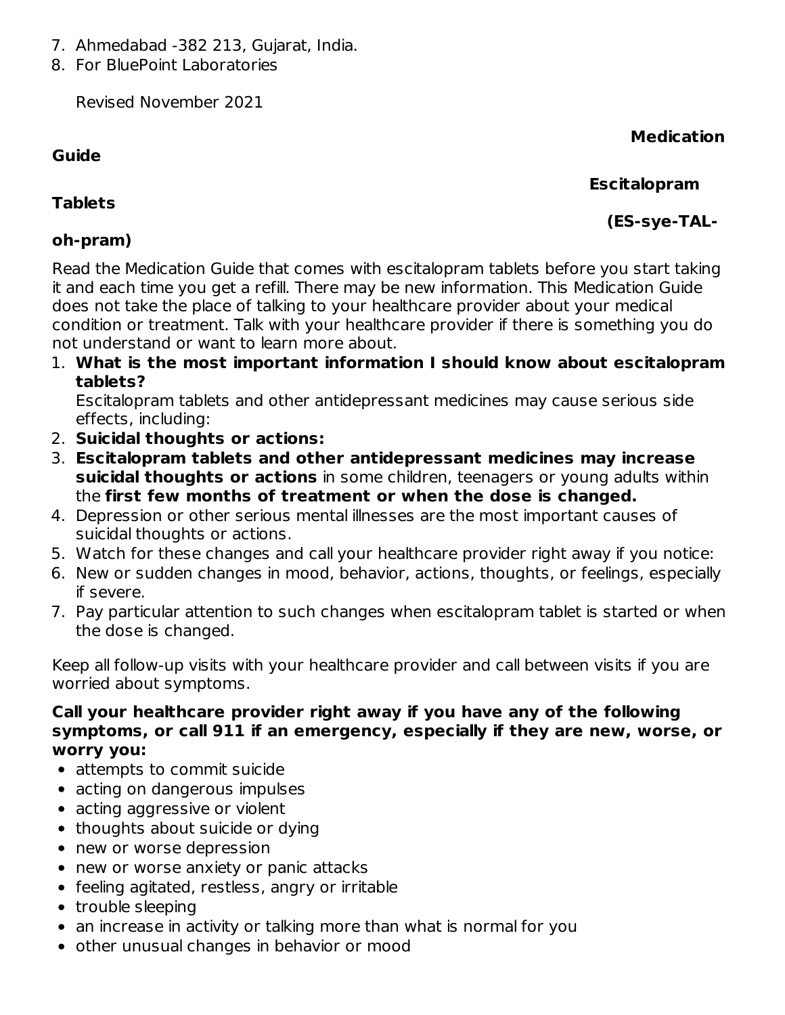- 7. Ahmedabad -382 213, Gujarat, India.
- 8. For BluePoint Laboratories

Revised November 2021

### **Guide**

### **Medication**

#### **Escitalopram**

**(ES-sye-TAL-**

### **Tablets**

### **oh-pram)**

Read the Medication Guide that comes with escitalopram tablets before you start taking it and each time you get a refill. There may be new information. This Medication Guide does not take the place of talking to your healthcare provider about your medical condition or treatment. Talk with your healthcare provider if there is something you do not understand or want to learn more about.

1. **What is the most important information I should know about escitalopram tablets?**

Escitalopram tablets and other antidepressant medicines may cause serious side effects, including:

- 2. **Suicidal thoughts or actions:**
- 3. **Escitalopram tablets and other antidepressant medicines may increase suicidal thoughts or actions** in some children, teenagers or young adults within the **first few months of treatment or when the dose is changed.**
- 4. Depression or other serious mental illnesses are the most important causes of suicidal thoughts or actions.
- 5. Watch for these changes and call your healthcare provider right away if you notice:
- 6. New or sudden changes in mood, behavior, actions, thoughts, or feelings, especially if severe.
- 7. Pay particular attention to such changes when escitalopram tablet is started or when the dose is changed.

Keep all follow-up visits with your healthcare provider and call between visits if you are worried about symptoms.

#### **Call your healthcare provider right away if you have any of the following symptoms, or call 911 if an emergency, especially if they are new, worse, or worry you:**

- attempts to commit suicide
- acting on dangerous impulses
- acting aggressive or violent
- thoughts about suicide or dying
- new or worse depression
- new or worse anxiety or panic attacks
- feeling agitated, restless, angry or irritable
- trouble sleeping
- an increase in activity or talking more than what is normal for you
- other unusual changes in behavior or mood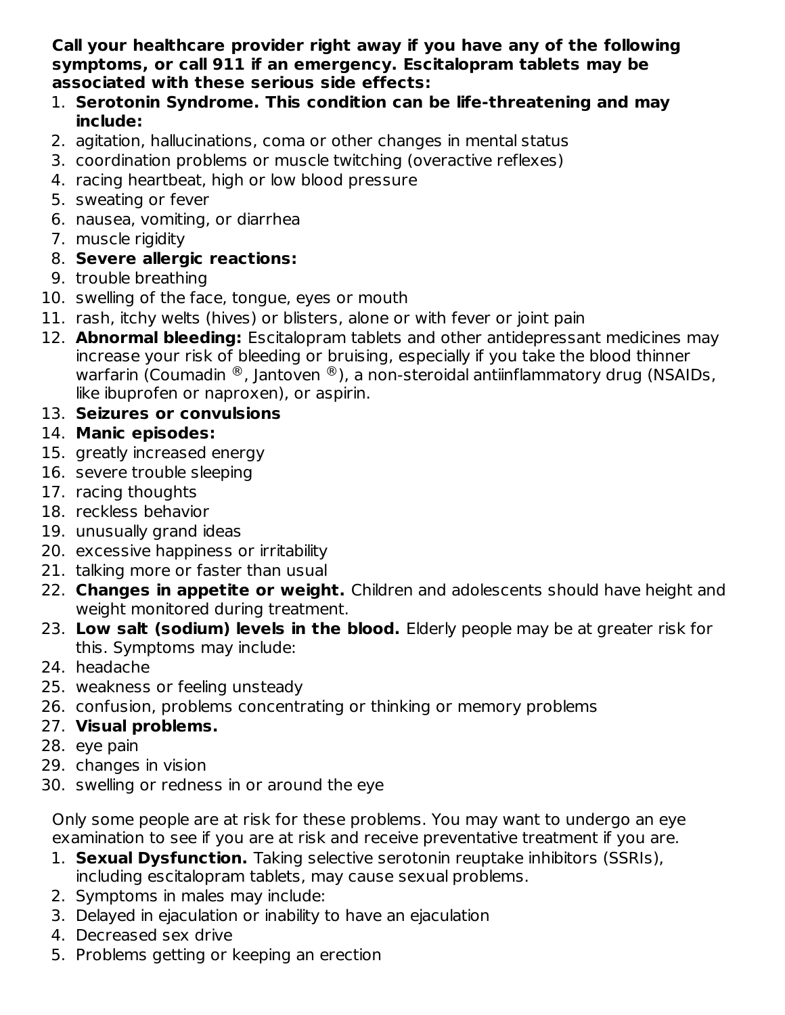**Call your healthcare provider right away if you have any of the following symptoms, or call 911 if an emergency. Escitalopram tablets may be associated with these serious side effects:**

- 1. **Serotonin Syndrome. This condition can be life-threatening and may include:**
- 2. agitation, hallucinations, coma or other changes in mental status
- 3. coordination problems or muscle twitching (overactive reflexes)
- 4. racing heartbeat, high or low blood pressure
- 5. sweating or fever
- 6. nausea, vomiting, or diarrhea
- 7. muscle rigidity

### 8. **Severe allergic reactions:**

- 9. trouble breathing
- 10. swelling of the face, tongue, eyes or mouth
- 11. rash, itchy welts (hives) or blisters, alone or with fever or joint pain
- 12. **Abnormal bleeding:** Escitalopram tablets and other antidepressant medicines may increase your risk of bleeding or bruising, especially if you take the blood thinner warfarin (Coumadin  $^\circledR$ , Jantoven  $^\circledR$ ), a non-steroidal antiinflammatory drug (NSAIDs, like ibuprofen or naproxen), or aspirin.

### 13. **Seizures or convulsions**

### 14. **Manic episodes:**

- 15. greatly increased energy
- 16. severe trouble sleeping
- 17. racing thoughts
- 18. reckless behavior
- 19. unusually grand ideas
- 20. excessive happiness or irritability
- 21. talking more or faster than usual
- 22. **Changes in appetite or weight.** Children and adolescents should have height and weight monitored during treatment.
- 23. **Low salt (sodium) levels in the blood.** Elderly people may be at greater risk for this. Symptoms may include:
- 24. headache
- 25. weakness or feeling unsteady
- 26. confusion, problems concentrating or thinking or memory problems

### 27. **Visual problems.**

- 28. eye pain
- 29. changes in vision
- 30. swelling or redness in or around the eye

Only some people are at risk for these problems. You may want to undergo an eye examination to see if you are at risk and receive preventative treatment if you are.

- 1. **Sexual Dysfunction.** Taking selective serotonin reuptake inhibitors (SSRIs), including escitalopram tablets, may cause sexual problems.
- 2. Symptoms in males may include:
- 3. Delayed in ejaculation or inability to have an ejaculation
- 4. Decreased sex drive
- 5. Problems getting or keeping an erection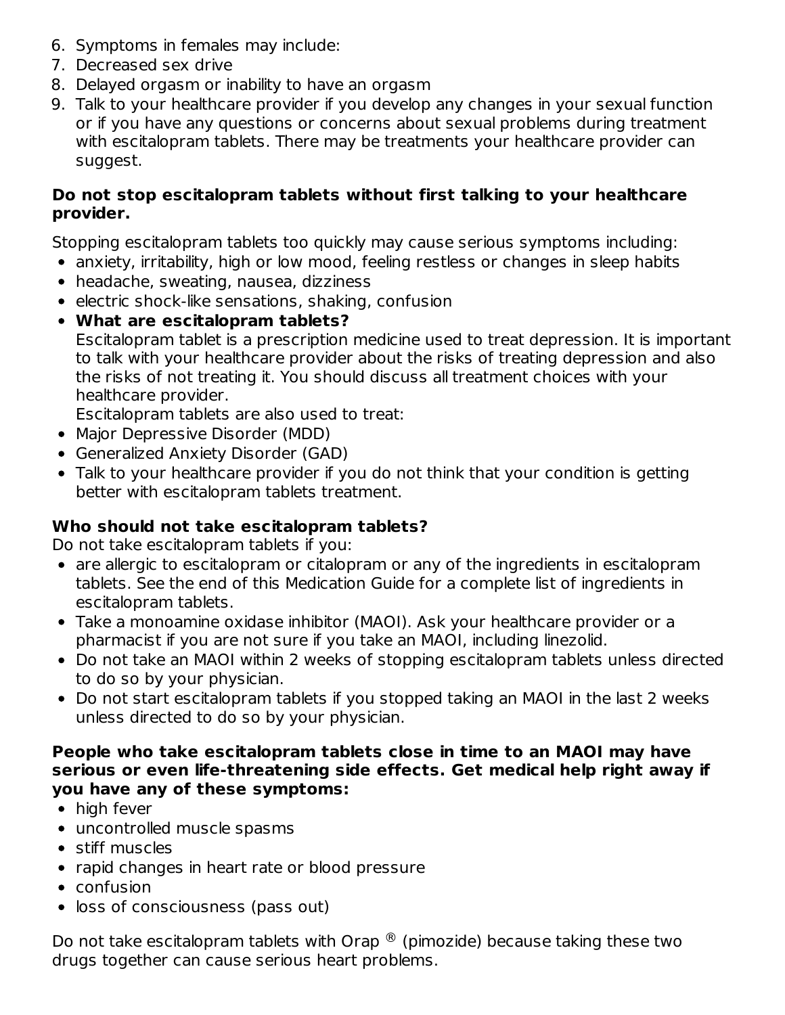- 6. Symptoms in females may include:
- 7. Decreased sex drive
- 8. Delayed orgasm or inability to have an orgasm
- 9. Talk to your healthcare provider if you develop any changes in your sexual function or if you have any questions or concerns about sexual problems during treatment with escitalopram tablets. There may be treatments your healthcare provider can suggest.

#### **Do not stop escitalopram tablets without first talking to your healthcare provider.**

Stopping escitalopram tablets too quickly may cause serious symptoms including:

- anxiety, irritability, high or low mood, feeling restless or changes in sleep habits
- headache, sweating, nausea, dizziness
- $\bullet$  electric shock-like sensations, shaking, confusion
- **What are escitalopram tablets?** Escitalopram tablet is a prescription medicine used to treat depression. It is important to talk with your healthcare provider about the risks of treating depression and also the risks of not treating it. You should discuss all treatment choices with your healthcare provider.

Escitalopram tablets are also used to treat:

- Major Depressive Disorder (MDD)
- Generalized Anxiety Disorder (GAD)
- Talk to your healthcare provider if you do not think that your condition is getting better with escitalopram tablets treatment.

#### **Who should not take escitalopram tablets?**

Do not take escitalopram tablets if you:

- are allergic to escitalopram or citalopram or any of the ingredients in escitalopram tablets. See the end of this Medication Guide for a complete list of ingredients in escitalopram tablets.
- Take a monoamine oxidase inhibitor (MAOI). Ask your healthcare provider or a pharmacist if you are not sure if you take an MAOI, including linezolid.
- Do not take an MAOI within 2 weeks of stopping escitalopram tablets unless directed to do so by your physician.
- Do not start escitalopram tablets if you stopped taking an MAOI in the last 2 weeks unless directed to do so by your physician.

#### **People who take escitalopram tablets close in time to an MAOI may have serious or even life-threatening side effects. Get medical help right away if you have any of these symptoms:**

- high fever
- uncontrolled muscle spasms
- stiff muscles
- rapid changes in heart rate or blood pressure
- confusion
- loss of consciousness (pass out)

Do not take escitalopram tablets with Orap  $^{\circledR}$  (pimozide) because taking these two drugs together can cause serious heart problems.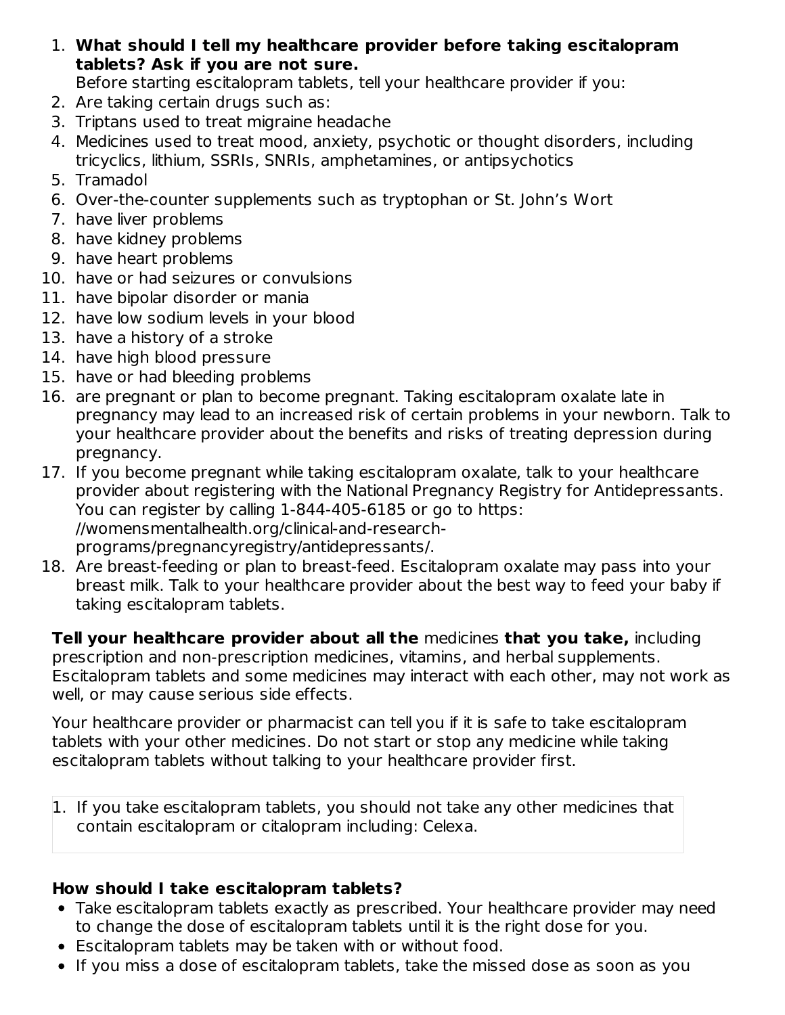1. **What should I tell my healthcare provider before taking escitalopram tablets? Ask if you are not sure.**

Before starting escitalopram tablets, tell your healthcare provider if you:

- 2. Are taking certain drugs such as:
- 3. Triptans used to treat migraine headache
- 4. Medicines used to treat mood, anxiety, psychotic or thought disorders, including tricyclics, lithium, SSRIs, SNRIs, amphetamines, or antipsychotics
- 5. Tramadol
- 6. Over-the-counter supplements such as tryptophan or St. John's Wort
- 7. have liver problems
- 8. have kidney problems
- 9. have heart problems
- 10. have or had seizures or convulsions
- 11. have bipolar disorder or mania
- 12. have low sodium levels in your blood
- 13. have a history of a stroke
- 14. have high blood pressure
- 15. have or had bleeding problems
- 16. are pregnant or plan to become pregnant. Taking escitalopram oxalate late in pregnancy may lead to an increased risk of certain problems in your newborn. Talk to your healthcare provider about the benefits and risks of treating depression during pregnancy.
- 17. If you become pregnant while taking escitalopram oxalate, talk to your healthcare provider about registering with the National Pregnancy Registry for Antidepressants. You can register by calling 1-844-405-6185 or go to https: //womensmentalhealth.org/clinical-and-researchprograms/pregnancyregistry/antidepressants/.
- 18. Are breast-feeding or plan to breast-feed. Escitalopram oxalate may pass into your breast milk. Talk to your healthcare provider about the best way to feed your baby if taking escitalopram tablets.

**Tell your healthcare provider about all the** medicines **that you take,** including prescription and non-prescription medicines, vitamins, and herbal supplements. Escitalopram tablets and some medicines may interact with each other, may not work as well, or may cause serious side effects.

Your healthcare provider or pharmacist can tell you if it is safe to take escitalopram tablets with your other medicines. Do not start or stop any medicine while taking escitalopram tablets without talking to your healthcare provider first.

1. If you take escitalopram tablets, you should not take any other medicines that contain escitalopram or citalopram including: Celexa.

#### **How should I take escitalopram tablets?**

- Take escitalopram tablets exactly as prescribed. Your healthcare provider may need to change the dose of escitalopram tablets until it is the right dose for you.
- Escitalopram tablets may be taken with or without food.
- If you miss a dose of escitalopram tablets, take the missed dose as soon as you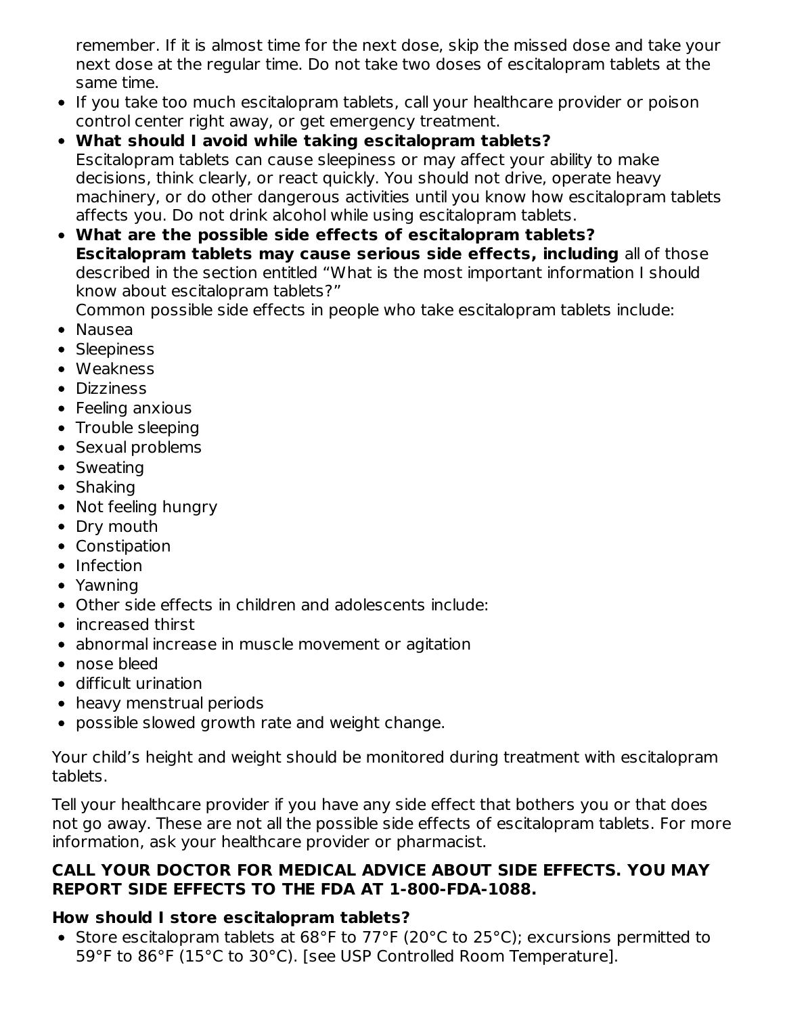remember. If it is almost time for the next dose, skip the missed dose and take your next dose at the regular time. Do not take two doses of escitalopram tablets at the same time.

- If you take too much escitalopram tablets, call your healthcare provider or poison control center right away, or get emergency treatment.
- **What should I avoid while taking escitalopram tablets?** Escitalopram tablets can cause sleepiness or may affect your ability to make decisions, think clearly, or react quickly. You should not drive, operate heavy machinery, or do other dangerous activities until you know how escitalopram tablets affects you. Do not drink alcohol while using escitalopram tablets.
- **What are the possible side effects of escitalopram tablets? Escitalopram tablets may cause serious side effects, including** all of those described in the section entitled "What is the most important information I should know about escitalopram tablets?"

Common possible side effects in people who take escitalopram tablets include:

- Nausea
- Sleepiness
- Weakness
- Dizziness
- Feeling anxious
- Trouble sleeping
- Sexual problems
- Sweating
- Shaking
- Not feeling hungry
- Dry mouth
- Constipation
- Infection
- Yawning
- Other side effects in children and adolescents include:
- increased thirst
- abnormal increase in muscle movement or agitation
- nose bleed
- difficult urination
- heavy menstrual periods
- possible slowed growth rate and weight change.

Your child's height and weight should be monitored during treatment with escitalopram tablets.

Tell your healthcare provider if you have any side effect that bothers you or that does not go away. These are not all the possible side effects of escitalopram tablets. For more information, ask your healthcare provider or pharmacist.

#### **CALL YOUR DOCTOR FOR MEDICAL ADVICE ABOUT SIDE EFFECTS. YOU MAY REPORT SIDE EFFECTS TO THE FDA AT 1-800-FDA-1088.**

### **How should I store escitalopram tablets?**

• Store escitalopram tablets at 68°F to 77°F (20°C to 25°C); excursions permitted to 59°F to 86°F (15°C to 30°C). [see USP Controlled Room Temperature].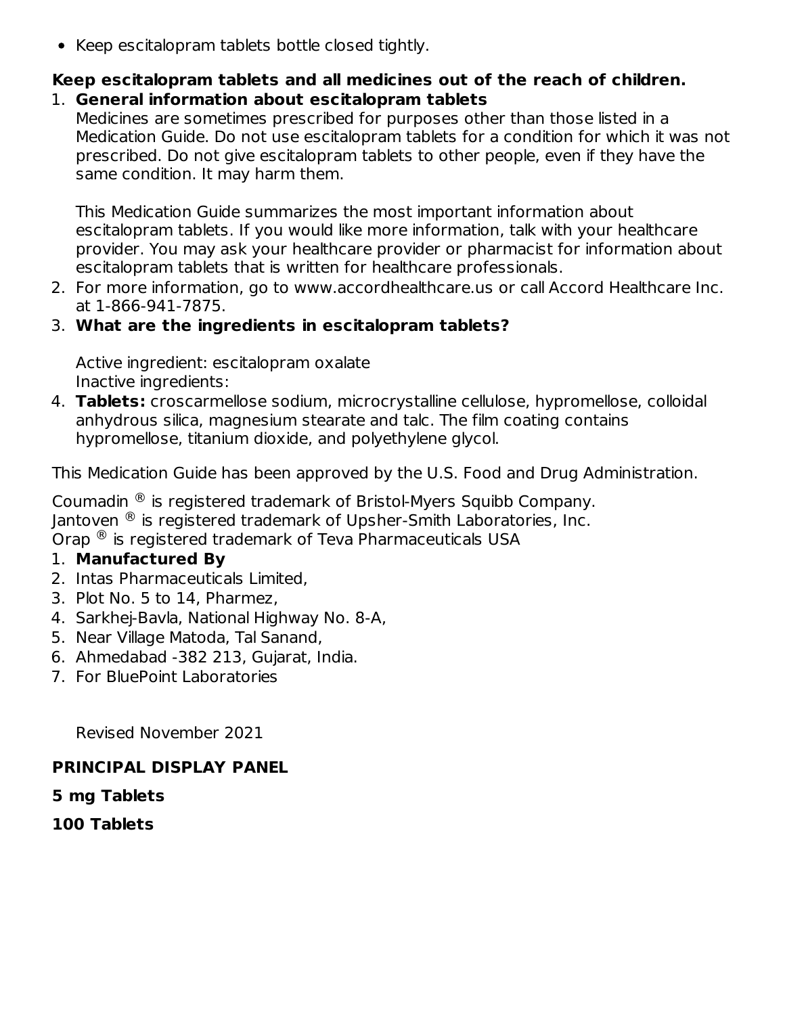• Keep escitalopram tablets bottle closed tightly.

#### **Keep escitalopram tablets and all medicines out of the reach of children.** 1. **General information about escitalopram tablets**

Medicines are sometimes prescribed for purposes other than those listed in a Medication Guide. Do not use escitalopram tablets for a condition for which it was not prescribed. Do not give escitalopram tablets to other people, even if they have the same condition. It may harm them.

This Medication Guide summarizes the most important information about escitalopram tablets. If you would like more information, talk with your healthcare provider. You may ask your healthcare provider or pharmacist for information about escitalopram tablets that is written for healthcare professionals.

2. For more information, go to www.accordhealthcare.us or call Accord Healthcare Inc. at 1-866-941-7875.

#### 3. **What are the ingredients in escitalopram tablets?**

Active ingredient: escitalopram oxalate Inactive ingredients:

4. **Tablets:** croscarmellose sodium, microcrystalline cellulose, hypromellose, colloidal anhydrous silica, magnesium stearate and talc. The film coating contains hypromellose, titanium dioxide, and polyethylene glycol.

This Medication Guide has been approved by the U.S. Food and Drug Administration.

Coumadin  $\mathcal{R}$  is registered trademark of Bristol-Myers Squibb Company. Jantoven  ${}^{\circledR}$  is registered trademark of Upsher-Smith Laboratories, Inc. Orap  $^{\circledR}$  is registered trademark of Teva Pharmaceuticals USA

#### 1. **Manufactured By**

- 2. Intas Pharmaceuticals Limited,
- 3. Plot No. 5 to 14, Pharmez,
- 4. Sarkhej-Bavla, National Highway No. 8-A,
- 5. Near Village Matoda, Tal Sanand,
- 6. Ahmedabad -382 213, Gujarat, India.
- 7. For BluePoint Laboratories

Revised November 2021

#### **PRINCIPAL DISPLAY PANEL**

#### **5 mg Tablets**

**100 Tablets**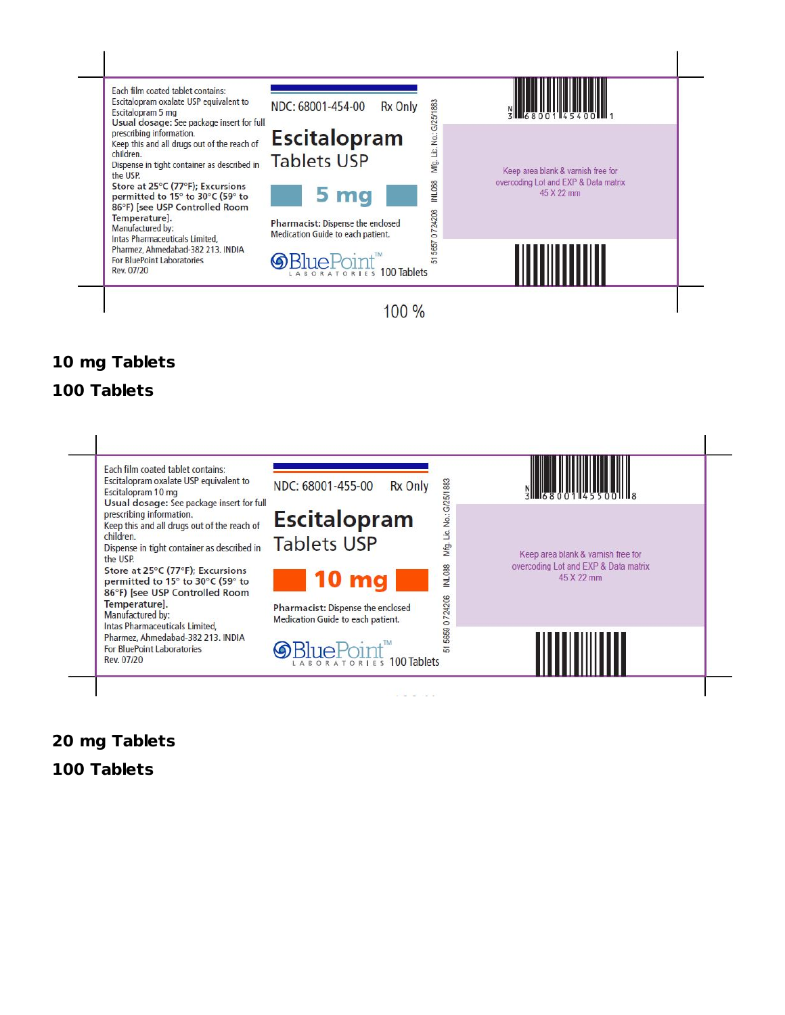

## **mg Tablets**

#### **Tablets**



# **mg Tablets**

**Tablets**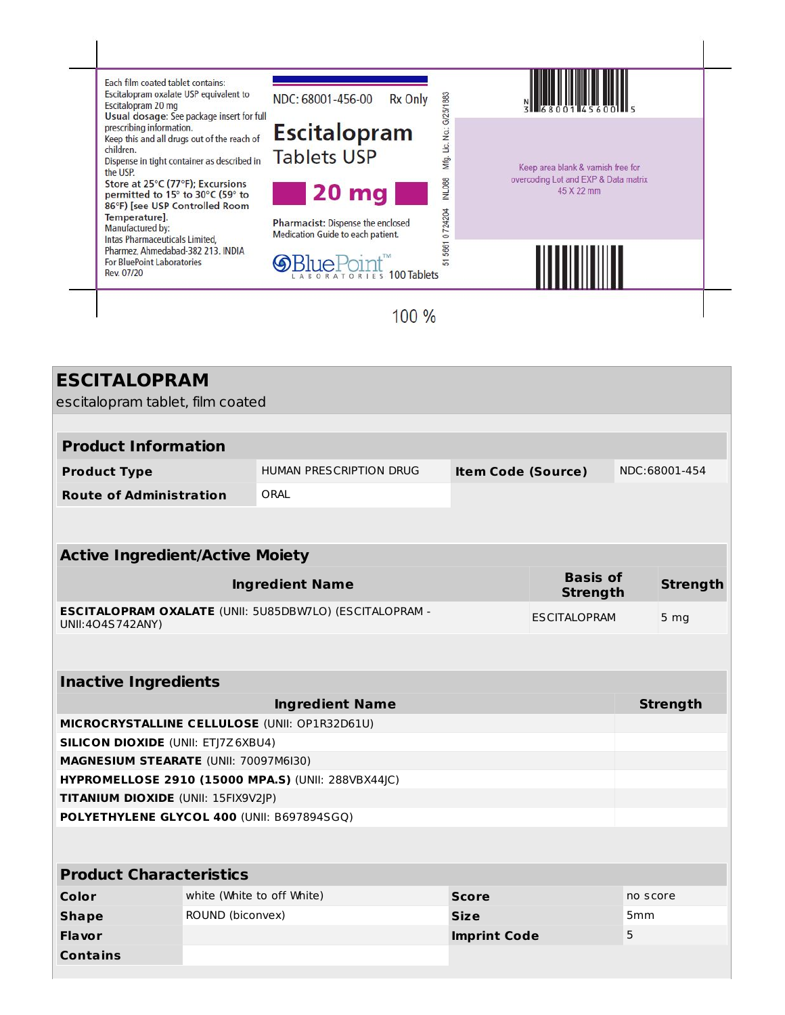

| <b>ESCITALOPRAM</b>                                                               |                                                        |                                                                |                           |                                    |  |                 |
|-----------------------------------------------------------------------------------|--------------------------------------------------------|----------------------------------------------------------------|---------------------------|------------------------------------|--|-----------------|
| escitalopram tablet, film coated                                                  |                                                        |                                                                |                           |                                    |  |                 |
|                                                                                   |                                                        |                                                                |                           |                                    |  |                 |
| <b>Product Information</b>                                                        |                                                        |                                                                |                           |                                    |  |                 |
| <b>Product Type</b>                                                               |                                                        | <b>HUMAN PRESCRIPTION DRUG</b>                                 | <b>Item Code (Source)</b> |                                    |  | NDC:68001-454   |
| <b>Route of Administration</b>                                                    |                                                        | ORAL                                                           |                           |                                    |  |                 |
|                                                                                   |                                                        |                                                                |                           |                                    |  |                 |
|                                                                                   |                                                        |                                                                |                           |                                    |  |                 |
| <b>Active Ingredient/Active Moiety</b>                                            |                                                        |                                                                |                           |                                    |  |                 |
|                                                                                   |                                                        | <b>Ingredient Name</b>                                         |                           | <b>Basis of</b><br><b>Strength</b> |  | <b>Strength</b> |
| UNII:404S742ANY)                                                                  |                                                        | <b>ESCITALOPRAM OXALATE (UNII: 5U85DBW7LO) (ESCITALOPRAM -</b> |                           | <b>ESCITALOPRAM</b>                |  | 5 <sub>mg</sub> |
|                                                                                   |                                                        |                                                                |                           |                                    |  |                 |
| <b>Inactive Ingredients</b>                                                       |                                                        |                                                                |                           |                                    |  |                 |
| <b>Ingredient Name</b>                                                            |                                                        |                                                                |                           |                                    |  | <b>Strength</b> |
| MICROCRYSTALLINE CELLULOSE (UNII: OP1R32D61U)                                     |                                                        |                                                                |                           |                                    |  |                 |
| <b>SILICON DIOXIDE (UNII: ETJ7Z6XBU4)</b>                                         |                                                        |                                                                |                           |                                    |  |                 |
| MAGNESIUM STEARATE (UNII: 70097M6I30)                                             |                                                        |                                                                |                           |                                    |  |                 |
|                                                                                   | HYPROMELLOSE 2910 (15000 MPA.S) (UNII: 288VBX44JC)     |                                                                |                           |                                    |  |                 |
| TITANIUM DIOXIDE (UNII: 15FIX9V2JP)<br>POLYETHYLENE GLYCOL 400 (UNII: B697894SGQ) |                                                        |                                                                |                           |                                    |  |                 |
|                                                                                   |                                                        |                                                                |                           |                                    |  |                 |
|                                                                                   |                                                        |                                                                |                           |                                    |  |                 |
| <b>Product Characteristics</b>                                                    |                                                        |                                                                |                           |                                    |  |                 |
| Color                                                                             | white (White to off White)<br><b>Score</b><br>no score |                                                                |                           |                                    |  |                 |
| <b>Shape</b>                                                                      | ROUND (biconvex)<br><b>Size</b><br>5 <sub>mm</sub>     |                                                                |                           |                                    |  |                 |
| 5<br>Flavor<br><b>Imprint Code</b>                                                |                                                        |                                                                |                           |                                    |  |                 |
| <b>Contains</b>                                                                   |                                                        |                                                                |                           |                                    |  |                 |
|                                                                                   |                                                        |                                                                |                           |                                    |  |                 |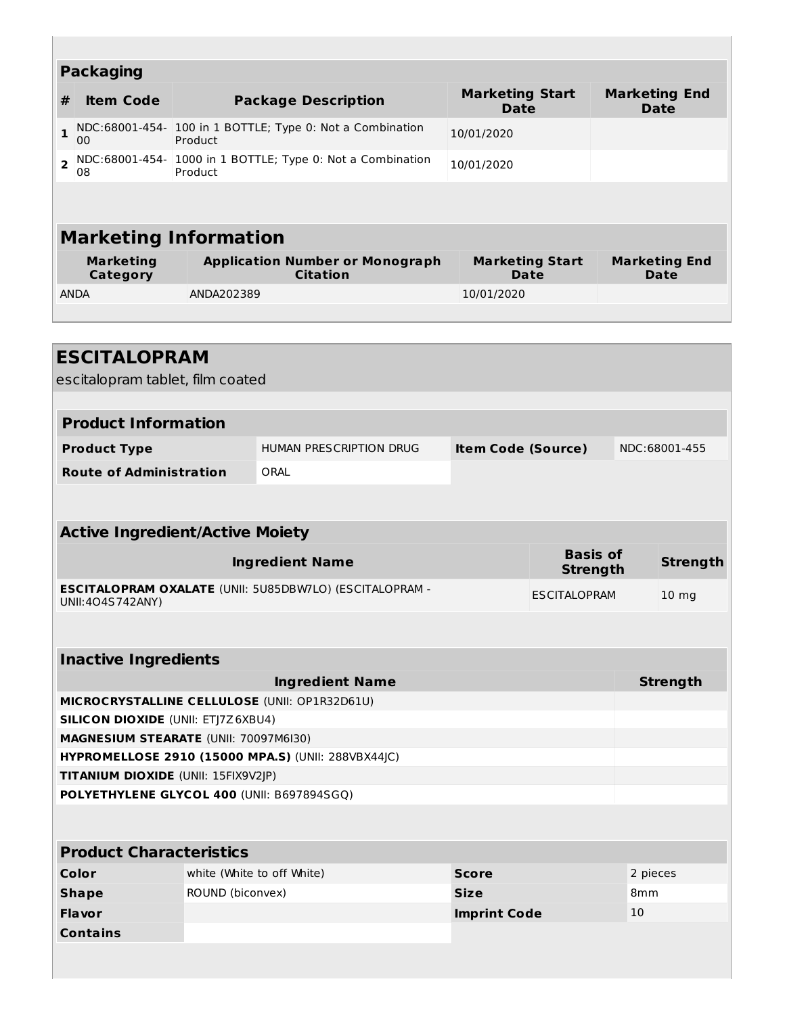|                | <b>Packaging</b>                                                                                                                                                   |                                                                      |                                       |                                     |  |  |
|----------------|--------------------------------------------------------------------------------------------------------------------------------------------------------------------|----------------------------------------------------------------------|---------------------------------------|-------------------------------------|--|--|
| #              | <b>Item Code</b>                                                                                                                                                   | <b>Package Description</b>                                           | <b>Marketing Start</b><br><b>Date</b> | <b>Marketing End</b><br><b>Date</b> |  |  |
| $\mathbf{1}$   | 00                                                                                                                                                                 | NDC:68001-454- 100 in 1 BOTTLE; Type 0: Not a Combination<br>Product | 10/01/2020                            |                                     |  |  |
| $\overline{2}$ | NDC:68001-454- 1000 in 1 BOTTLE; Type 0: Not a Combination<br>10/01/2020<br>Product<br>08                                                                          |                                                                      |                                       |                                     |  |  |
|                |                                                                                                                                                                    |                                                                      |                                       |                                     |  |  |
|                |                                                                                                                                                                    | <b>Marketing Information</b>                                         |                                       |                                     |  |  |
|                | <b>Marketing</b><br><b>Application Number or Monograph</b><br><b>Marketing Start</b><br><b>Marketing End</b><br><b>Citation</b><br>Category<br><b>Date</b><br>Date |                                                                      |                                       |                                     |  |  |
|                | <b>ANDA</b>                                                                                                                                                        | ANDA202389                                                           | 10/01/2020                            |                                     |  |  |
|                |                                                                                                                                                                    |                                                                      |                                       |                                     |  |  |
|                |                                                                                                                                                                    |                                                                      |                                       |                                     |  |  |
|                | <b>ESCITALOPRAM</b>                                                                                                                                                |                                                                      |                                       |                                     |  |  |

I

| <b>ESCITALOPRAM</b>                                |                            |                                                                |                           |                                    |                 |                  |
|----------------------------------------------------|----------------------------|----------------------------------------------------------------|---------------------------|------------------------------------|-----------------|------------------|
| escitalopram tablet, film coated                   |                            |                                                                |                           |                                    |                 |                  |
|                                                    |                            |                                                                |                           |                                    |                 |                  |
| <b>Product Information</b>                         |                            |                                                                |                           |                                    |                 |                  |
| <b>Product Type</b>                                |                            | HUMAN PRESCRIPTION DRUG                                        | <b>Item Code (Source)</b> |                                    |                 | NDC:68001-455    |
| <b>Route of Administration</b>                     |                            | ORAL                                                           |                           |                                    |                 |                  |
|                                                    |                            |                                                                |                           |                                    |                 |                  |
| <b>Active Ingredient/Active Moiety</b>             |                            |                                                                |                           |                                    |                 |                  |
|                                                    |                            |                                                                |                           |                                    |                 |                  |
|                                                    |                            | <b>Ingredient Name</b>                                         |                           | <b>Basis of</b><br><b>Strength</b> |                 | <b>Strength</b>  |
| UNII: 404S 742ANY)                                 |                            | <b>ESCITALOPRAM OXALATE (UNII: 5U85DBW7LO) (ESCITALOPRAM -</b> |                           | <b>ESCITALOPRAM</b>                |                 | 10 <sub>mg</sub> |
|                                                    |                            |                                                                |                           |                                    |                 |                  |
| <b>Inactive Ingredients</b>                        |                            |                                                                |                           |                                    |                 |                  |
| <b>Ingredient Name</b>                             |                            |                                                                |                           |                                    |                 | <b>Strength</b>  |
| MICROCRYSTALLINE CELLULOSE (UNII: OP1R32D61U)      |                            |                                                                |                           |                                    |                 |                  |
| <b>SILICON DIOXIDE (UNII: ETJ7Z6XBU4)</b>          |                            |                                                                |                           |                                    |                 |                  |
| <b>MAGNESIUM STEARATE (UNII: 70097M6I30)</b>       |                            |                                                                |                           |                                    |                 |                  |
| HYPROMELLOSE 2910 (15000 MPA.S) (UNII: 288VBX44JC) |                            |                                                                |                           |                                    |                 |                  |
| TITANIUM DIOXIDE (UNII: 15FIX9V2JP)                |                            |                                                                |                           |                                    |                 |                  |
| POLYETHYLENE GLYCOL 400 (UNII: B697894SGQ)         |                            |                                                                |                           |                                    |                 |                  |
|                                                    |                            |                                                                |                           |                                    |                 |                  |
| <b>Product Characteristics</b>                     |                            |                                                                |                           |                                    |                 |                  |
| Color                                              | white (White to off White) |                                                                | <b>Score</b>              |                                    | 2 pieces        |                  |
| <b>Shape</b>                                       | ROUND (biconvex)           |                                                                |                           |                                    | 8 <sub>mm</sub> |                  |

**Flavor Imprint Code** 10

**Contains**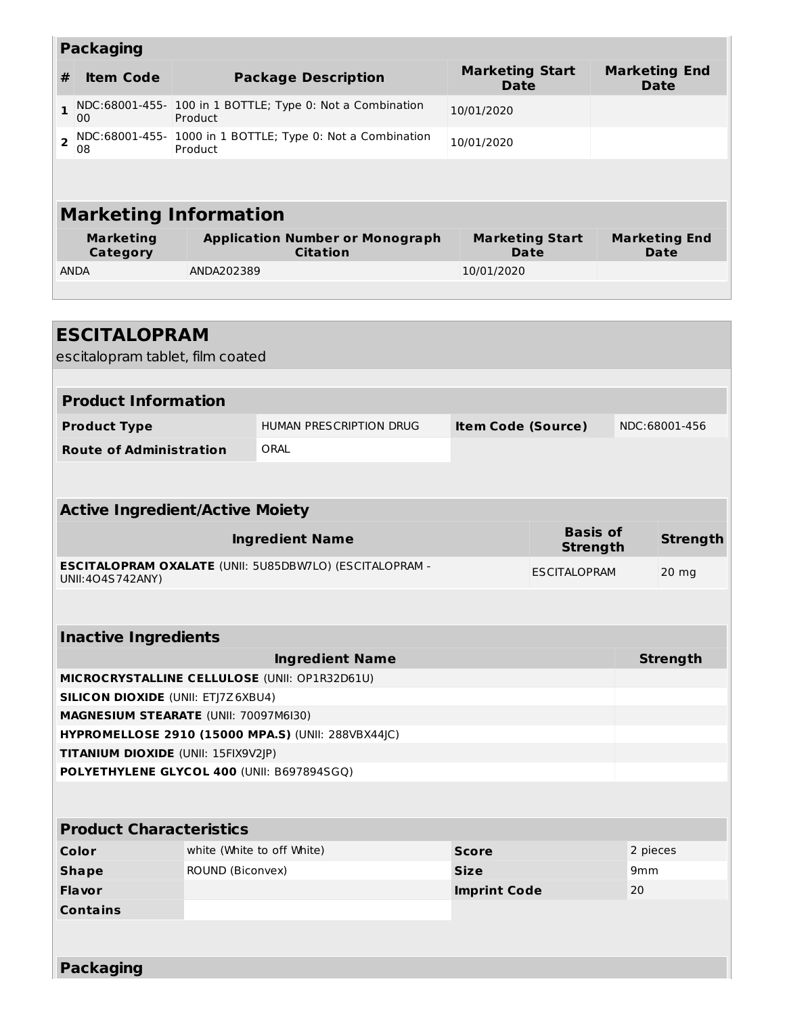|                                                                                                    | <b>Packaging</b>                                        |                            |                                                            |                                       |                                       |     |                                     |  |
|----------------------------------------------------------------------------------------------------|---------------------------------------------------------|----------------------------|------------------------------------------------------------|---------------------------------------|---------------------------------------|-----|-------------------------------------|--|
| #                                                                                                  | <b>Item Code</b>                                        |                            | <b>Package Description</b>                                 | <b>Marketing Start</b><br><b>Date</b> |                                       |     | <b>Marketing End</b><br><b>Date</b> |  |
| 1                                                                                                  | 00                                                      | Product                    | NDC:68001-455- 100 in 1 BOTTLE; Type 0: Not a Combination  | 10/01/2020                            |                                       |     |                                     |  |
| $\overline{\mathbf{c}}$                                                                            | 08                                                      | Product                    | NDC:68001-455- 1000 in 1 BOTTLE; Type 0: Not a Combination | 10/01/2020                            |                                       |     |                                     |  |
|                                                                                                    |                                                         |                            |                                                            |                                       |                                       |     |                                     |  |
|                                                                                                    | <b>Marketing Information</b>                            |                            |                                                            |                                       |                                       |     |                                     |  |
|                                                                                                    | <b>Marketing</b><br>Category                            |                            | <b>Application Number or Monograph</b><br><b>Citation</b>  |                                       | <b>Marketing Start</b><br><b>Date</b> |     | <b>Marketing End</b><br>Date        |  |
| <b>ANDA</b>                                                                                        |                                                         | ANDA202389                 |                                                            | 10/01/2020                            |                                       |     |                                     |  |
|                                                                                                    |                                                         |                            |                                                            |                                       |                                       |     |                                     |  |
|                                                                                                    | <b>ESCITALOPRAM</b><br>escitalopram tablet, film coated |                            |                                                            |                                       |                                       |     |                                     |  |
|                                                                                                    | <b>Product Information</b>                              |                            |                                                            |                                       |                                       |     |                                     |  |
| <b>Product Type</b>                                                                                |                                                         |                            | HUMAN PRESCRIPTION DRUG                                    | <b>Item Code (Source)</b>             |                                       |     | NDC:68001-456                       |  |
|                                                                                                    | <b>Route of Administration</b>                          |                            | ORAL                                                       |                                       |                                       |     |                                     |  |
|                                                                                                    |                                                         |                            |                                                            |                                       |                                       |     |                                     |  |
|                                                                                                    | <b>Active Ingredient/Active Moiety</b>                  |                            |                                                            |                                       |                                       |     |                                     |  |
|                                                                                                    |                                                         |                            | <b>Ingredient Name</b>                                     |                                       | <b>Basis of</b><br><b>Strength</b>    |     | <b>Strength</b>                     |  |
| <b>ESCITALOPRAM OXALATE (UNII: 5U85DBW7LO) (ESCITALOPRAM -</b><br>UNII: 404S742ANY)                |                                                         |                            |                                                            |                                       | <b>ESCITALOPRAM</b>                   |     | $20$ mg                             |  |
|                                                                                                    |                                                         |                            |                                                            |                                       |                                       |     |                                     |  |
|                                                                                                    | <b>Inactive Ingredients</b>                             |                            |                                                            |                                       |                                       |     |                                     |  |
|                                                                                                    |                                                         |                            | <b>Ingredient Name</b>                                     |                                       |                                       |     | <b>Strength</b>                     |  |
| MICROCRYSTALLINE CELLULOSE (UNII: OP1R32D61U)                                                      |                                                         |                            |                                                            |                                       |                                       |     |                                     |  |
| <b>SILICON DIOXIDE (UNII: ETJ7Z6XBU4)</b>                                                          |                                                         |                            |                                                            |                                       |                                       |     |                                     |  |
| <b>MAGNESIUM STEARATE (UNII: 70097M6I30)</b><br>HYPROMELLOSE 2910 (15000 MPA.S) (UNII: 288VBX44JC) |                                                         |                            |                                                            |                                       |                                       |     |                                     |  |
| TITANIUM DIOXIDE (UNII: 15FIX9V2JP)                                                                |                                                         |                            |                                                            |                                       |                                       |     |                                     |  |
| POLYETHYLENE GLYCOL 400 (UNII: B697894SGQ)                                                         |                                                         |                            |                                                            |                                       |                                       |     |                                     |  |
|                                                                                                    |                                                         |                            |                                                            |                                       |                                       |     |                                     |  |
|                                                                                                    | <b>Product Characteristics</b>                          |                            |                                                            |                                       |                                       |     |                                     |  |
|                                                                                                    | Color                                                   | white (White to off White) | <b>Score</b>                                               |                                       | 2 pieces                              |     |                                     |  |
|                                                                                                    | ROUND (Biconvex)<br><b>Shape</b>                        |                            |                                                            | <b>Size</b>                           |                                       | 9mm |                                     |  |

**Packaging**

**Contains**

**Flavor Imprint Code** 20